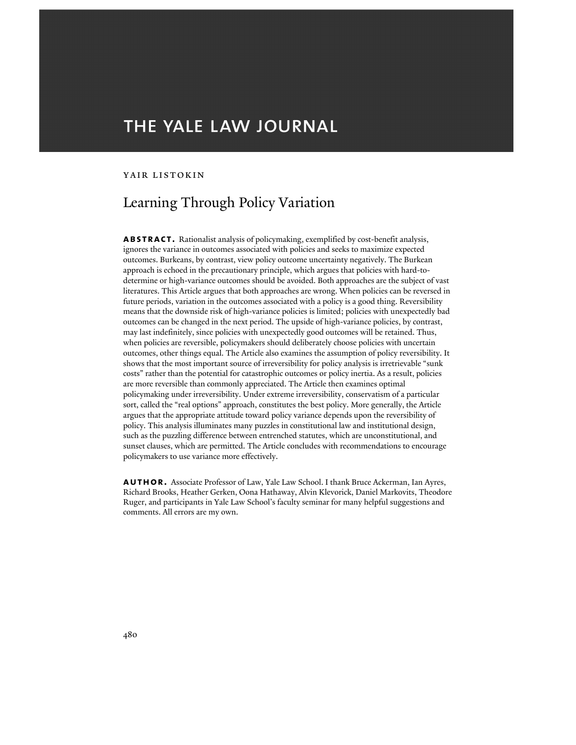# THE YALE LAW JOURNAL

## yair listokin

## Learning Through Policy Variation

**abstract.** Rationalist analysis of policymaking, exemplified by cost-benefit analysis, ignores the variance in outcomes associated with policies and seeks to maximize expected outcomes. Burkeans, by contrast, view policy outcome uncertainty negatively. The Burkean approach is echoed in the precautionary principle, which argues that policies with hard-todetermine or high-variance outcomes should be avoided. Both approaches are the subject of vast literatures. This Article argues that both approaches are wrong. When policies can be reversed in future periods, variation in the outcomes associated with a policy is a good thing. Reversibility means that the downside risk of high-variance policies is limited; policies with unexpectedly bad outcomes can be changed in the next period. The upside of high-variance policies, by contrast, may last indefinitely, since policies with unexpectedly good outcomes will be retained. Thus, when policies are reversible, policymakers should deliberately choose policies with uncertain outcomes, other things equal. The Article also examines the assumption of policy reversibility. It shows that the most important source of irreversibility for policy analysis is irretrievable "sunk costs" rather than the potential for catastrophic outcomes or policy inertia. As a result, policies are more reversible than commonly appreciated. The Article then examines optimal policymaking under irreversibility. Under extreme irreversibility, conservatism of a particular sort, called the "real options" approach, constitutes the best policy. More generally, the Article argues that the appropriate attitude toward policy variance depends upon the reversibility of policy. This analysis illuminates many puzzles in constitutional law and institutional design, such as the puzzling difference between entrenched statutes, which are unconstitutional, and sunset clauses, which are permitted. The Article concludes with recommendations to encourage policymakers to use variance more effectively.

**author.** Associate Professor of Law, Yale Law School. I thank Bruce Ackerman, Ian Ayres, Richard Brooks, Heather Gerken, Oona Hathaway, Alvin Klevorick, Daniel Markovits, Theodore Ruger, and participants in Yale Law School's faculty seminar for many helpful suggestions and comments. All errors are my own.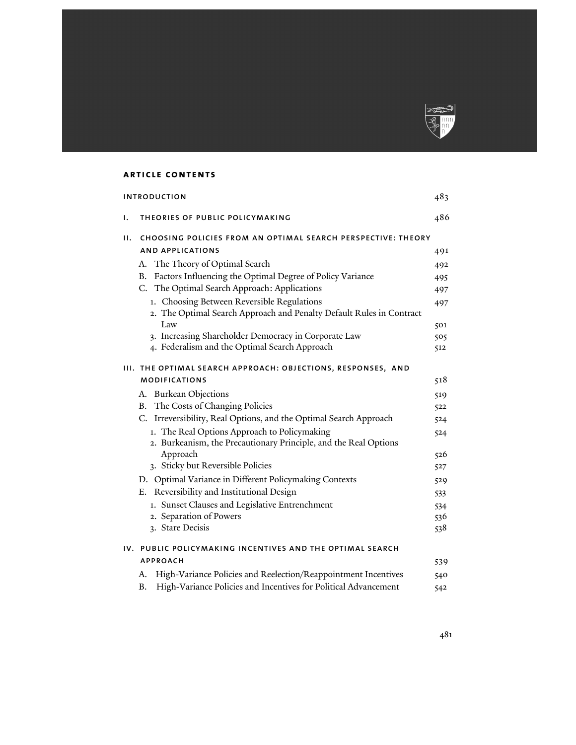

## **article contents**

|    | <b>INTRODUCTION</b>                                                                                                | 483 |
|----|--------------------------------------------------------------------------------------------------------------------|-----|
| Ι. | THEORIES OF PUBLIC POLICYMAKING                                                                                    | 486 |
| н. | CHOOSING POLICIES FROM AN OPTIMAL SEARCH PERSPECTIVE: THEORY                                                       |     |
|    | <b>AND APPLICATIONS</b>                                                                                            | 491 |
|    | The Theory of Optimal Search<br>А.                                                                                 | 492 |
|    | Factors Influencing the Optimal Degree of Policy Variance<br><b>B.</b>                                             | 495 |
|    | C. The Optimal Search Approach: Applications                                                                       | 497 |
|    | 1. Choosing Between Reversible Regulations<br>2. The Optimal Search Approach and Penalty Default Rules in Contract | 497 |
|    | Law                                                                                                                | 501 |
|    | 3. Increasing Shareholder Democracy in Corporate Law                                                               | 505 |
|    | 4. Federalism and the Optimal Search Approach                                                                      | 512 |
|    | III. THE OPTIMAL SEARCH APPROACH: OBJECTIONS, RESPONSES, AND                                                       |     |
|    | <b>MODIFICATIONS</b>                                                                                               | 518 |
|    | A. Burkean Objections                                                                                              | 519 |
|    | B. The Costs of Changing Policies                                                                                  | 522 |
|    | C. Irreversibility, Real Options, and the Optimal Search Approach                                                  | 524 |
|    | 1. The Real Options Approach to Policymaking                                                                       | 524 |
|    | 2. Burkeanism, the Precautionary Principle, and the Real Options                                                   |     |
|    | Approach                                                                                                           | 526 |
|    | 3. Sticky but Reversible Policies                                                                                  | 527 |
|    | D. Optimal Variance in Different Policymaking Contexts                                                             | 529 |
|    | E. Reversibility and Institutional Design                                                                          | 533 |
|    | 1. Sunset Clauses and Legislative Entrenchment                                                                     | 534 |
|    | 2. Separation of Powers                                                                                            | 536 |
|    | 3. Stare Decisis                                                                                                   | 538 |
|    | IV. PUBLIC POLICYMAKING INCENTIVES AND THE OPTIMAL SEARCH                                                          |     |
|    | <b>APPROACH</b>                                                                                                    | 539 |
|    | High-Variance Policies and Reelection/Reappointment Incentives<br>А.                                               | 540 |
|    | High-Variance Policies and Incentives for Political Advancement<br><b>B.</b>                                       | 542 |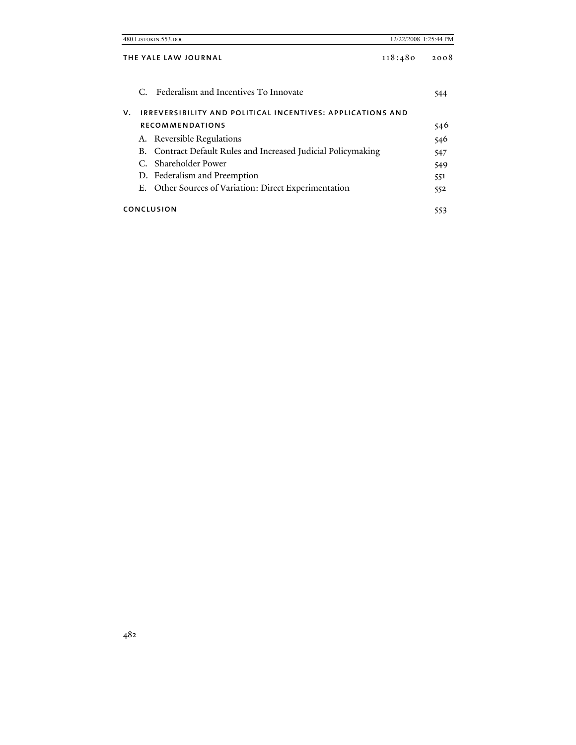|    | 480.LISTOKIN.553.DOC                                          | 12/22/2008 1:25:44 PM |      |
|----|---------------------------------------------------------------|-----------------------|------|
|    | THE YALE LAW JOURNAL                                          | 118:480               | 2008 |
|    | C. Federalism and Incentives To Innovate                      |                       | 544  |
| v. | IRREVERSIBILITY AND POLITICAL INCENTIVES: APPLICATIONS AND    |                       |      |
|    | <b>RECOMMENDATIONS</b>                                        |                       | 546  |
|    | A. Reversible Regulations                                     |                       | 546  |
|    | B. Contract Default Rules and Increased Judicial Policymaking |                       | 547  |
|    | C. Shareholder Power                                          |                       | 549  |
|    | D. Federalism and Preemption                                  |                       | 551  |
| Е. | Other Sources of Variation: Direct Experimentation            |                       | 552  |
|    | CONCLUSION                                                    |                       | 553  |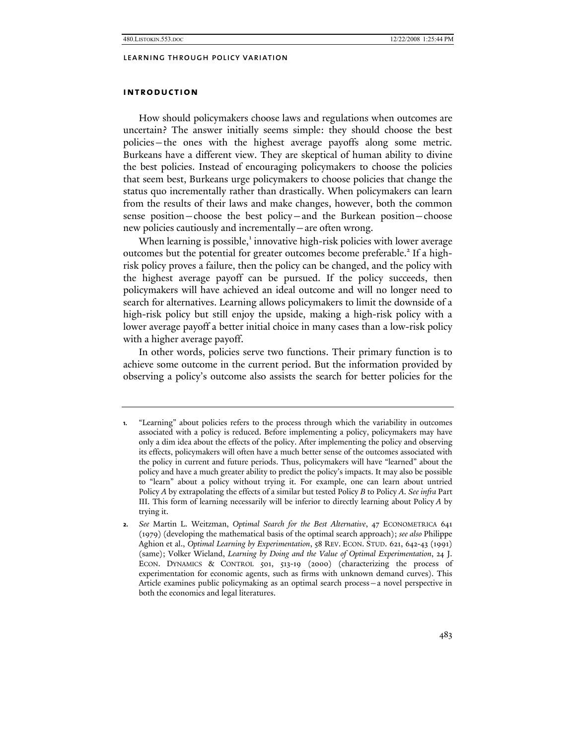## **introduction**

How should policymakers choose laws and regulations when outcomes are uncertain? The answer initially seems simple: they should choose the best policies—the ones with the highest average payoffs along some metric. Burkeans have a different view. They are skeptical of human ability to divine the best policies. Instead of encouraging policymakers to choose the policies that seem best, Burkeans urge policymakers to choose policies that change the status quo incrementally rather than drastically. When policymakers can learn from the results of their laws and make changes, however, both the common sense position—choose the best policy—and the Burkean position—choose new policies cautiously and incrementally—are often wrong.

When learning is possible,<sup>1</sup> innovative high-risk policies with lower average outcomes but the potential for greater outcomes become preferable.<sup>2</sup> If a highrisk policy proves a failure, then the policy can be changed, and the policy with the highest average payoff can be pursued. If the policy succeeds, then policymakers will have achieved an ideal outcome and will no longer need to search for alternatives. Learning allows policymakers to limit the downside of a high-risk policy but still enjoy the upside, making a high-risk policy with a lower average payoff a better initial choice in many cases than a low-risk policy with a higher average payoff.

In other words, policies serve two functions. Their primary function is to achieve some outcome in the current period. But the information provided by observing a policy's outcome also assists the search for better policies for the

**<sup>1.</sup>** "Learning" about policies refers to the process through which the variability in outcomes associated with a policy is reduced. Before implementing a policy, policymakers may have only a dim idea about the effects of the policy. After implementing the policy and observing its effects, policymakers will often have a much better sense of the outcomes associated with the policy in current and future periods. Thus, policymakers will have "learned" about the policy and have a much greater ability to predict the policy's impacts. It may also be possible to "learn" about a policy without trying it. For example, one can learn about untried Policy *A* by extrapolating the effects of a similar but tested Policy *B* to Policy *A*. *See infra* Part III. This form of learning necessarily will be inferior to directly learning about Policy *A* by trying it.

**<sup>2.</sup>** *See* Martin L. Weitzman, *Optimal Search for the Best Alternative*, 47 ECONOMETRICA 641 (1979) (developing the mathematical basis of the optimal search approach); *see also* Philippe Aghion et al., *Optimal Learning by Experimentation*, 58 REV. ECON. STUD. 621, 642-43 (1991) (same); Volker Wieland, *Learning by Doing and the Value of Optimal Experimentation*, 24 J. ECON. DYNAMICS & CONTROL 501, 513-19 (2000) (characterizing the process of experimentation for economic agents, such as firms with unknown demand curves). This Article examines public policymaking as an optimal search process—a novel perspective in both the economics and legal literatures.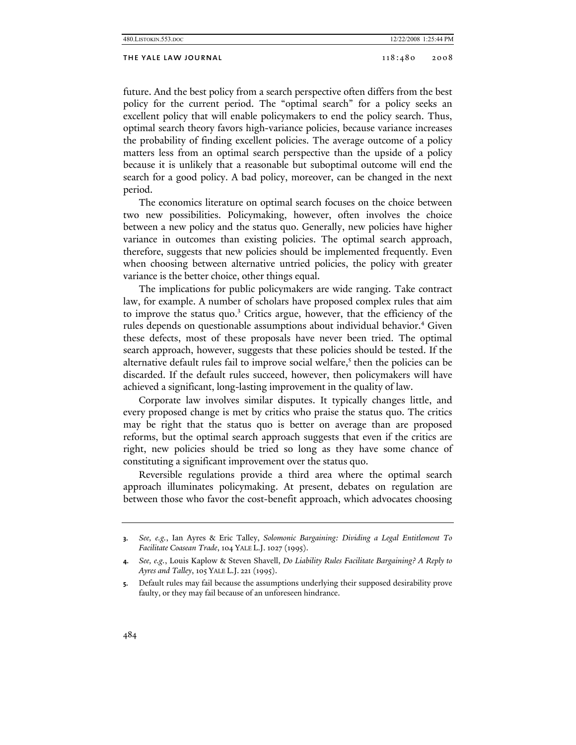#### THE YALE LAW JOURNAL 2008 2008 2008

future. And the best policy from a search perspective often differs from the best policy for the current period. The "optimal search" for a policy seeks an excellent policy that will enable policymakers to end the policy search. Thus, optimal search theory favors high-variance policies, because variance increases the probability of finding excellent policies. The average outcome of a policy matters less from an optimal search perspective than the upside of a policy because it is unlikely that a reasonable but suboptimal outcome will end the search for a good policy. A bad policy, moreover, can be changed in the next period.

The economics literature on optimal search focuses on the choice between two new possibilities. Policymaking, however, often involves the choice between a new policy and the status quo. Generally, new policies have higher variance in outcomes than existing policies. The optimal search approach, therefore, suggests that new policies should be implemented frequently. Even when choosing between alternative untried policies, the policy with greater variance is the better choice, other things equal.

The implications for public policymakers are wide ranging. Take contract law, for example. A number of scholars have proposed complex rules that aim to improve the status quo.<sup>3</sup> Critics argue, however, that the efficiency of the rules depends on questionable assumptions about individual behavior.<sup>4</sup> Given these defects, most of these proposals have never been tried. The optimal search approach, however, suggests that these policies should be tested. If the alternative default rules fail to improve social welfare,<sup>5</sup> then the policies can be discarded. If the default rules succeed, however, then policymakers will have achieved a significant, long-lasting improvement in the quality of law.

Corporate law involves similar disputes. It typically changes little, and every proposed change is met by critics who praise the status quo. The critics may be right that the status quo is better on average than are proposed reforms, but the optimal search approach suggests that even if the critics are right, new policies should be tried so long as they have some chance of constituting a significant improvement over the status quo.

Reversible regulations provide a third area where the optimal search approach illuminates policymaking. At present, debates on regulation are between those who favor the cost-benefit approach, which advocates choosing

**<sup>3.</sup>** *See, e.g.*, Ian Ayres & Eric Talley, *Solomonic Bargaining: Dividing a Legal Entitlement To Facilitate Coasean Trade*, 104 YALE L.J. 1027 (1995).

**<sup>4.</sup>** *See, e.g.*, Louis Kaplow & Steven Shavell, *Do Liability Rules Facilitate Bargaining? A Reply to Ayres and Talley*, 105 YALE L.J. 221 (1995).

**<sup>5.</sup>** Default rules may fail because the assumptions underlying their supposed desirability prove faulty, or they may fail because of an unforeseen hindrance.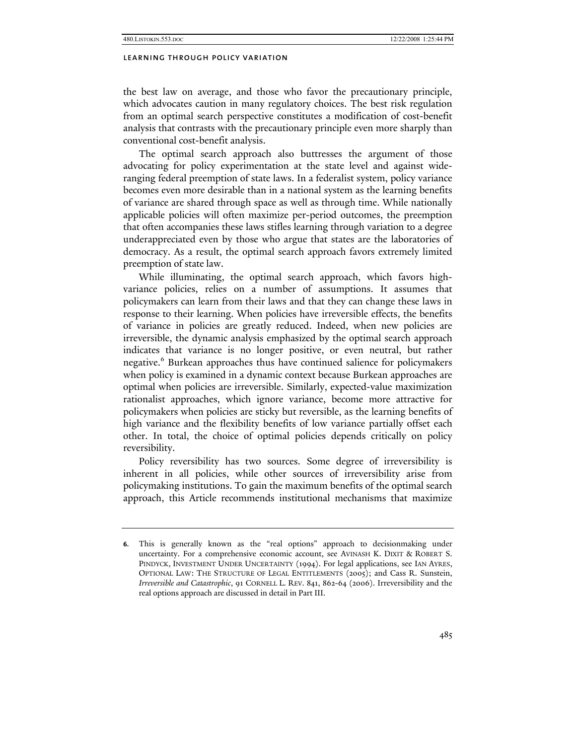the best law on average, and those who favor the precautionary principle, which advocates caution in many regulatory choices. The best risk regulation from an optimal search perspective constitutes a modification of cost-benefit analysis that contrasts with the precautionary principle even more sharply than conventional cost-benefit analysis.

The optimal search approach also buttresses the argument of those advocating for policy experimentation at the state level and against wideranging federal preemption of state laws. In a federalist system, policy variance becomes even more desirable than in a national system as the learning benefits of variance are shared through space as well as through time. While nationally applicable policies will often maximize per-period outcomes, the preemption that often accompanies these laws stifles learning through variation to a degree underappreciated even by those who argue that states are the laboratories of democracy. As a result, the optimal search approach favors extremely limited preemption of state law.

While illuminating, the optimal search approach, which favors highvariance policies, relies on a number of assumptions. It assumes that policymakers can learn from their laws and that they can change these laws in response to their learning. When policies have irreversible effects, the benefits of variance in policies are greatly reduced. Indeed, when new policies are irreversible, the dynamic analysis emphasized by the optimal search approach indicates that variance is no longer positive, or even neutral, but rather negative.<sup>6</sup> Burkean approaches thus have continued salience for policymakers when policy is examined in a dynamic context because Burkean approaches are optimal when policies are irreversible. Similarly, expected-value maximization rationalist approaches, which ignore variance, become more attractive for policymakers when policies are sticky but reversible, as the learning benefits of high variance and the flexibility benefits of low variance partially offset each other. In total, the choice of optimal policies depends critically on policy reversibility.

Policy reversibility has two sources. Some degree of irreversibility is inherent in all policies, while other sources of irreversibility arise from policymaking institutions. To gain the maximum benefits of the optimal search approach, this Article recommends institutional mechanisms that maximize

**<sup>6.</sup>** This is generally known as the "real options" approach to decisionmaking under uncertainty. For a comprehensive economic account, see AVINASH K. DIXIT & ROBERT S. PINDYCK, INVESTMENT UNDER UNCERTAINTY (1994). For legal applications, see IAN AYRES, OPTIONAL LAW: THE STRUCTURE OF LEGAL ENTITLEMENTS (2005); and Cass R. Sunstein, *Irreversible and Catastrophic*, 91 CORNELL L. REV. 841, 862-64 (2006). Irreversibility and the real options approach are discussed in detail in Part III.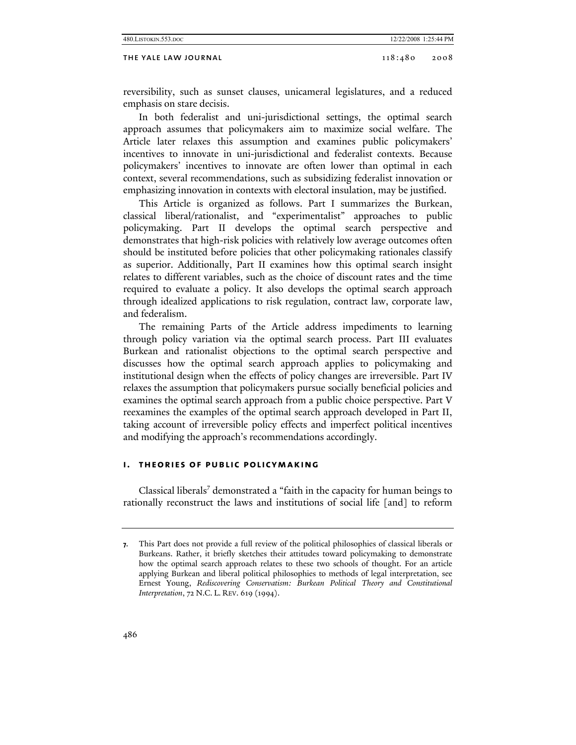#### THE YALE LAW JOURNAL 2008 2008 2008

reversibility, such as sunset clauses, unicameral legislatures, and a reduced emphasis on stare decisis.

In both federalist and uni-jurisdictional settings, the optimal search approach assumes that policymakers aim to maximize social welfare. The Article later relaxes this assumption and examines public policymakers' incentives to innovate in uni-jurisdictional and federalist contexts. Because policymakers' incentives to innovate are often lower than optimal in each context, several recommendations, such as subsidizing federalist innovation or emphasizing innovation in contexts with electoral insulation, may be justified.

This Article is organized as follows. Part I summarizes the Burkean, classical liberal/rationalist, and "experimentalist" approaches to public policymaking. Part II develops the optimal search perspective and demonstrates that high-risk policies with relatively low average outcomes often should be instituted before policies that other policymaking rationales classify as superior. Additionally, Part II examines how this optimal search insight relates to different variables, such as the choice of discount rates and the time required to evaluate a policy. It also develops the optimal search approach through idealized applications to risk regulation, contract law, corporate law, and federalism.

The remaining Parts of the Article address impediments to learning through policy variation via the optimal search process. Part III evaluates Burkean and rationalist objections to the optimal search perspective and discusses how the optimal search approach applies to policymaking and institutional design when the effects of policy changes are irreversible. Part IV relaxes the assumption that policymakers pursue socially beneficial policies and examines the optimal search approach from a public choice perspective. Part V reexamines the examples of the optimal search approach developed in Part II, taking account of irreversible policy effects and imperfect political incentives and modifying the approach's recommendations accordingly.

## **i. theories of public policymaking**

Classical liberals<sup>7</sup> demonstrated a "faith in the capacity for human beings to rationally reconstruct the laws and institutions of social life [and] to reform

**<sup>7.</sup>** This Part does not provide a full review of the political philosophies of classical liberals or Burkeans. Rather, it briefly sketches their attitudes toward policymaking to demonstrate how the optimal search approach relates to these two schools of thought. For an article applying Burkean and liberal political philosophies to methods of legal interpretation, see Ernest Young, *Rediscovering Conservatism: Burkean Political Theory and Constitutional Interpretation*, 72 N.C. L. REV. 619 (1994).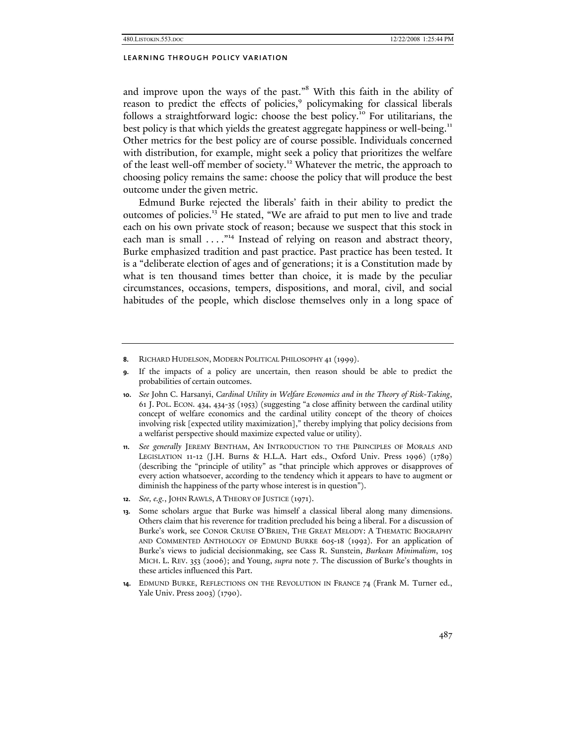and improve upon the ways of the past."<sup>8</sup> With this faith in the ability of reason to predict the effects of policies,<sup>9</sup> policymaking for classical liberals follows a straightforward logic: choose the best policy.10 For utilitarians, the best policy is that which yields the greatest aggregate happiness or well-being.<sup>11</sup> Other metrics for the best policy are of course possible. Individuals concerned with distribution, for example, might seek a policy that prioritizes the welfare of the least well-off member of society.<sup>12</sup> Whatever the metric, the approach to choosing policy remains the same: choose the policy that will produce the best outcome under the given metric.

Edmund Burke rejected the liberals' faith in their ability to predict the outcomes of policies.13 He stated, "We are afraid to put men to live and trade each on his own private stock of reason; because we suspect that this stock in each man is small . . . . "<sup>14</sup> Instead of relying on reason and abstract theory, Burke emphasized tradition and past practice. Past practice has been tested. It is a "deliberate election of ages and of generations; it is a Constitution made by what is ten thousand times better than choice, it is made by the peculiar circumstances, occasions, tempers, dispositions, and moral, civil, and social habitudes of the people, which disclose themselves only in a long space of

**<sup>8.</sup>** RICHARD HUDELSON, MODERN POLITICAL PHILOSOPHY 41 (1999).

**<sup>9.</sup>** If the impacts of a policy are uncertain, then reason should be able to predict the probabilities of certain outcomes.

**<sup>10.</sup>** *See* John C. Harsanyi, *Cardinal Utility in Welfare Economics and in the Theory of Risk-Taking*, 61 J. POL. ECON*.* 434, 434-35 (1953) (suggesting "a close affinity between the cardinal utility concept of welfare economics and the cardinal utility concept of the theory of choices involving risk [expected utility maximization]," thereby implying that policy decisions from a welfarist perspective should maximize expected value or utility).

**<sup>11.</sup>** *See generally* JEREMY BENTHAM, AN INTRODUCTION TO THE PRINCIPLES OF MORALS AND LEGISLATION 11-12 (J.H. Burns & H.L.A. Hart eds., Oxford Univ. Press 1996) (1789) (describing the "principle of utility" as "that principle which approves or disapproves of every action whatsoever, according to the tendency which it appears to have to augment or diminish the happiness of the party whose interest is in question").

**<sup>12.</sup>** *See, e.g.*, JOHN RAWLS, A THEORY OF JUSTICE (1971).

**<sup>13.</sup>** Some scholars argue that Burke was himself a classical liberal along many dimensions. Others claim that his reverence for tradition precluded his being a liberal. For a discussion of Burke's work, see CONOR CRUISE O'BRIEN, THE GREAT MELODY: A THEMATIC BIOGRAPHY AND COMMENTED ANTHOLOGY OF EDMUND BURKE 605-18 (1992). For an application of Burke's views to judicial decisionmaking, see Cass R. Sunstein, *Burkean Minimalism*, 105 MICH. L. REV. 353 (2006); and Young, *supra* note 7. The discussion of Burke's thoughts in these articles influenced this Part.

**<sup>14.</sup>** EDMUND BURKE, REFLECTIONS ON THE REVOLUTION IN FRANCE 74 (Frank M. Turner ed., Yale Univ. Press 2003) (1790).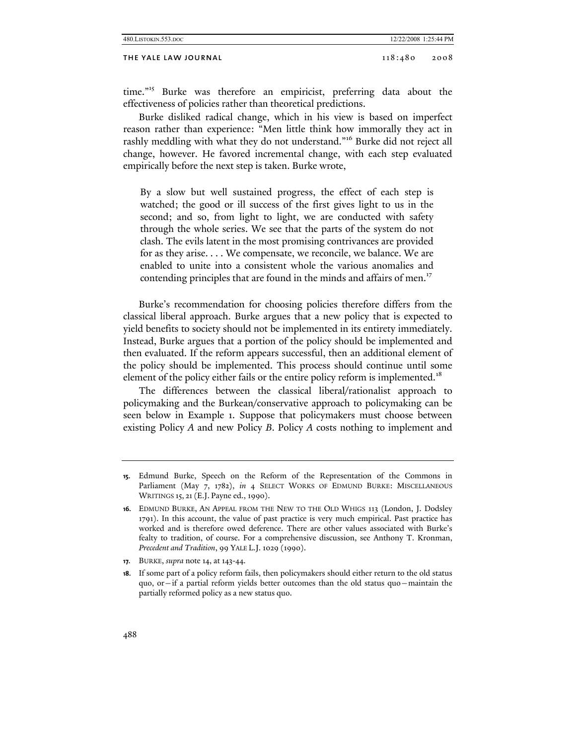#### THE YALE LAW JOURNAL 2008 2008 2008

time."15 Burke was therefore an empiricist, preferring data about the effectiveness of policies rather than theoretical predictions.

Burke disliked radical change, which in his view is based on imperfect reason rather than experience: "Men little think how immorally they act in rashly meddling with what they do not understand."<sup>16</sup> Burke did not reject all change, however. He favored incremental change, with each step evaluated empirically before the next step is taken. Burke wrote,

By a slow but well sustained progress, the effect of each step is watched; the good or ill success of the first gives light to us in the second; and so, from light to light, we are conducted with safety through the whole series. We see that the parts of the system do not clash. The evils latent in the most promising contrivances are provided for as they arise. . . . We compensate, we reconcile, we balance. We are enabled to unite into a consistent whole the various anomalies and contending principles that are found in the minds and affairs of men.<sup>17</sup>

Burke's recommendation for choosing policies therefore differs from the classical liberal approach. Burke argues that a new policy that is expected to yield benefits to society should not be implemented in its entirety immediately. Instead, Burke argues that a portion of the policy should be implemented and then evaluated. If the reform appears successful, then an additional element of the policy should be implemented. This process should continue until some element of the policy either fails or the entire policy reform is implemented.<sup>18</sup>

The differences between the classical liberal/rationalist approach to policymaking and the Burkean/conservative approach to policymaking can be seen below in Example 1. Suppose that policymakers must choose between existing Policy *A* and new Policy *B*. Policy *A* costs nothing to implement and

**<sup>15.</sup>** Edmund Burke, Speech on the Reform of the Representation of the Commons in Parliament (May 7, 1782), *in* 4 SELECT WORKS OF EDMUND BURKE: MISCELLANEOUS WRITINGS 15, 21(E.J. Payne ed., 1990).

**<sup>16.</sup>** EDMUND BURKE, AN APPEAL FROM THE NEW TO THE OLD WHIGS 113 (London, J. Dodsley 1791). In this account, the value of past practice is very much empirical. Past practice has worked and is therefore owed deference. There are other values associated with Burke's fealty to tradition, of course. For a comprehensive discussion, see Anthony T. Kronman, *Precedent and Tradition*, 99 YALE L.J. 1029 (1990).

**<sup>17.</sup>** BURKE, *supra* note 14, at 143-44.

**<sup>18.</sup>** If some part of a policy reform fails, then policymakers should either return to the old status quo, or—if a partial reform yields better outcomes than the old status quo—maintain the partially reformed policy as a new status quo.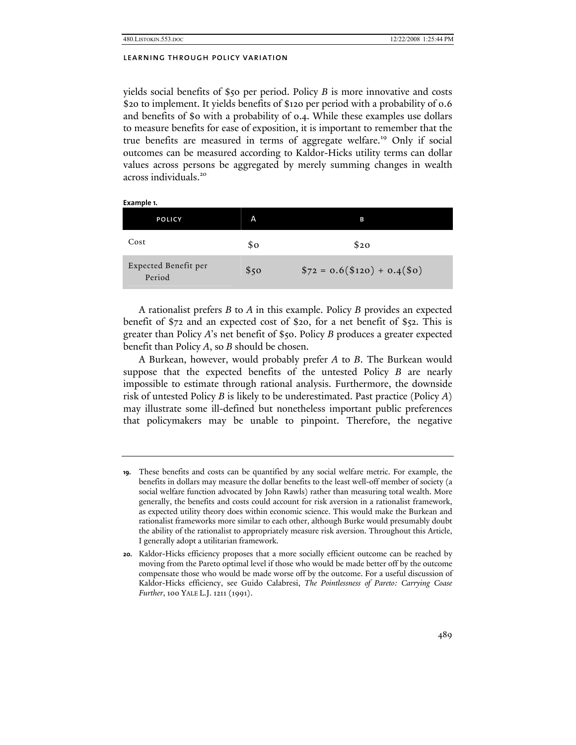yields social benefits of \$50 per period. Policy *B* is more innovative and costs \$20 to implement. It yields benefits of \$120 per period with a probability of 0.6 and benefits of \$0 with a probability of 0.4. While these examples use dollars to measure benefits for ease of exposition, it is important to remember that the true benefits are measured in terms of aggregate welfare.<sup>19</sup> Only if social outcomes can be measured according to Kaldor-Hicks utility terms can dollar values across persons be aggregated by merely summing changes in wealth across individuals.<sup>20</sup>

| Example 1.                     |      |                               |  |
|--------------------------------|------|-------------------------------|--|
| <b>POLICY</b>                  | A    | в                             |  |
| Cost                           | \$ο  | \$20                          |  |
| Expected Benefit per<br>Period | \$50 | $$72 = 0.6 ($120) + 0.4 ($0)$ |  |

A rationalist prefers *B* to *A* in this example. Policy *B* provides an expected benefit of \$72 and an expected cost of \$20, for a net benefit of \$52. This is greater than Policy *A*'s net benefit of \$50. Policy *B* produces a greater expected benefit than Policy *A*, so *B* should be chosen.

A Burkean, however, would probably prefer *A* to *B*. The Burkean would suppose that the expected benefits of the untested Policy *B* are nearly impossible to estimate through rational analysis. Furthermore, the downside risk of untested Policy *B* is likely to be underestimated. Past practice (Policy *A*) may illustrate some ill-defined but nonetheless important public preferences that policymakers may be unable to pinpoint. Therefore, the negative

**<sup>19.</sup>** These benefits and costs can be quantified by any social welfare metric. For example, the benefits in dollars may measure the dollar benefits to the least well-off member of society (a social welfare function advocated by John Rawls) rather than measuring total wealth. More generally, the benefits and costs could account for risk aversion in a rationalist framework, as expected utility theory does within economic science. This would make the Burkean and rationalist frameworks more similar to each other, although Burke would presumably doubt the ability of the rationalist to appropriately measure risk aversion. Throughout this Article, I generally adopt a utilitarian framework.

**<sup>20.</sup>** Kaldor-Hicks efficiency proposes that a more socially efficient outcome can be reached by moving from the Pareto optimal level if those who would be made better off by the outcome compensate those who would be made worse off by the outcome. For a useful discussion of Kaldor-Hicks efficiency, see Guido Calabresi, *The Pointlessness of Pareto: Carrying Coase Further*, 100 YALE L.J. 1211 (1991).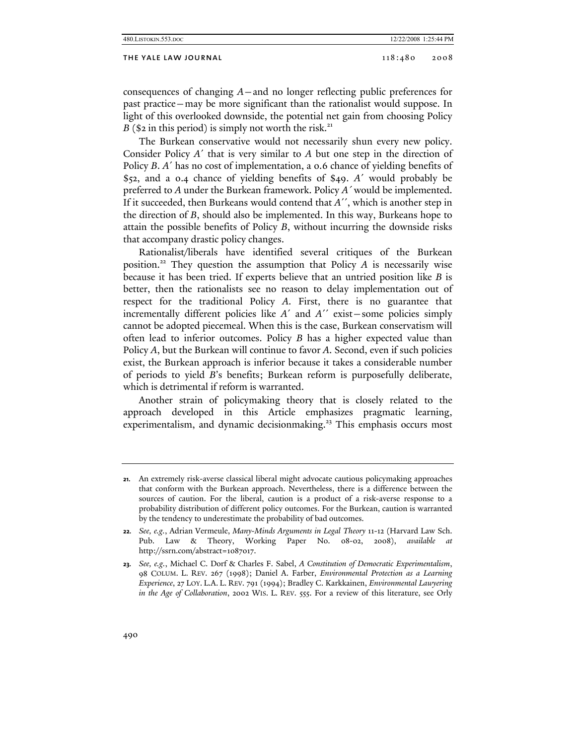#### THE YALE LAW JOURNAL 2008 2008 2008

consequences of changing *A*—and no longer reflecting public preferences for past practice—may be more significant than the rationalist would suppose. In light of this overlooked downside, the potential net gain from choosing Policy  $B$  (\$2 in this period) is simply not worth the risk.<sup>21</sup>

The Burkean conservative would not necessarily shun every new policy. Consider Policy *A*´ that is very similar to *A* but one step in the direction of Policy *B*. *A*´ has no cost of implementation, a 0.6 chance of yielding benefits of \$52, and a 0.4 chance of yielding benefits of \$49. *A*´ would probably be preferred to *A* under the Burkean framework. Policy *A´* would be implemented. If it succeeded, then Burkeans would contend that *A*´´, which is another step in the direction of *B*, should also be implemented. In this way, Burkeans hope to attain the possible benefits of Policy *B*, without incurring the downside risks that accompany drastic policy changes.

Rationalist/liberals have identified several critiques of the Burkean position.<sup>22</sup> They question the assumption that Policy  $A$  is necessarily wise because it has been tried. If experts believe that an untried position like *B* is better, then the rationalists see no reason to delay implementation out of respect for the traditional Policy *A*. First, there is no guarantee that incrementally different policies like *A*´ and *A*´´ exist—some policies simply cannot be adopted piecemeal. When this is the case, Burkean conservatism will often lead to inferior outcomes. Policy *B* has a higher expected value than Policy *A*, but the Burkean will continue to favor *A*. Second, even if such policies exist, the Burkean approach is inferior because it takes a considerable number of periods to yield *B*'s benefits; Burkean reform is purposefully deliberate, which is detrimental if reform is warranted.

Another strain of policymaking theory that is closely related to the approach developed in this Article emphasizes pragmatic learning, experimentalism, and dynamic decisionmaking.<sup>23</sup> This emphasis occurs most

**<sup>21.</sup>** An extremely risk-averse classical liberal might advocate cautious policymaking approaches that conform with the Burkean approach. Nevertheless, there is a difference between the sources of caution. For the liberal, caution is a product of a risk-averse response to a probability distribution of different policy outcomes. For the Burkean, caution is warranted by the tendency to underestimate the probability of bad outcomes.

**<sup>22.</sup>** *See, e.g.*, Adrian Vermeule, *Many-Minds Arguments in Legal Theory* 11-12 (Harvard Law Sch. Pub. Law & Theory, Working Paper No. 08-02, 2008), *available at* http://ssrn.com/abstract=1087017.

**<sup>23.</sup>** *See, e.g.*, Michael C. Dorf & Charles F. Sabel, *A Constitution of Democratic Experimentalism*, 98 COLUM. L. REV. 267 (1998); Daniel A. Farber, *Environmental Protection as a Learning Experience*, 27 LOY. L.A. L. REV. 791 (1994); Bradley C. Karkkainen, *Environmental Lawyering in the Age of Collaboration*, 2002 WIS. L. REV. 555. For a review of this literature, see Orly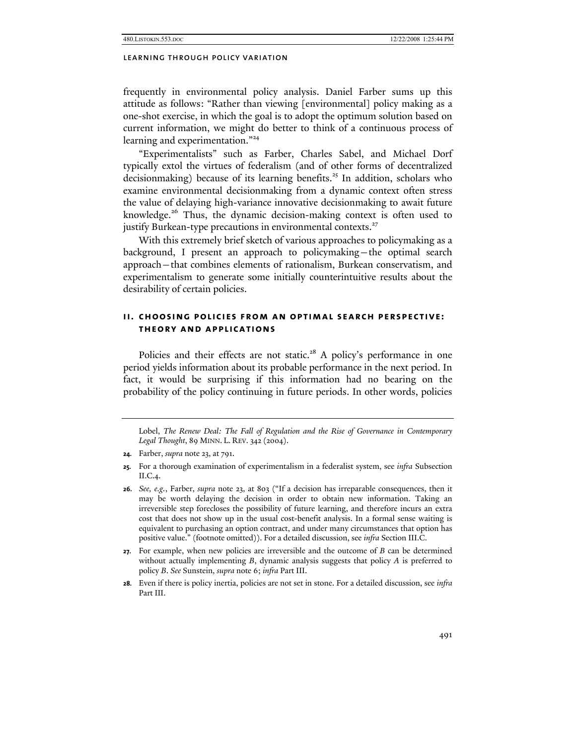frequently in environmental policy analysis. Daniel Farber sums up this attitude as follows: "Rather than viewing [environmental] policy making as a one-shot exercise, in which the goal is to adopt the optimum solution based on current information, we might do better to think of a continuous process of learning and experimentation."<sup>24</sup>

"Experimentalists" such as Farber, Charles Sabel, and Michael Dorf typically extol the virtues of federalism (and of other forms of decentralized decisionmaking) because of its learning benefits.<sup>25</sup> In addition, scholars who examine environmental decisionmaking from a dynamic context often stress the value of delaying high-variance innovative decisionmaking to await future knowledge.26 Thus, the dynamic decision-making context is often used to justify Burkean-type precautions in environmental contexts.<sup>27</sup>

With this extremely brief sketch of various approaches to policymaking as a background, I present an approach to policymaking—the optimal search approach—that combines elements of rationalism, Burkean conservatism, and experimentalism to generate some initially counterintuitive results about the desirability of certain policies.

## **ii. choosing policies from an optimal search perspective: theory and applications**

Policies and their effects are not static.<sup>28</sup> A policy's performance in one period yields information about its probable performance in the next period. In fact, it would be surprising if this information had no bearing on the probability of the policy continuing in future periods. In other words, policies

Lobel, *The Renew Deal: The Fall of Regulation and the Rise of Governance in Contemporary Legal Thought*, 89 MINN. L. REV. 342 (2004).

- **25.** For a thorough examination of experimentalism in a federalist system, see *infra* Subsection II.C.4.
- **26.** *See, e.g.*, Farber, *supra* note 23, at 803 ("If a decision has irreparable consequences, then it may be worth delaying the decision in order to obtain new information. Taking an irreversible step forecloses the possibility of future learning, and therefore incurs an extra cost that does not show up in the usual cost-benefit analysis. In a formal sense waiting is equivalent to purchasing an option contract, and under many circumstances that option has positive value." (footnote omitted)). For a detailed discussion, see *infra* Section III.C.
- **27.** For example, when new policies are irreversible and the outcome of *B* can be determined without actually implementing *B*, dynamic analysis suggests that policy *A* is preferred to policy *B*. *See* Sunstein, *supra* note 6; *infra* Part III.
- **28.** Even if there is policy inertia, policies are not set in stone. For a detailed discussion, see *infra*  Part III.

**<sup>24.</sup>** Farber, *supra* note 23, at 791.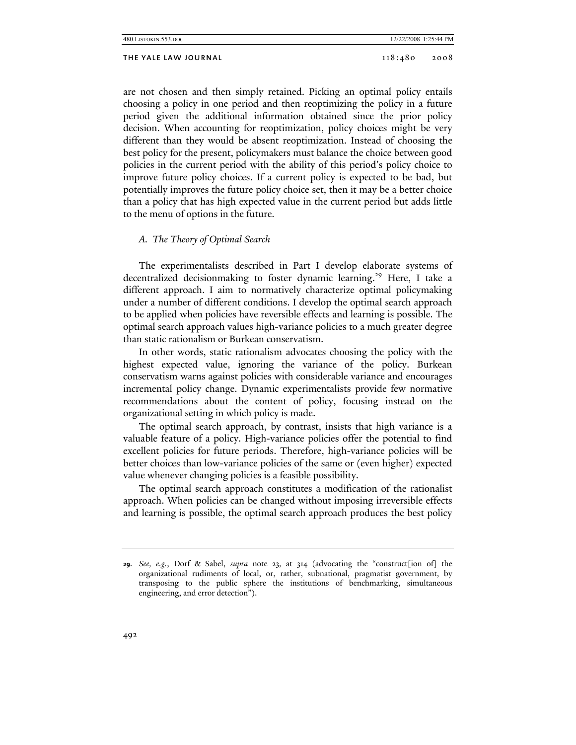## THE YALE LAW JOURNAL 2008 2008

are not chosen and then simply retained. Picking an optimal policy entails choosing a policy in one period and then reoptimizing the policy in a future period given the additional information obtained since the prior policy decision. When accounting for reoptimization, policy choices might be very different than they would be absent reoptimization. Instead of choosing the best policy for the present, policymakers must balance the choice between good policies in the current period with the ability of this period's policy choice to improve future policy choices. If a current policy is expected to be bad, but potentially improves the future policy choice set, then it may be a better choice than a policy that has high expected value in the current period but adds little to the menu of options in the future.

## *A. The Theory of Optimal Search*

The experimentalists described in Part I develop elaborate systems of decentralized decisionmaking to foster dynamic learning.<sup>29</sup> Here, I take a different approach. I aim to normatively characterize optimal policymaking under a number of different conditions. I develop the optimal search approach to be applied when policies have reversible effects and learning is possible. The optimal search approach values high-variance policies to a much greater degree than static rationalism or Burkean conservatism.

In other words, static rationalism advocates choosing the policy with the highest expected value, ignoring the variance of the policy. Burkean conservatism warns against policies with considerable variance and encourages incremental policy change. Dynamic experimentalists provide few normative recommendations about the content of policy, focusing instead on the organizational setting in which policy is made.

The optimal search approach, by contrast, insists that high variance is a valuable feature of a policy. High-variance policies offer the potential to find excellent policies for future periods. Therefore, high-variance policies will be better choices than low-variance policies of the same or (even higher) expected value whenever changing policies is a feasible possibility.

The optimal search approach constitutes a modification of the rationalist approach. When policies can be changed without imposing irreversible effects and learning is possible, the optimal search approach produces the best policy

**<sup>29.</sup>** *See, e.g.*, Dorf & Sabel, *supra* note 23, at 314 (advocating the "construct[ion of] the organizational rudiments of local, or, rather, subnational, pragmatist government, by transposing to the public sphere the institutions of benchmarking, simultaneous engineering, and error detection").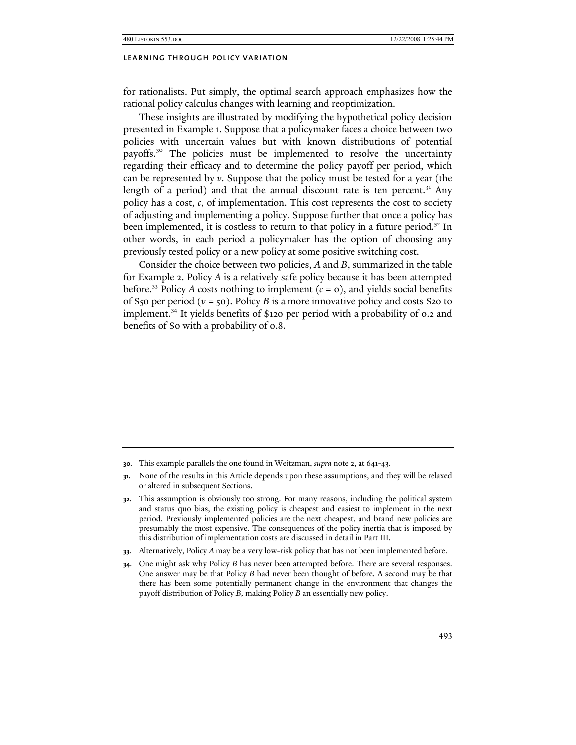for rationalists. Put simply, the optimal search approach emphasizes how the rational policy calculus changes with learning and reoptimization.

These insights are illustrated by modifying the hypothetical policy decision presented in Example 1. Suppose that a policymaker faces a choice between two policies with uncertain values but with known distributions of potential payoffs.30 The policies must be implemented to resolve the uncertainty regarding their efficacy and to determine the policy payoff per period, which can be represented by *v*. Suppose that the policy must be tested for a year (the length of a period) and that the annual discount rate is ten percent. $31$  Any policy has a cost, *c*, of implementation. This cost represents the cost to society of adjusting and implementing a policy. Suppose further that once a policy has been implemented, it is costless to return to that policy in a future period.<sup>32</sup> In other words, in each period a policymaker has the option of choosing any previously tested policy or a new policy at some positive switching cost.

Consider the choice between two policies, *A* and *B*, summarized in the table for Example 2. Policy *A* is a relatively safe policy because it has been attempted before.<sup>33</sup> Policy *A* costs nothing to implement  $(c = 0)$ , and yields social benefits of \$50 per period ( $v = 50$ ). Policy *B* is a more innovative policy and costs \$20 to implement.<sup>34</sup> It yields benefits of \$120 per period with a probability of 0.2 and benefits of \$0 with a probability of 0.8.

- **30.** This example parallels the one found in Weitzman, *supra* note 2, at 641-43.
- **31.** None of the results in this Article depends upon these assumptions, and they will be relaxed or altered in subsequent Sections.
- **32.** This assumption is obviously too strong. For many reasons, including the political system and status quo bias, the existing policy is cheapest and easiest to implement in the next period. Previously implemented policies are the next cheapest, and brand new policies are presumably the most expensive. The consequences of the policy inertia that is imposed by this distribution of implementation costs are discussed in detail in Part III.
- **33.** Alternatively, Policy *A* may be a very low-risk policy that has not been implemented before.
- **34.** One might ask why Policy *B* has never been attempted before. There are several responses. One answer may be that Policy *B* had never been thought of before. A second may be that there has been some potentially permanent change in the environment that changes the payoff distribution of Policy *B*, making Policy *B* an essentially new policy.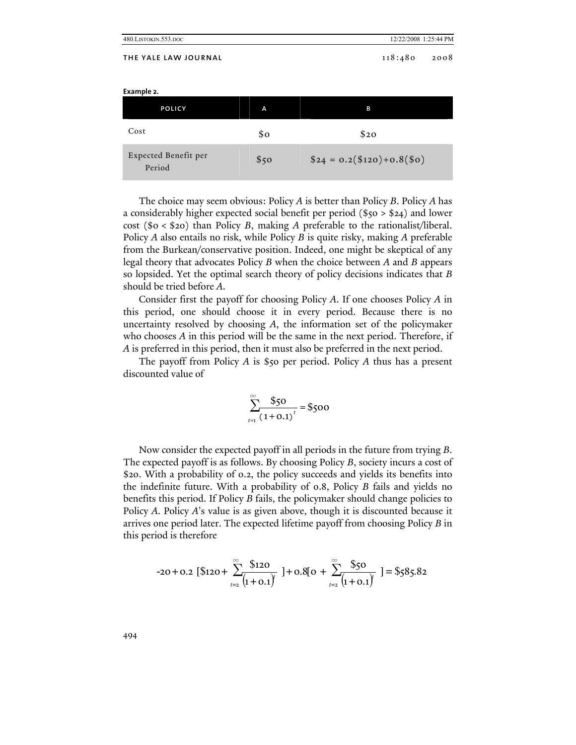| 480.LISTOKIN.553.DOC           |      | 12/22/2008 1:25:44 PM       |
|--------------------------------|------|-----------------------------|
| THE YALE LAW JOURNAL           |      | 118:480<br>2008             |
| Example 2.                     |      |                             |
| POLICY                         | A    | в                           |
| Cost                           | \$o  | \$20                        |
| Expected Benefit per<br>Period | \$50 | $$24 = 0.2 ($120)+0.8 ($0)$ |

The choice may seem obvious: Policy *A* is better than Policy *B*. Policy *A* has a considerably higher expected social benefit per period (\$50 > \$24) and lower cost (\$0 < \$20) than Policy *B*, making *A* preferable to the rationalist/liberal. Policy *A* also entails no risk, while Policy *B* is quite risky, making *A* preferable from the Burkean/conservative position. Indeed, one might be skeptical of any legal theory that advocates Policy *B* when the choice between *A* and *B* appears so lopsided. Yet the optimal search theory of policy decisions indicates that *B* should be tried before *A*.

Consider first the payoff for choosing Policy *A*. If one chooses Policy *A* in this period, one should choose it in every period. Because there is no uncertainty resolved by choosing *A*, the information set of the policymaker who chooses *A* in this period will be the same in the next period. Therefore, if *A* is preferred in this period, then it must also be preferred in the next period.

The payoff from Policy *A* is \$50 per period. Policy *A* thus has a present discounted value of

$$
\sum_{t=1}^{\infty} \frac{$50}{(1+0.1)^t} = $500
$$

Now consider the expected payoff in all periods in the future from trying *B*. The expected payoff is as follows. By choosing Policy *B*, society incurs a cost of \$20. With a probability of 0.2, the policy succeeds and yields its benefits into the indefinite future. With a probability of 0.8, Policy *B* fails and yields no benefits this period. If Policy *B* fails, the policymaker should change policies to Policy *A*. Policy *A*'s value is as given above, though it is discounted because it arrives one period later. The expected lifetime payoff from choosing Policy *B* in this period is therefore

$$
-20 + 0.2 \left[ \text{\$120} + \sum_{t=2}^{\infty} \frac{\text{\$120}}{(1 + 0.1)^t} \right] + 0.8[0 + \sum_{t=2}^{\infty} \frac{\text{\$50}}{(1 + 0.1)^t} \right] = \text{\$585.82}
$$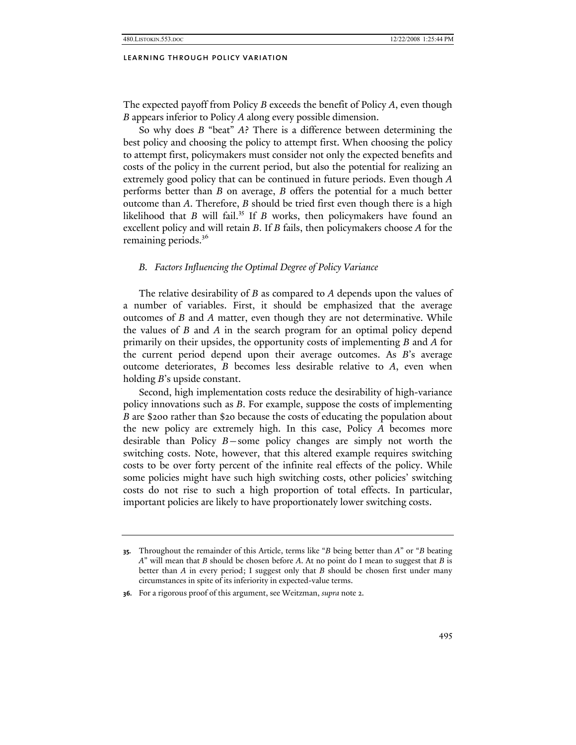The expected payoff from Policy *B* exceeds the benefit of Policy *A*, even though *B* appears inferior to Policy *A* along every possible dimension.

So why does *B* "beat" *A*? There is a difference between determining the best policy and choosing the policy to attempt first. When choosing the policy to attempt first, policymakers must consider not only the expected benefits and costs of the policy in the current period, but also the potential for realizing an extremely good policy that can be continued in future periods. Even though *A* performs better than *B* on average, *B* offers the potential for a much better outcome than *A*. Therefore, *B* should be tried first even though there is a high likelihood that *B* will fail.<sup>35</sup> If *B* works, then policymakers have found an excellent policy and will retain *B*. If *B* fails, then policymakers choose *A* for the remaining periods.<sup>36</sup>

#### *B. Factors Influencing the Optimal Degree of Policy Variance*

The relative desirability of *B* as compared to *A* depends upon the values of a number of variables. First, it should be emphasized that the average outcomes of *B* and *A* matter, even though they are not determinative. While the values of *B* and *A* in the search program for an optimal policy depend primarily on their upsides, the opportunity costs of implementing *B* and *A* for the current period depend upon their average outcomes. As *B*'s average outcome deteriorates, *B* becomes less desirable relative to *A*, even when holding *B*'s upside constant.

Second, high implementation costs reduce the desirability of high-variance policy innovations such as *B*. For example, suppose the costs of implementing *B* are \$200 rather than \$20 because the costs of educating the population about the new policy are extremely high. In this case, Policy *A* becomes more desirable than Policy *B*—some policy changes are simply not worth the switching costs. Note, however, that this altered example requires switching costs to be over forty percent of the infinite real effects of the policy. While some policies might have such high switching costs, other policies' switching costs do not rise to such a high proportion of total effects. In particular, important policies are likely to have proportionately lower switching costs.

**<sup>35.</sup>** Throughout the remainder of this Article, terms like "*B* being better than *A*" or "*B* beating *A*" will mean that *B* should be chosen before *A*. At no point do I mean to suggest that *B* is better than *A* in every period; I suggest only that *B* should be chosen first under many circumstances in spite of its inferiority in expected-value terms.

**<sup>36.</sup>** For a rigorous proof of this argument, see Weitzman, *supra* note 2.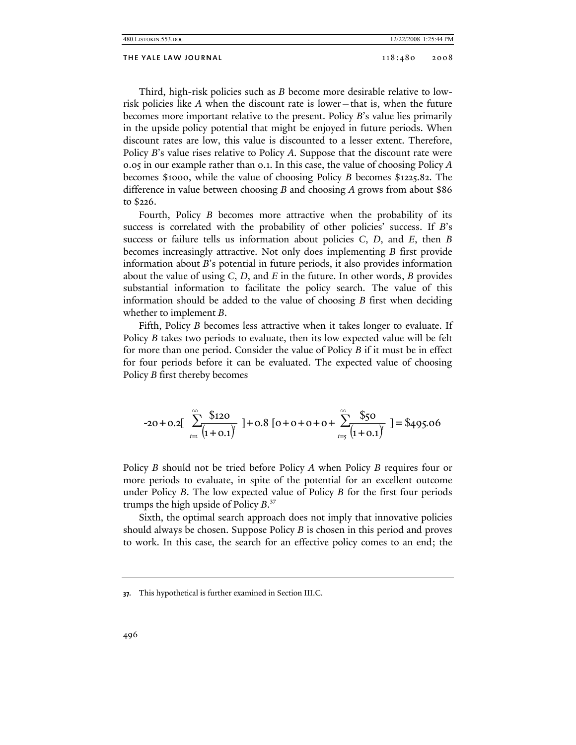| 480.LISTOKIN.553.DOC<br>12/22/2008 1:25:44 PM |                 |
|-----------------------------------------------|-----------------|
| THE YALE LAW JOURNAL                          | 118:480<br>2008 |

Third, high-risk policies such as *B* become more desirable relative to lowrisk policies like *A* when the discount rate is lower—that is, when the future becomes more important relative to the present. Policy *B*'s value lies primarily in the upside policy potential that might be enjoyed in future periods. When discount rates are low, this value is discounted to a lesser extent. Therefore, Policy *B*'s value rises relative to Policy *A*. Suppose that the discount rate were 0.05 in our example rather than 0.1. In this case, the value of choosing Policy *A* becomes \$1000, while the value of choosing Policy *B* becomes \$1225.82. The difference in value between choosing *B* and choosing *A* grows from about \$86 to \$226.

Fourth, Policy *B* becomes more attractive when the probability of its success is correlated with the probability of other policies' success. If *B*'s success or failure tells us information about policies *C*, *D*, and *E*, then *B* becomes increasingly attractive. Not only does implementing *B* first provide information about *B*'s potential in future periods, it also provides information about the value of using *C*, *D*, and *E* in the future. In other words, *B* provides substantial information to facilitate the policy search. The value of this information should be added to the value of choosing *B* first when deciding whether to implement *B*.

Fifth, Policy *B* becomes less attractive when it takes longer to evaluate. If Policy *B* takes two periods to evaluate, then its low expected value will be felt for more than one period. Consider the value of Policy *B* if it must be in effect for four periods before it can be evaluated. The expected value of choosing Policy *B* first thereby becomes

$$
-20 + 0.2\left[\sum_{t=1}^{\infty} \frac{\$120}{(1+0.1)^t} \right] + 0.8\left[0 + 0 + 0 + 0 + \sum_{t=5}^{\infty} \frac{\$50}{(1+0.1)^t} \right] = \$495.06
$$

Policy *B* should not be tried before Policy *A* when Policy *B* requires four or more periods to evaluate, in spite of the potential for an excellent outcome under Policy *B*. The low expected value of Policy *B* for the first four periods trumps the high upside of Policy *B*. 37

Sixth, the optimal search approach does not imply that innovative policies should always be chosen. Suppose Policy *B* is chosen in this period and proves to work. In this case, the search for an effective policy comes to an end; the

**<sup>37.</sup>** This hypothetical is further examined in Section III.C.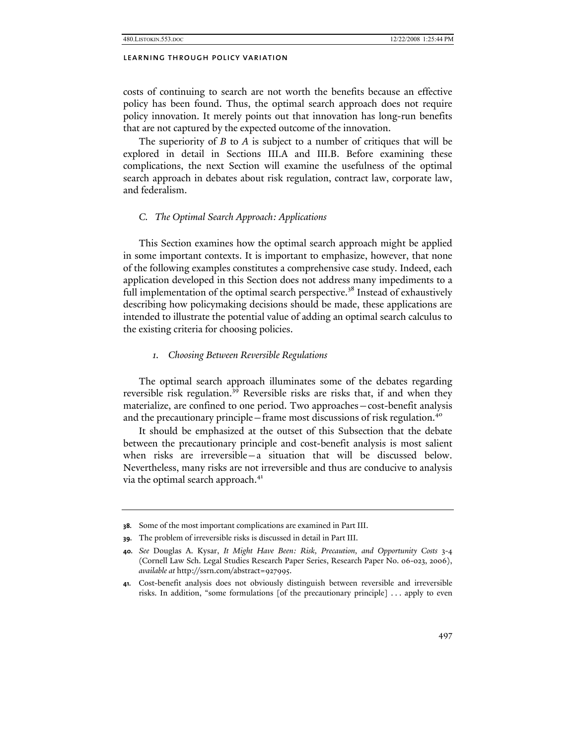costs of continuing to search are not worth the benefits because an effective policy has been found. Thus, the optimal search approach does not require policy innovation. It merely points out that innovation has long-run benefits that are not captured by the expected outcome of the innovation.

The superiority of *B* to *A* is subject to a number of critiques that will be explored in detail in Sections III.A and III.B. Before examining these complications, the next Section will examine the usefulness of the optimal search approach in debates about risk regulation, contract law, corporate law, and federalism.

## *C. The Optimal Search Approach: Applications*

This Section examines how the optimal search approach might be applied in some important contexts. It is important to emphasize, however, that none of the following examples constitutes a comprehensive case study. Indeed, each application developed in this Section does not address many impediments to a full implementation of the optimal search perspective.<sup>38</sup> Instead of exhaustively describing how policymaking decisions should be made, these applications are intended to illustrate the potential value of adding an optimal search calculus to the existing criteria for choosing policies.

## *1. Choosing Between Reversible Regulations*

The optimal search approach illuminates some of the debates regarding reversible risk regulation.<sup>39</sup> Reversible risks are risks that, if and when they materialize, are confined to one period. Two approaches—cost-benefit analysis and the precautionary principle—frame most discussions of risk regulation.<sup>40</sup>

It should be emphasized at the outset of this Subsection that the debate between the precautionary principle and cost-benefit analysis is most salient when risks are irreversible—a situation that will be discussed below. Nevertheless, many risks are not irreversible and thus are conducive to analysis via the optimal search approach.<sup>41</sup>

**<sup>38.</sup>** Some of the most important complications are examined in Part III.

**<sup>39.</sup>** The problem of irreversible risks is discussed in detail in Part III.

**<sup>40.</sup>** *See* Douglas A. Kysar, *It Might Have Been: Risk, Precaution, and Opportunity Costs* 3-4 (Cornell Law Sch. Legal Studies Research Paper Series, Research Paper No. 06-023, 2006), *available at* http://ssrn.com/abstract=927995.

**<sup>41.</sup>** Cost-benefit analysis does not obviously distinguish between reversible and irreversible risks. In addition, "some formulations [of the precautionary principle] . . . apply to even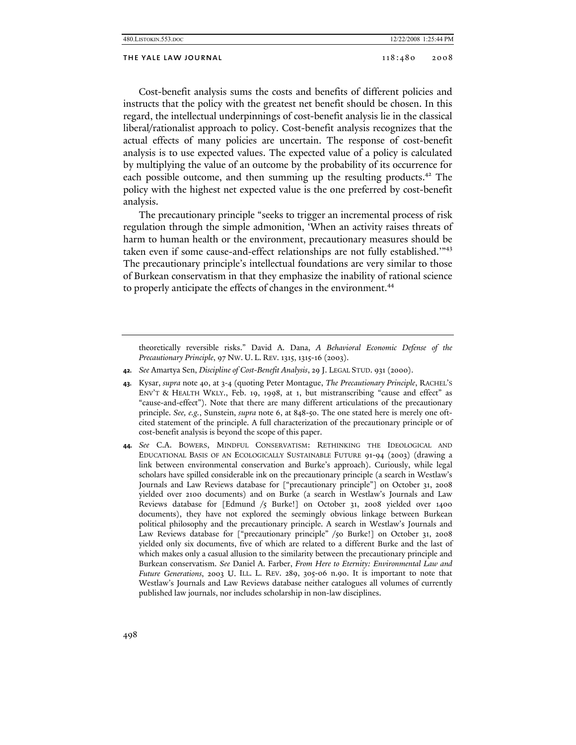| 480.LISTOKIN.553.DOC | 12/22/2008 1:25:44 PM |
|----------------------|-----------------------|
|                      |                       |

## THE YALE LAW JOURNAL 118:480 2008

Cost-benefit analysis sums the costs and benefits of different policies and instructs that the policy with the greatest net benefit should be chosen. In this regard, the intellectual underpinnings of cost-benefit analysis lie in the classical liberal/rationalist approach to policy. Cost-benefit analysis recognizes that the actual effects of many policies are uncertain. The response of cost-benefit analysis is to use expected values. The expected value of a policy is calculated by multiplying the value of an outcome by the probability of its occurrence for each possible outcome, and then summing up the resulting products.<sup>42</sup> The policy with the highest net expected value is the one preferred by cost-benefit analysis.

The precautionary principle "seeks to trigger an incremental process of risk regulation through the simple admonition, 'When an activity raises threats of harm to human health or the environment, precautionary measures should be taken even if some cause-and-effect relationships are not fully established.'"<sup>43</sup> The precautionary principle's intellectual foundations are very similar to those of Burkean conservatism in that they emphasize the inability of rational science to properly anticipate the effects of changes in the environment.<sup>44</sup>

theoretically reversible risks." David A. Dana, *A Behavioral Economic Defense of the Precautionary Principle*, 97 NW. U. L. REV. 1315, 1315-16 (2003).

**42.** *See* Amartya Sen, *Discipline of Cost-Benefit Analysis*, 29 J. LEGAL STUD. 931 (2000).

**43.** Kysar, *supra* note 40, at 3-4 (quoting Peter Montague, *The Precautionary Principle*, RACHEL'S ENV'T & HEALTH WKLY., Feb. 19, 1998, at 1, but mistranscribing "cause and effect" as "cause-and-effect"). Note that there are many different articulations of the precautionary principle. *See, e.g.*, Sunstein, *supra* note 6, at 848-50. The one stated here is merely one oftcited statement of the principle. A full characterization of the precautionary principle or of cost-benefit analysis is beyond the scope of this paper.

**44.** *See* C.A. BOWERS, MINDFUL CONSERVATISM: RETHINKING THE IDEOLOGICAL AND EDUCATIONAL BASIS OF AN ECOLOGICALLY SUSTAINABLE FUTURE 91-94 (2003) (drawing a link between environmental conservation and Burke's approach). Curiously, while legal scholars have spilled considerable ink on the precautionary principle (a search in Westlaw's Journals and Law Reviews database for ["precautionary principle"] on October 31, 2008 yielded over 2100 documents) and on Burke (a search in Westlaw's Journals and Law Reviews database for [Edmund /5 Burke!] on October 31, 2008 yielded over 1400 documents), they have not explored the seemingly obvious linkage between Burkean political philosophy and the precautionary principle. A search in Westlaw's Journals and Law Reviews database for ["precautionary principle" /50 Burke!] on October 31, 2008 yielded only six documents, five of which are related to a different Burke and the last of which makes only a casual allusion to the similarity between the precautionary principle and Burkean conservatism. *See* Daniel A. Farber, *From Here to Eternity: Environmental Law and Future Generations*, 2003 U. ILL. L. REV. 289, 305-06 n.90. It is important to note that Westlaw's Journals and Law Reviews database neither catalogues all volumes of currently published law journals, nor includes scholarship in non-law disciplines.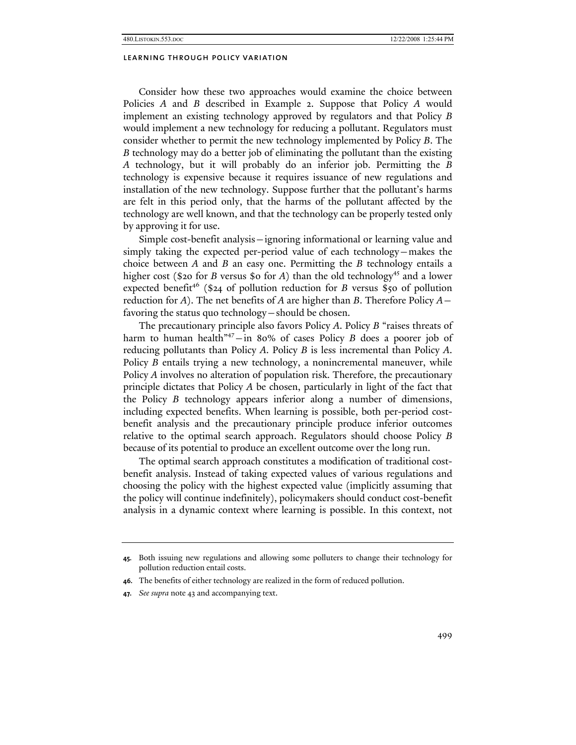Consider how these two approaches would examine the choice between Policies *A* and *B* described in Example 2. Suppose that Policy *A* would implement an existing technology approved by regulators and that Policy *B* would implement a new technology for reducing a pollutant. Regulators must consider whether to permit the new technology implemented by Policy *B*. The *B* technology may do a better job of eliminating the pollutant than the existing *A* technology, but it will probably do an inferior job. Permitting the *B* technology is expensive because it requires issuance of new regulations and installation of the new technology. Suppose further that the pollutant's harms are felt in this period only, that the harms of the pollutant affected by the technology are well known, and that the technology can be properly tested only by approving it for use.

Simple cost-benefit analysis—ignoring informational or learning value and simply taking the expected per-period value of each technology—makes the choice between *A* and *B* an easy one. Permitting the *B* technology entails a higher cost (\$20 for *B* versus \$0 for *A*) than the old technology<sup>45</sup> and a lower expected benefit<sup>46</sup> (\$24 of pollution reduction for *B* versus \$50 of pollution reduction for *A*). The net benefits of *A* are higher than *B*. Therefore Policy *A* favoring the status quo technology—should be chosen.

The precautionary principle also favors Policy *A*. Policy *B* "raises threats of harm to human health<sup>"47</sup>-in 80% of cases Policy *B* does a poorer job of reducing pollutants than Policy *A*. Policy *B* is less incremental than Policy *A*. Policy *B* entails trying a new technology, a nonincremental maneuver, while Policy *A* involves no alteration of population risk. Therefore, the precautionary principle dictates that Policy *A* be chosen, particularly in light of the fact that the Policy *B* technology appears inferior along a number of dimensions, including expected benefits. When learning is possible, both per-period costbenefit analysis and the precautionary principle produce inferior outcomes relative to the optimal search approach. Regulators should choose Policy *B* because of its potential to produce an excellent outcome over the long run.

The optimal search approach constitutes a modification of traditional costbenefit analysis. Instead of taking expected values of various regulations and choosing the policy with the highest expected value (implicitly assuming that the policy will continue indefinitely), policymakers should conduct cost-benefit analysis in a dynamic context where learning is possible. In this context, not

**<sup>45.</sup>** Both issuing new regulations and allowing some polluters to change their technology for pollution reduction entail costs.

**<sup>46.</sup>** The benefits of either technology are realized in the form of reduced pollution.

**<sup>47.</sup>** *See supra* note 43 and accompanying text.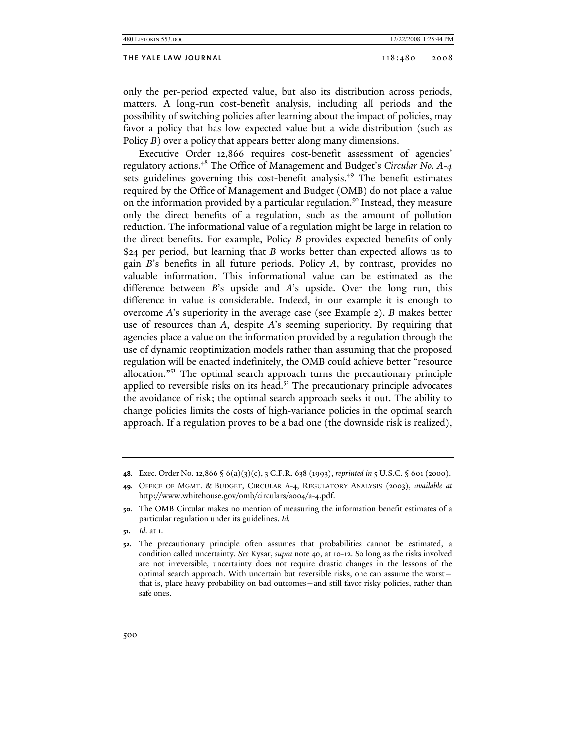#### THE YALE LAW JOURNAL 2008 2008 2008

only the per-period expected value, but also its distribution across periods, matters. A long-run cost-benefit analysis, including all periods and the possibility of switching policies after learning about the impact of policies, may favor a policy that has low expected value but a wide distribution (such as Policy *B*) over a policy that appears better along many dimensions.

Executive Order 12,866 requires cost-benefit assessment of agencies' regulatory actions.48 The Office of Management and Budget's *Circular No. A-4* sets guidelines governing this cost-benefit analysis.<sup>49</sup> The benefit estimates required by the Office of Management and Budget (OMB) do not place a value on the information provided by a particular regulation.<sup>50</sup> Instead, they measure only the direct benefits of a regulation, such as the amount of pollution reduction. The informational value of a regulation might be large in relation to the direct benefits. For example, Policy *B* provides expected benefits of only \$24 per period, but learning that *B* works better than expected allows us to gain *B*'s benefits in all future periods. Policy *A*, by contrast, provides no valuable information. This informational value can be estimated as the difference between *B*'s upside and *A*'s upside. Over the long run, this difference in value is considerable. Indeed, in our example it is enough to overcome *A*'s superiority in the average case (see Example 2). *B* makes better use of resources than *A*, despite *A*'s seeming superiority. By requiring that agencies place a value on the information provided by a regulation through the use of dynamic reoptimization models rather than assuming that the proposed regulation will be enacted indefinitely, the OMB could achieve better "resource allocation."51 The optimal search approach turns the precautionary principle applied to reversible risks on its head.<sup>52</sup> The precautionary principle advocates the avoidance of risk; the optimal search approach seeks it out. The ability to change policies limits the costs of high-variance policies in the optimal search approach. If a regulation proves to be a bad one (the downside risk is realized),

**<sup>48.</sup>** Exec. Order No. 12,866 § 6(a)(3)(c), 3 C.F.R. 638 (1993), *reprinted in* 5 U.S.C. § 601 (2000).

**<sup>49.</sup>** OFFICE OF MGMT. & BUDGET, CIRCULAR A-4, REGULATORY ANALYSIS (2003), *available at* http://www.whitehouse.gov/omb/circulars/a004/a-4.pdf.

**<sup>50.</sup>** The OMB Circular makes no mention of measuring the information benefit estimates of a particular regulation under its guidelines. *Id.* 

**<sup>51.</sup>** *Id.* at 1.

**<sup>52.</sup>** The precautionary principle often assumes that probabilities cannot be estimated, a condition called uncertainty. *See* Kysar, *supra* note 40, at 10-12. So long as the risks involved are not irreversible, uncertainty does not require drastic changes in the lessons of the optimal search approach. With uncertain but reversible risks, one can assume the worst that is, place heavy probability on bad outcomes—and still favor risky policies, rather than safe ones.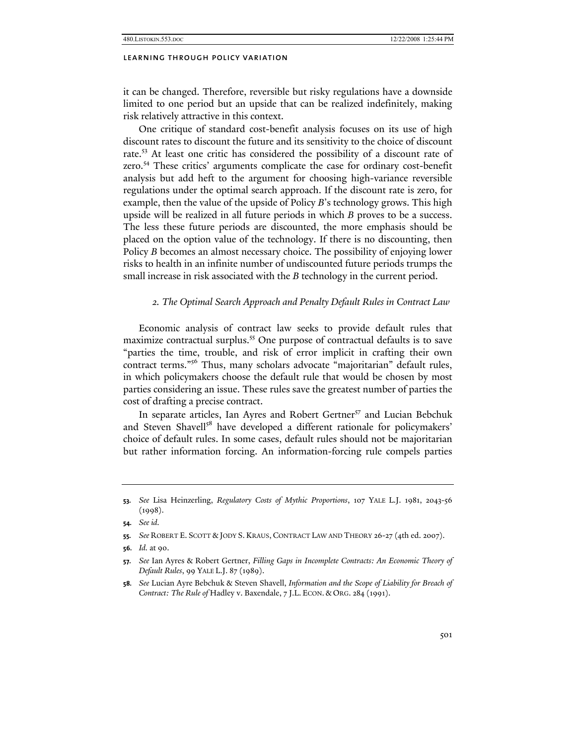it can be changed. Therefore, reversible but risky regulations have a downside limited to one period but an upside that can be realized indefinitely, making risk relatively attractive in this context.

One critique of standard cost-benefit analysis focuses on its use of high discount rates to discount the future and its sensitivity to the choice of discount rate.<sup>53</sup> At least one critic has considered the possibility of a discount rate of zero.54 These critics' arguments complicate the case for ordinary cost-benefit analysis but add heft to the argument for choosing high-variance reversible regulations under the optimal search approach. If the discount rate is zero, for example, then the value of the upside of Policy *B*'s technology grows. This high upside will be realized in all future periods in which *B* proves to be a success. The less these future periods are discounted, the more emphasis should be placed on the option value of the technology. If there is no discounting, then Policy *B* becomes an almost necessary choice. The possibility of enjoying lower risks to health in an infinite number of undiscounted future periods trumps the small increase in risk associated with the *B* technology in the current period.

#### *2. The Optimal Search Approach and Penalty Default Rules in Contract Law*

Economic analysis of contract law seeks to provide default rules that maximize contractual surplus.<sup>55</sup> One purpose of contractual defaults is to save "parties the time, trouble, and risk of error implicit in crafting their own contract terms."56 Thus, many scholars advocate "majoritarian" default rules, in which policymakers choose the default rule that would be chosen by most parties considering an issue. These rules save the greatest number of parties the cost of drafting a precise contract.

In separate articles, Ian Ayres and Robert Gertner<sup>57</sup> and Lucian Bebchuk and Steven Shavell<sup>58</sup> have developed a different rationale for policymakers' choice of default rules. In some cases, default rules should not be majoritarian but rather information forcing. An information-forcing rule compels parties

**<sup>53.</sup>** *See* Lisa Heinzerling, *Regulatory Costs of Mythic Proportions*, 107 YALE L.J. 1981, 2043-56  $(1998).$ 

**<sup>54.</sup>** *See id.*

**<sup>55.</sup>** *See* ROBERT E. SCOTT & JODY S. KRAUS, CONTRACT LAW AND THEORY 26-27 (4th ed. 2007).

**<sup>56.</sup>** *Id.* at 90.

**<sup>57.</sup>** *See* Ian Ayres & Robert Gertner, *Filling Gaps in Incomplete Contracts: An Economic Theory of Default Rules*, 99 YALE L.J. 87 (1989).

**<sup>58.</sup>** *See* Lucian Ayre Bebchuk & Steven Shavell, *Information and the Scope of Liability for Breach of Contract: The Rule of* Hadley v. Baxendale, 7 J.L. ECON. & ORG. 284 (1991).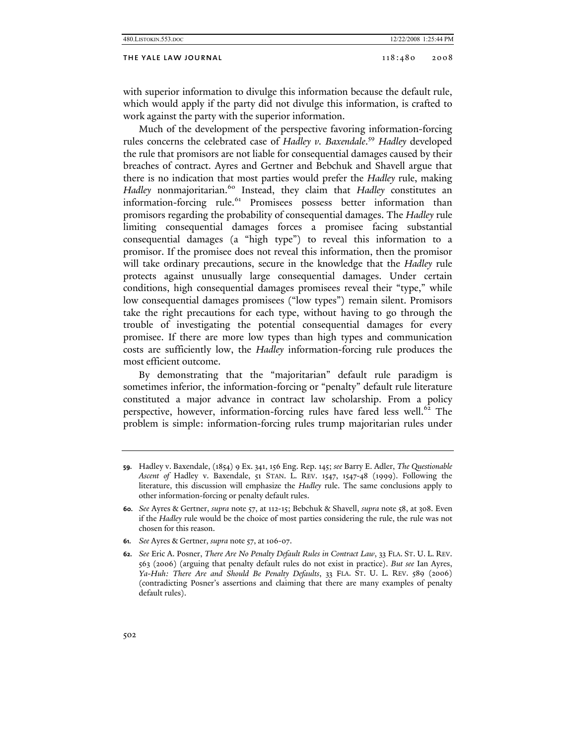| 480. LISTOKIN. 553. DOC | 12/22/2008<br>1:25:44 PM<br>the contract of the contract of the contract of the contract of the contract of |
|-------------------------|-------------------------------------------------------------------------------------------------------------|
|                         |                                                                                                             |

## THE YALE LAW JOURNAL 118:480 2008

with superior information to divulge this information because the default rule, which would apply if the party did not divulge this information, is crafted to work against the party with the superior information.

Much of the development of the perspective favoring information-forcing rules concerns the celebrated case of *Hadley v. Baxendale*. <sup>59</sup> *Hadley* developed the rule that promisors are not liable for consequential damages caused by their breaches of contract. Ayres and Gertner and Bebchuk and Shavell argue that there is no indication that most parties would prefer the *Hadley* rule, making *Hadley* nonmajoritarian.<sup>60</sup> Instead, they claim that *Hadley* constitutes an information-forcing rule.<sup>61</sup> Promisees possess better information than promisors regarding the probability of consequential damages. The *Hadley* rule limiting consequential damages forces a promisee facing substantial consequential damages (a "high type") to reveal this information to a promisor. If the promisee does not reveal this information, then the promisor will take ordinary precautions, secure in the knowledge that the *Hadley* rule protects against unusually large consequential damages. Under certain conditions, high consequential damages promisees reveal their "type," while low consequential damages promisees ("low types") remain silent. Promisors take the right precautions for each type, without having to go through the trouble of investigating the potential consequential damages for every promisee. If there are more low types than high types and communication costs are sufficiently low, the *Hadley* information-forcing rule produces the most efficient outcome.

By demonstrating that the "majoritarian" default rule paradigm is sometimes inferior, the information-forcing or "penalty" default rule literature constituted a major advance in contract law scholarship. From a policy perspective, however, information-forcing rules have fared less well.<sup>62</sup> The problem is simple: information-forcing rules trump majoritarian rules under

**61.** *See* Ayres & Gertner, *supra* note 57, at 106-07.

**<sup>59.</sup>** Hadley v. Baxendale, (1854) 9 Ex. 341, 156 Eng. Rep. 145; *see* Barry E. Adler, *The Questionable Ascent of* Hadley v. Baxendale, 51 STAN. L. REV. 1547, 1547-48 (1999). Following the literature, this discussion will emphasize the *Hadley* rule. The same conclusions apply to other information-forcing or penalty default rules.

**<sup>60.</sup>** *See* Ayres & Gertner, *supra* note 57, at 112-15; Bebchuk & Shavell, *supra* note 58, at 308. Even if the *Hadley* rule would be the choice of most parties considering the rule, the rule was not chosen for this reason.

**<sup>62.</sup>** *See* Eric A. Posner, *There Are No Penalty Default Rules in Contract Law*, 33 FLA. ST. U. L. REV. 563 (2006) (arguing that penalty default rules do not exist in practice). *But see* Ian Ayres, *Ya-Huh: There Are and Should Be Penalty Defaults*, 33 FLA. ST. U. L. REV. 589 (2006) (contradicting Posner's assertions and claiming that there are many examples of penalty default rules).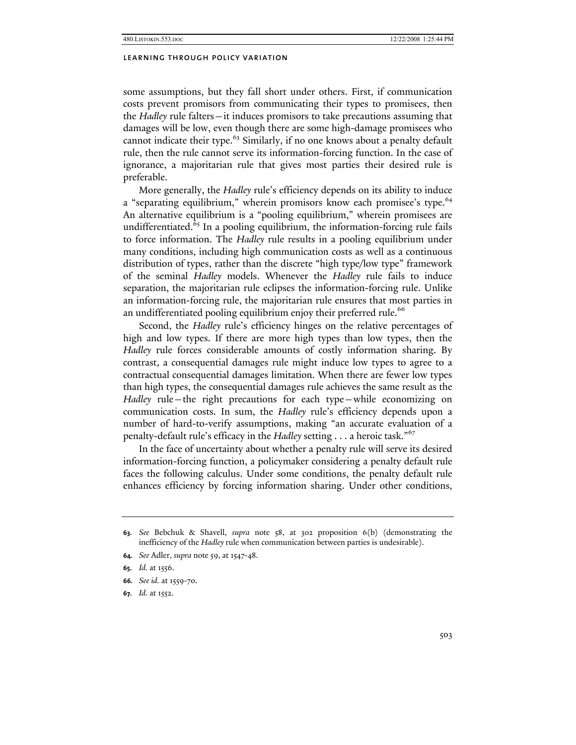some assumptions, but they fall short under others. First, if communication costs prevent promisors from communicating their types to promisees, then the *Hadley* rule falters—it induces promisors to take precautions assuming that damages will be low, even though there are some high-damage promisees who cannot indicate their type.<sup>63</sup> Similarly, if no one knows about a penalty default rule, then the rule cannot serve its information-forcing function. In the case of ignorance, a majoritarian rule that gives most parties their desired rule is preferable.

More generally, the *Hadley* rule's efficiency depends on its ability to induce a "separating equilibrium," wherein promisors know each promisee's type.<sup>64</sup> An alternative equilibrium is a "pooling equilibrium," wherein promisees are undifferentiated.<sup>65</sup> In a pooling equilibrium, the information-forcing rule fails to force information. The *Hadley* rule results in a pooling equilibrium under many conditions, including high communication costs as well as a continuous distribution of types, rather than the discrete "high type/low type" framework of the seminal *Hadley* models. Whenever the *Hadley* rule fails to induce separation, the majoritarian rule eclipses the information-forcing rule. Unlike an information-forcing rule, the majoritarian rule ensures that most parties in an undifferentiated pooling equilibrium enjoy their preferred rule.<sup>66</sup>

Second, the *Hadley* rule's efficiency hinges on the relative percentages of high and low types. If there are more high types than low types, then the *Hadley* rule forces considerable amounts of costly information sharing. By contrast, a consequential damages rule might induce low types to agree to a contractual consequential damages limitation. When there are fewer low types than high types, the consequential damages rule achieves the same result as the *Hadley* rule—the right precautions for each type—while economizing on communication costs. In sum, the *Hadley* rule's efficiency depends upon a number of hard-to-verify assumptions, making "an accurate evaluation of a penalty-default rule's efficacy in the *Hadley* setting . . . a heroic task."<sup>67</sup>

In the face of uncertainty about whether a penalty rule will serve its desired information-forcing function, a policymaker considering a penalty default rule faces the following calculus. Under some conditions, the penalty default rule enhances efficiency by forcing information sharing. Under other conditions,

**<sup>63.</sup>** *See* Bebchuk & Shavell, *supra* note 58, at 302 proposition 6(b) (demonstrating the inefficiency of the *Hadley* rule when communication between parties is undesirable).

**<sup>64.</sup>** *See* Adler, *supra* note 59, at 1547-48.

**<sup>65.</sup>** *Id.* at 1556.

**<sup>66.</sup>** *See id.* at 1559-70.

**<sup>67.</sup>** *Id.* at 1552.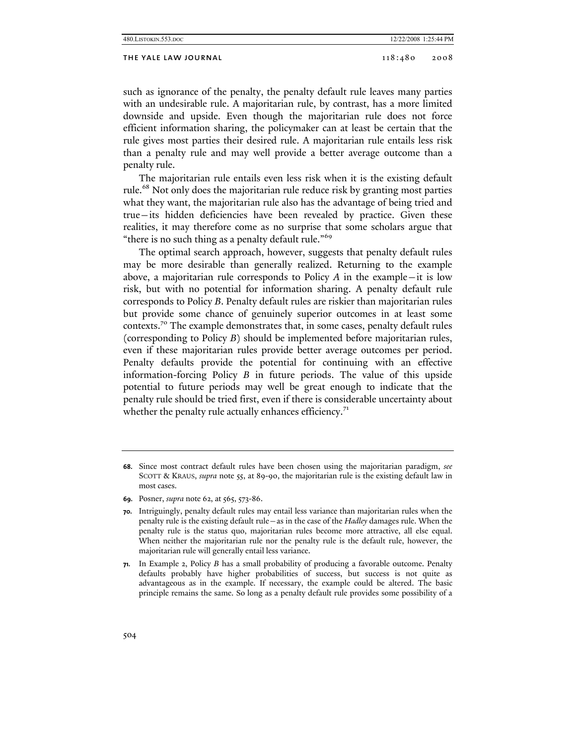| 480.Listokin.553.doc |  |
|----------------------|--|
|----------------------|--|

#### THE YALE LAW JOURNAL 118:480 2008

such as ignorance of the penalty, the penalty default rule leaves many parties with an undesirable rule. A majoritarian rule, by contrast, has a more limited downside and upside. Even though the majoritarian rule does not force efficient information sharing, the policymaker can at least be certain that the rule gives most parties their desired rule. A majoritarian rule entails less risk than a penalty rule and may well provide a better average outcome than a penalty rule.

The majoritarian rule entails even less risk when it is the existing default rule.<sup>68</sup> Not only does the majoritarian rule reduce risk by granting most parties what they want, the majoritarian rule also has the advantage of being tried and true—its hidden deficiencies have been revealed by practice. Given these realities, it may therefore come as no surprise that some scholars argue that "there is no such thing as a penalty default rule."<sup>69</sup>

The optimal search approach, however, suggests that penalty default rules may be more desirable than generally realized. Returning to the example above, a majoritarian rule corresponds to Policy *A* in the example—it is low risk, but with no potential for information sharing. A penalty default rule corresponds to Policy *B*. Penalty default rules are riskier than majoritarian rules but provide some chance of genuinely superior outcomes in at least some contexts.<sup>70</sup> The example demonstrates that, in some cases, penalty default rules (corresponding to Policy *B*) should be implemented before majoritarian rules, even if these majoritarian rules provide better average outcomes per period. Penalty defaults provide the potential for continuing with an effective information-forcing Policy *B* in future periods. The value of this upside potential to future periods may well be great enough to indicate that the penalty rule should be tried first, even if there is considerable uncertainty about whether the penalty rule actually enhances efficiency. $71$ 

**<sup>68.</sup>** Since most contract default rules have been chosen using the majoritarian paradigm, *see*  SCOTT & KRAUS, *supra* note 55, at 89-90, the majoritarian rule is the existing default law in most cases.

**<sup>69.</sup>** Posner, *supra* note 62, at 565, 573-86.

**<sup>70.</sup>** Intriguingly, penalty default rules may entail less variance than majoritarian rules when the penalty rule is the existing default rule—as in the case of the *Hadley* damages rule. When the penalty rule is the status quo, majoritarian rules become more attractive, all else equal. When neither the majoritarian rule nor the penalty rule is the default rule, however, the majoritarian rule will generally entail less variance.

**<sup>71.</sup>** In Example 2, Policy *B* has a small probability of producing a favorable outcome. Penalty defaults probably have higher probabilities of success, but success is not quite as advantageous as in the example. If necessary, the example could be altered. The basic principle remains the same. So long as a penalty default rule provides some possibility of a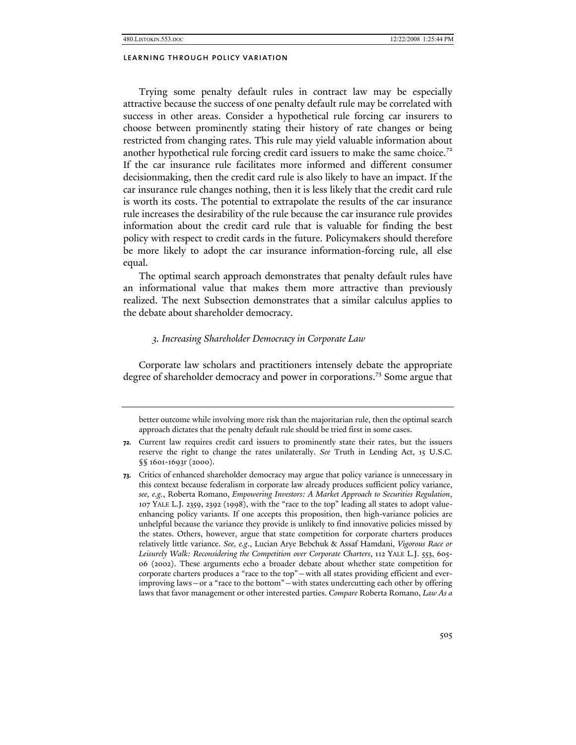Trying some penalty default rules in contract law may be especially attractive because the success of one penalty default rule may be correlated with success in other areas. Consider a hypothetical rule forcing car insurers to choose between prominently stating their history of rate changes or being restricted from changing rates. This rule may yield valuable information about another hypothetical rule forcing credit card issuers to make the same choice.<sup>72</sup> If the car insurance rule facilitates more informed and different consumer decisionmaking, then the credit card rule is also likely to have an impact. If the car insurance rule changes nothing, then it is less likely that the credit card rule is worth its costs. The potential to extrapolate the results of the car insurance rule increases the desirability of the rule because the car insurance rule provides information about the credit card rule that is valuable for finding the best policy with respect to credit cards in the future. Policymakers should therefore be more likely to adopt the car insurance information-forcing rule, all else equal.

The optimal search approach demonstrates that penalty default rules have an informational value that makes them more attractive than previously realized. The next Subsection demonstrates that a similar calculus applies to the debate about shareholder democracy.

#### *3. Increasing Shareholder Democracy in Corporate Law*

Corporate law scholars and practitioners intensely debate the appropriate degree of shareholder democracy and power in corporations.<sup>73</sup> Some argue that

better outcome while involving more risk than the majoritarian rule, then the optimal search approach dictates that the penalty default rule should be tried first in some cases.

**<sup>72.</sup>** Current law requires credit card issuers to prominently state their rates, but the issuers reserve the right to change the rates unilaterally. *See* Truth in Lending Act, 15 U.S.C. §§ 1601-1693r (2000).

**<sup>73.</sup>** Critics of enhanced shareholder democracy may argue that policy variance is unnecessary in this context because federalism in corporate law already produces sufficient policy variance, *see, e.g.*, Roberta Romano, *Empowering Investors: A Market Approach to Securities Regulation*, 107 YALE L.J. 2359, 2392 (1998), with the "race to the top" leading all states to adopt valueenhancing policy variants. If one accepts this proposition, then high-variance policies are unhelpful because the variance they provide is unlikely to find innovative policies missed by the states. Others, however, argue that state competition for corporate charters produces relatively little variance. *See, e.g*., Lucian Arye Bebchuk & Assaf Hamdani, *Vigorous Race or Leisurely Walk: Reconsidering the Competition over Corporate Charters*, 112 YALE L.J. 553, 605- 06 (2002). These arguments echo a broader debate about whether state competition for corporate charters produces a "race to the top"—with all states providing efficient and everimproving laws—or a "race to the bottom"—with states undercutting each other by offering laws that favor management or other interested parties. *Compare* Roberta Romano, *Law As a*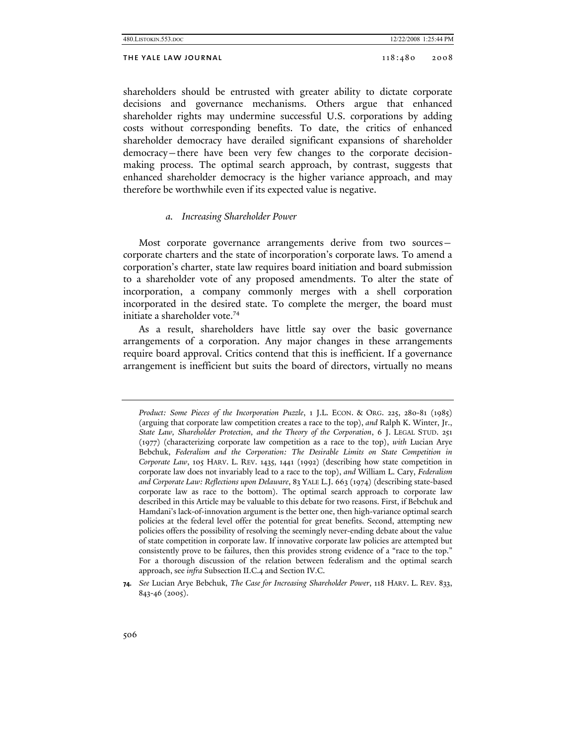| 480. LISTOKIN. 553. DOC |
|-------------------------|
|-------------------------|

#### THE YALE LAW JOURNAL 118:480 2008

shareholders should be entrusted with greater ability to dictate corporate decisions and governance mechanisms. Others argue that enhanced shareholder rights may undermine successful U.S. corporations by adding costs without corresponding benefits. To date, the critics of enhanced shareholder democracy have derailed significant expansions of shareholder democracy—there have been very few changes to the corporate decisionmaking process. The optimal search approach, by contrast, suggests that enhanced shareholder democracy is the higher variance approach, and may therefore be worthwhile even if its expected value is negative.

## *a. Increasing Shareholder Power*

Most corporate governance arrangements derive from two sourcescorporate charters and the state of incorporation's corporate laws. To amend a corporation's charter, state law requires board initiation and board submission to a shareholder vote of any proposed amendments. To alter the state of incorporation, a company commonly merges with a shell corporation incorporated in the desired state. To complete the merger, the board must initiate a shareholder vote.<sup>74</sup>

As a result, shareholders have little say over the basic governance arrangements of a corporation. Any major changes in these arrangements require board approval. Critics contend that this is inefficient. If a governance arrangement is inefficient but suits the board of directors, virtually no means

*Product: Some Pieces of the Incorporation Puzzle*, 1 J.L. ECON. & ORG. 225, 280-81 (1985) (arguing that corporate law competition creates a race to the top), *and* Ralph K. Winter, Jr., *State Law, Shareholder Protection, and the Theory of the Corporation*, 6 J. LEGAL STUD. 251 (1977) (characterizing corporate law competition as a race to the top), *with* Lucian Arye Bebchuk, *Federalism and the Corporation: The Desirable Limits on State Competition in Corporate Law*, 105 HARV. L. REV. 1435, 1441 (1992) (describing how state competition in corporate law does not invariably lead to a race to the top), *and* William L. Cary, *Federalism and Corporate Law: Reflections upon Delaware*, 83 YALE L.J. 663 (1974) (describing state-based corporate law as race to the bottom). The optimal search approach to corporate law described in this Article may be valuable to this debate for two reasons. First, if Bebchuk and Hamdani's lack-of-innovation argument is the better one, then high-variance optimal search policies at the federal level offer the potential for great benefits. Second, attempting new policies offers the possibility of resolving the seemingly never-ending debate about the value of state competition in corporate law. If innovative corporate law policies are attempted but consistently prove to be failures, then this provides strong evidence of a "race to the top." For a thorough discussion of the relation between federalism and the optimal search approach, see *infra* Subsection II.C.4 and Section IV.C.

**<sup>74.</sup>** *See* Lucian Arye Bebchuk, *The Case for Increasing Shareholder Power*, 118 HARV. L. REV. 833, 843-46 (2005).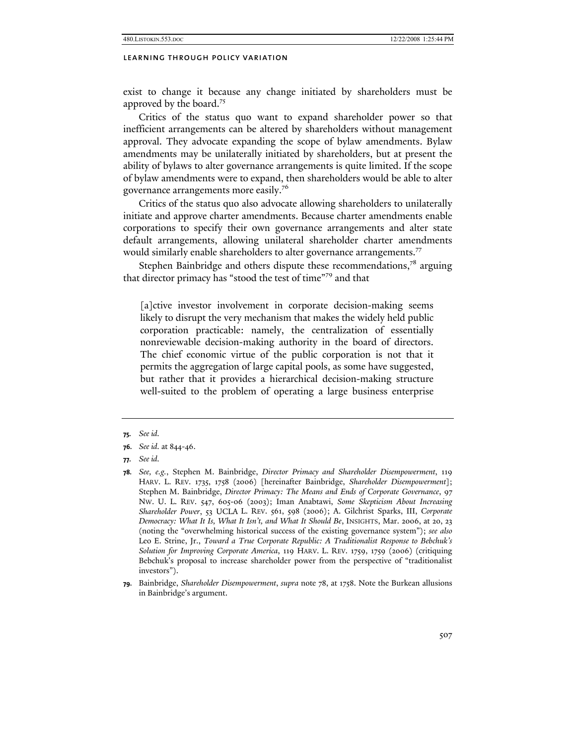exist to change it because any change initiated by shareholders must be approved by the board.<sup>75</sup>

Critics of the status quo want to expand shareholder power so that inefficient arrangements can be altered by shareholders without management approval. They advocate expanding the scope of bylaw amendments. Bylaw amendments may be unilaterally initiated by shareholders, but at present the ability of bylaws to alter governance arrangements is quite limited. If the scope of bylaw amendments were to expand, then shareholders would be able to alter governance arrangements more easily.<sup>76</sup>

Critics of the status quo also advocate allowing shareholders to unilaterally initiate and approve charter amendments. Because charter amendments enable corporations to specify their own governance arrangements and alter state default arrangements, allowing unilateral shareholder charter amendments would similarly enable shareholders to alter governance arrangements.<sup>77</sup>

Stephen Bainbridge and others dispute these recommendations, $7<sup>8</sup>$  arguing that director primacy has "stood the test of time"79 and that

[a]ctive investor involvement in corporate decision-making seems likely to disrupt the very mechanism that makes the widely held public corporation practicable: namely, the centralization of essentially nonreviewable decision-making authority in the board of directors. The chief economic virtue of the public corporation is not that it permits the aggregation of large capital pools, as some have suggested, but rather that it provides a hierarchical decision-making structure well-suited to the problem of operating a large business enterprise

**<sup>75.</sup>** *See id.*

**<sup>76.</sup>** *See id.* at 844-46.

**<sup>77.</sup>** *See id.*

**<sup>78.</sup>** *See, e.g.*, Stephen M. Bainbridge, *Director Primacy and Shareholder Disempowerment*, 119 HARV. L. REV. 1735, 1758 (2006) [hereinafter Bainbridge, *Shareholder Disempowerment*]; Stephen M. Bainbridge, *Director Primacy: The Means and Ends of Corporate Governance*, 97 NW. U. L. REV. 547, 605-06 (2003); Iman Anabtawi, *Some Skepticism About Increasing Shareholder Power*, 53 UCLA L. REV. 561, 598 (2006); A. Gilchrist Sparks, III, *Corporate Democracy: What It Is, What It Isn't, and What It Should Be*, INSIGHTS, Mar. 2006, at 20, 23 (noting the "overwhelming historical success of the existing governance system"); *see also*  Leo E. Strine, Jr., *Toward a True Corporate Republic: A Traditionalist Response to Bebchuk's Solution for Improving Corporate America*, 119 HARV. L. REV. 1759, 1759 (2006) (critiquing Bebchuk's proposal to increase shareholder power from the perspective of "traditionalist investors").

**<sup>79.</sup>** Bainbridge, *Shareholder Disempowerment*, *supra* note 78, at 1758. Note the Burkean allusions in Bainbridge's argument.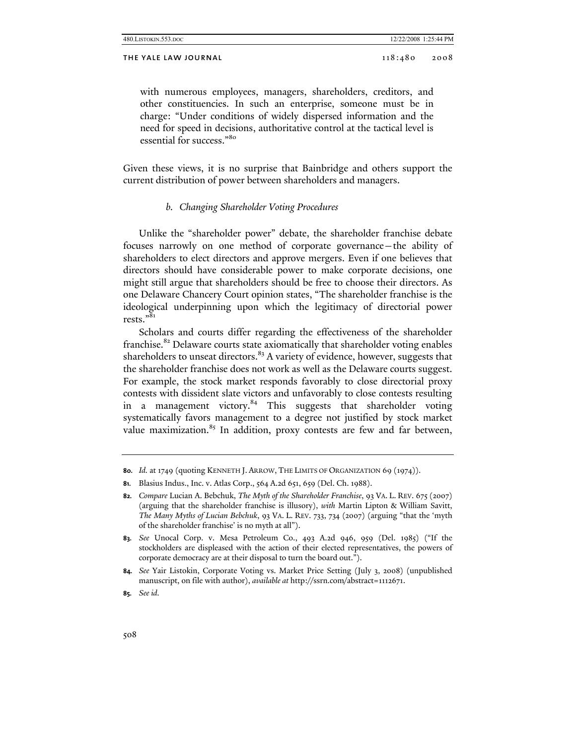#### THE YALE LAW JOURNAL 2008 2008 2008

with numerous employees, managers, shareholders, creditors, and other constituencies. In such an enterprise, someone must be in charge: "Under conditions of widely dispersed information and the need for speed in decisions, authoritative control at the tactical level is essential for success."<sup>80</sup>

Given these views, it is no surprise that Bainbridge and others support the current distribution of power between shareholders and managers.

#### *b. Changing Shareholder Voting Procedures*

Unlike the "shareholder power" debate, the shareholder franchise debate focuses narrowly on one method of corporate governance—the ability of shareholders to elect directors and approve mergers. Even if one believes that directors should have considerable power to make corporate decisions, one might still argue that shareholders should be free to choose their directors. As one Delaware Chancery Court opinion states, "The shareholder franchise is the ideological underpinning upon which the legitimacy of directorial power rests."81

Scholars and courts differ regarding the effectiveness of the shareholder franchise.<sup>82</sup> Delaware courts state axiomatically that shareholder voting enables shareholders to unseat directors. $83$  A variety of evidence, however, suggests that the shareholder franchise does not work as well as the Delaware courts suggest. For example, the stock market responds favorably to close directorial proxy contests with dissident slate victors and unfavorably to close contests resulting in a management victory.<sup>84</sup> This suggests that shareholder voting systematically favors management to a degree not justified by stock market value maximization.<sup>85</sup> In addition, proxy contests are few and far between,

**<sup>80.</sup>** *Id.* at 1749 (quoting KENNETH J. ARROW, THE LIMITS OF ORGANIZATION 69 (1974)).

**<sup>81.</sup>** Blasius Indus., Inc. v. Atlas Corp., 564 A.2d 651, 659 (Del. Ch. 1988).

**<sup>82.</sup>** *Compare* Lucian A. Bebchuk, *The Myth of the Shareholder Franchise*, 93 VA. L. REV. 675 (2007) (arguing that the shareholder franchise is illusory), *with* Martin Lipton & William Savitt, *The Many Myths of Lucian Bebchuk*, 93 VA. L. REV. 733, 734 (2007) (arguing "that the 'myth of the shareholder franchise' is no myth at all").

**<sup>83.</sup>** *See* Unocal Corp. v. Mesa Petroleum Co., 493 A.2d 946, 959 (Del. 1985) ("If the stockholders are displeased with the action of their elected representatives, the powers of corporate democracy are at their disposal to turn the board out.").

**<sup>84.</sup>** *See* Yair Listokin, Corporate Voting vs. Market Price Setting (July 3, 2008) (unpublished manuscript, on file with author), *available at* http://ssrn.com/abstract=1112671.

**<sup>85.</sup>** *See id.*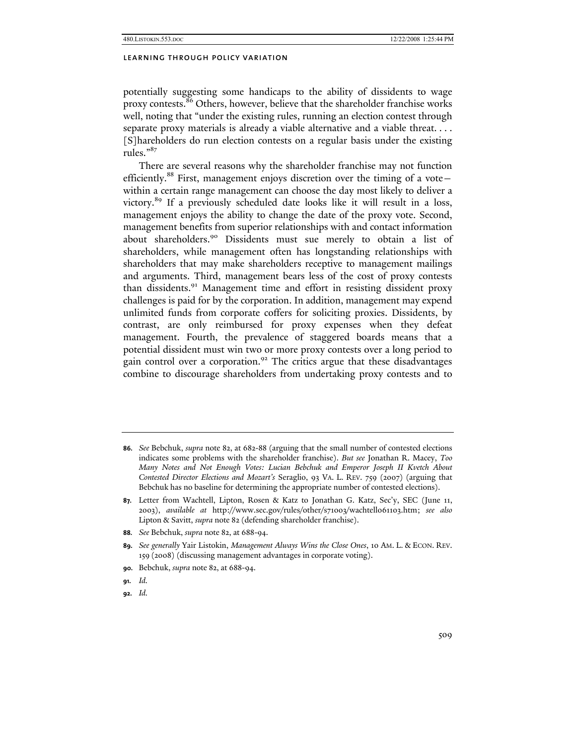potentially suggesting some handicaps to the ability of dissidents to wage proxy contests.<sup>86</sup> Others, however, believe that the shareholder franchise works well, noting that "under the existing rules, running an election contest through separate proxy materials is already a viable alternative and a viable threat. . . . [S]hareholders do run election contests on a regular basis under the existing rules."<sup>87</sup>

There are several reasons why the shareholder franchise may not function efficiently.<sup>88</sup> First, management enjoys discretion over the timing of a votewithin a certain range management can choose the day most likely to deliver a victory.89 If a previously scheduled date looks like it will result in a loss, management enjoys the ability to change the date of the proxy vote. Second, management benefits from superior relationships with and contact information about shareholders.<sup>90</sup> Dissidents must sue merely to obtain a list of shareholders, while management often has longstanding relationships with shareholders that may make shareholders receptive to management mailings and arguments. Third, management bears less of the cost of proxy contests than dissidents.<sup>91</sup> Management time and effort in resisting dissident proxy challenges is paid for by the corporation. In addition, management may expend unlimited funds from corporate coffers for soliciting proxies. Dissidents, by contrast, are only reimbursed for proxy expenses when they defeat management. Fourth, the prevalence of staggered boards means that a potential dissident must win two or more proxy contests over a long period to gain control over a corporation.<sup>92</sup> The critics argue that these disadvantages combine to discourage shareholders from undertaking proxy contests and to

**88.** *See* Bebchuk, *supra* note 82, at 688-94.

**91.** *Id.*

**92.** *Id.*

**<sup>86.</sup>** *See* Bebchuk, *supra* note 82, at 682-88 (arguing that the small number of contested elections indicates some problems with the shareholder franchise). *But see* Jonathan R. Macey, *Too Many Notes and Not Enough Votes: Lucian Bebchuk and Emperor Joseph II Kvetch About Contested Director Elections and Mozart's* Seraglio, 93 VA. L. REV. 759 (2007) (arguing that Bebchuk has no baseline for determining the appropriate number of contested elections).

**<sup>87.</sup>** Letter from Wachtell, Lipton, Rosen & Katz to Jonathan G. Katz, Sec'y, SEC (June 11, 2003), *available at* http://www.sec.gov/rules/other/s71003/wachtell061103.htm; *see also* Lipton & Savitt, *supra* note 82 (defending shareholder franchise).

**<sup>89.</sup>** *See generally* Yair Listokin, *Management Always Wins the Close Ones*, 10 AM. L. & ECON. REV. 159 (2008) (discussing management advantages in corporate voting).

**<sup>90.</sup>** Bebchuk, *supra* note 82, at 688-94.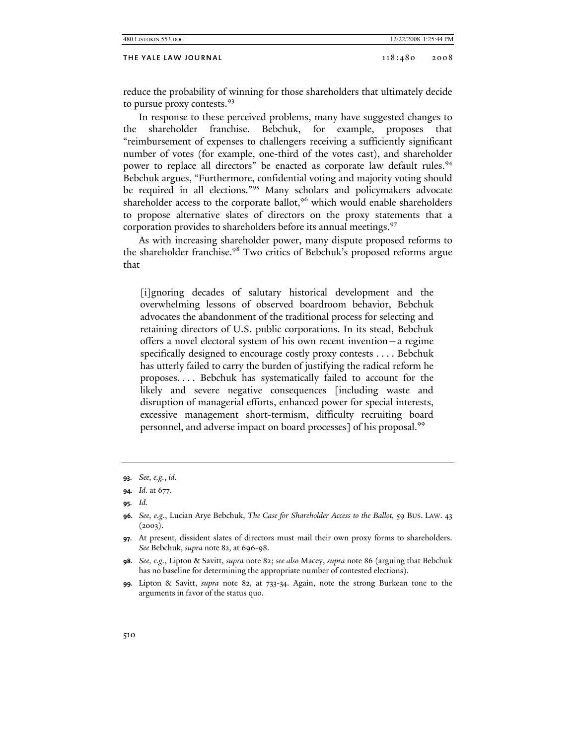| 12/22/2008 1:25:44 PM<br>480. LISTOKIN. 553. DOC |         |      |
|--------------------------------------------------|---------|------|
| THE YALE LAW JOURNAL                             | 118:480 | 2008 |

reduce the probability of winning for those shareholders that ultimately decide to pursue proxy contests.<sup>93</sup>

In response to these perceived problems, many have suggested changes to the shareholder franchise. Bebchuk, for example, proposes that "reimbursement of expenses to challengers receiving a sufficiently significant number of votes (for example, one-third of the votes cast), and shareholder power to replace all directors" be enacted as corporate law default rules.<sup>94</sup> Bebchuk argues, "Furthermore, confidential voting and majority voting should be required in all elections."<sup>95</sup> Many scholars and policymakers advocate shareholder access to the corporate ballot,<sup>96</sup> which would enable shareholders to propose alternative slates of directors on the proxy statements that a corporation provides to shareholders before its annual meetings.<sup>97</sup>

As with increasing shareholder power, many dispute proposed reforms to the shareholder franchise.<sup>98</sup> Two critics of Bebchuk's proposed reforms argue that

[i]gnoring decades of salutary historical development and the overwhelming lessons of observed boardroom behavior, Bebchuk advocates the abandonment of the traditional process for selecting and retaining directors of U.S. public corporations. In its stead, Bebchuk offers a novel electoral system of his own recent invention—a regime specifically designed to encourage costly proxy contests . . . . Bebchuk has utterly failed to carry the burden of justifying the radical reform he proposes. . . . Bebchuk has systematically failed to account for the likely and severe negative consequences [including waste and disruption of managerial efforts, enhanced power for special interests, excessive management short-termism, difficulty recruiting board personnel, and adverse impact on board processes] of his proposal.<sup>99</sup>

**<sup>93.</sup>** *See, e.g.*, *id.*

**<sup>94.</sup>** *Id.* at 677.

**<sup>95.</sup>** *Id.*

**<sup>96.</sup>** *See, e.g.*, Lucian Arye Bebchuk, *The Case for Shareholder Access to the Ballot,* 59 BUS. LAW. 43  $(2003)$ .

**<sup>97.</sup>** At present, dissident slates of directors must mail their own proxy forms to shareholders. *See* Bebchuk, *supra* note 82, at 696-98.

**<sup>98.</sup>** *See, e.g.*, Lipton & Savitt, *supra* note 82; *see also* Macey, *supra* note 86 (arguing that Bebchuk has no baseline for determining the appropriate number of contested elections).

**<sup>99.</sup>** Lipton & Savitt, *supra* note 82, at 733-34. Again, note the strong Burkean tone to the arguments in favor of the status quo.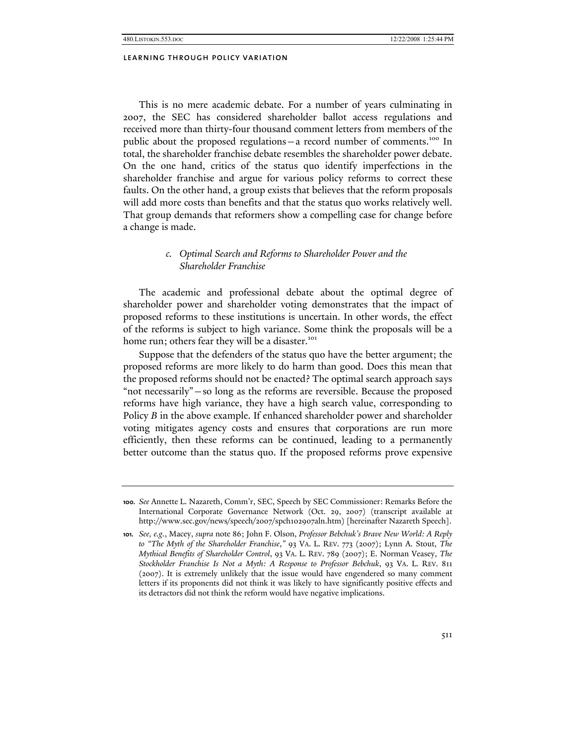This is no mere academic debate. For a number of years culminating in 2007, the SEC has considered shareholder ballot access regulations and received more than thirty-four thousand comment letters from members of the public about the proposed regulations – a record number of comments.<sup>100</sup> In total, the shareholder franchise debate resembles the shareholder power debate. On the one hand, critics of the status quo identify imperfections in the shareholder franchise and argue for various policy reforms to correct these faults. On the other hand, a group exists that believes that the reform proposals will add more costs than benefits and that the status quo works relatively well. That group demands that reformers show a compelling case for change before a change is made.

## *c. Optimal Search and Reforms to Shareholder Power and the Shareholder Franchise*

The academic and professional debate about the optimal degree of shareholder power and shareholder voting demonstrates that the impact of proposed reforms to these institutions is uncertain. In other words, the effect of the reforms is subject to high variance. Some think the proposals will be a home run; others fear they will be a disaster.<sup>101</sup>

Suppose that the defenders of the status quo have the better argument; the proposed reforms are more likely to do harm than good. Does this mean that the proposed reforms should not be enacted? The optimal search approach says "not necessarily"—so long as the reforms are reversible. Because the proposed reforms have high variance, they have a high search value, corresponding to Policy *B* in the above example. If enhanced shareholder power and shareholder voting mitigates agency costs and ensures that corporations are run more efficiently, then these reforms can be continued, leading to a permanently better outcome than the status quo. If the proposed reforms prove expensive

**<sup>100.</sup>** *See* Annette L. Nazareth, Comm'r, SEC, Speech by SEC Commissioner: Remarks Before the International Corporate Governance Network (Oct. 29, 2007) (transcript available at http://www.sec.gov/news/speech/2007/spch102907aln.htm) [hereinafter Nazareth Speech].

**<sup>101.</sup>** *See, e.g.*, Macey, *supra* note 86; John F. Olson, *Professor Bebchuk's Brave New World: A Reply to "The Myth of the Shareholder Franchise*,*"* 93 VA. L. REV. 773 (2007); Lynn A. Stout, *The Mythical Benefits of Shareholder Control*, 93 VA. L. REV. 789 (2007); E. Norman Veasey, *The Stockholder Franchise Is Not a Myth: A Response to Professor Bebchuk*, 93 VA. L. REV. 811 (2007). It is extremely unlikely that the issue would have engendered so many comment letters if its proponents did not think it was likely to have significantly positive effects and its detractors did not think the reform would have negative implications.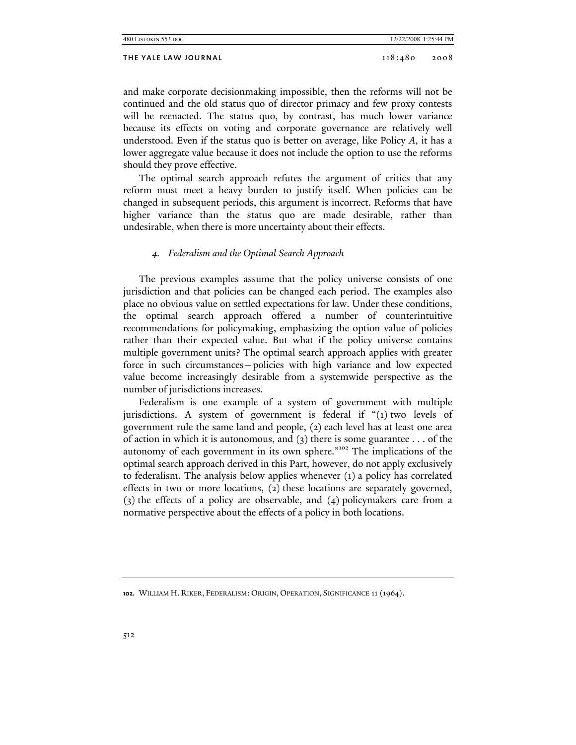| 480.LISTOKIN.553.DOC | 12/22/2008 1:25:44 PM |      |
|----------------------|-----------------------|------|
| THE YALE LAW JOURNAL | 118:480               | 2008 |

and make corporate decisionmaking impossible, then the reforms will not be continued and the old status quo of director primacy and few proxy contests will be reenacted. The status quo, by contrast, has much lower variance because its effects on voting and corporate governance are relatively well understood. Even if the status quo is better on average, like Policy *A*, it has a lower aggregate value because it does not include the option to use the reforms should they prove effective.

The optimal search approach refutes the argument of critics that any reform must meet a heavy burden to justify itself. When policies can be changed in subsequent periods, this argument is incorrect. Reforms that have higher variance than the status quo are made desirable, rather than undesirable, when there is more uncertainty about their effects.

## *4. Federalism and the Optimal Search Approach*

The previous examples assume that the policy universe consists of one jurisdiction and that policies can be changed each period. The examples also place no obvious value on settled expectations for law. Under these conditions, the optimal search approach offered a number of counterintuitive recommendations for policymaking, emphasizing the option value of policies rather than their expected value. But what if the policy universe contains multiple government units? The optimal search approach applies with greater force in such circumstances—policies with high variance and low expected value become increasingly desirable from a systemwide perspective as the number of jurisdictions increases.

Federalism is one example of a system of government with multiple jurisdictions. A system of government is federal if "(1) two levels of government rule the same land and people, (2) each level has at least one area of action in which it is autonomous, and (3) there is some guarantee . . . of the autonomy of each government in its own sphere."102 The implications of the optimal search approach derived in this Part, however, do not apply exclusively to federalism. The analysis below applies whenever (1) a policy has correlated effects in two or more locations, (2) these locations are separately governed, (3) the effects of a policy are observable, and (4) policymakers care from a normative perspective about the effects of a policy in both locations.

**<sup>102.</sup>** WILLIAM H. RIKER, FEDERALISM: ORIGIN, OPERATION, SIGNIFICANCE 11 (1964).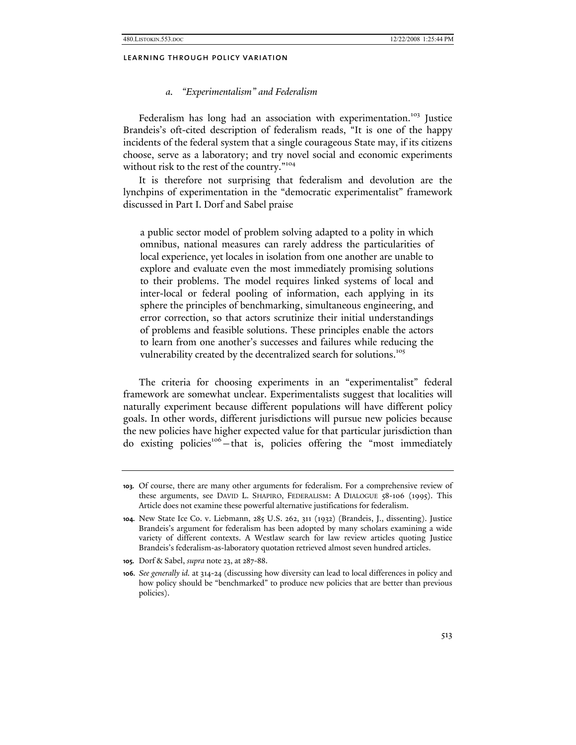#### *a. "Experimentalism" and Federalism*

Federalism has long had an association with experimentation.<sup>103</sup> Justice Brandeis's oft-cited description of federalism reads, "It is one of the happy incidents of the federal system that a single courageous State may, if its citizens choose, serve as a laboratory; and try novel social and economic experiments without risk to the rest of the country."<sup>104</sup>

It is therefore not surprising that federalism and devolution are the lynchpins of experimentation in the "democratic experimentalist" framework discussed in Part I. Dorf and Sabel praise

a public sector model of problem solving adapted to a polity in which omnibus, national measures can rarely address the particularities of local experience, yet locales in isolation from one another are unable to explore and evaluate even the most immediately promising solutions to their problems. The model requires linked systems of local and inter-local or federal pooling of information, each applying in its sphere the principles of benchmarking, simultaneous engineering, and error correction, so that actors scrutinize their initial understandings of problems and feasible solutions. These principles enable the actors to learn from one another's successes and failures while reducing the vulnerability created by the decentralized search for solutions.<sup>105</sup>

The criteria for choosing experiments in an "experimentalist" federal framework are somewhat unclear. Experimentalists suggest that localities will naturally experiment because different populations will have different policy goals. In other words, different jurisdictions will pursue new policies because the new policies have higher expected value for that particular jurisdiction than do existing policies<sup>106</sup>-that is, policies offering the "most immediately

**<sup>103.</sup>** Of course, there are many other arguments for federalism. For a comprehensive review of these arguments, see DAVID L. SHAPIRO, FEDERALISM: A DIALOGUE 58-106 (1995). This Article does not examine these powerful alternative justifications for federalism.

**<sup>104.</sup>** New State Ice Co. v. Liebmann, 285 U.S. 262, 311 (1932) (Brandeis, J., dissenting). Justice Brandeis's argument for federalism has been adopted by many scholars examining a wide variety of different contexts. A Westlaw search for law review articles quoting Justice Brandeis's federalism-as-laboratory quotation retrieved almost seven hundred articles.

**<sup>105.</sup>** Dorf & Sabel, *supra* note 23, at 287-88.

**<sup>106.</sup>** *See generally id.* at 314-24 (discussing how diversity can lead to local differences in policy and how policy should be "benchmarked" to produce new policies that are better than previous policies).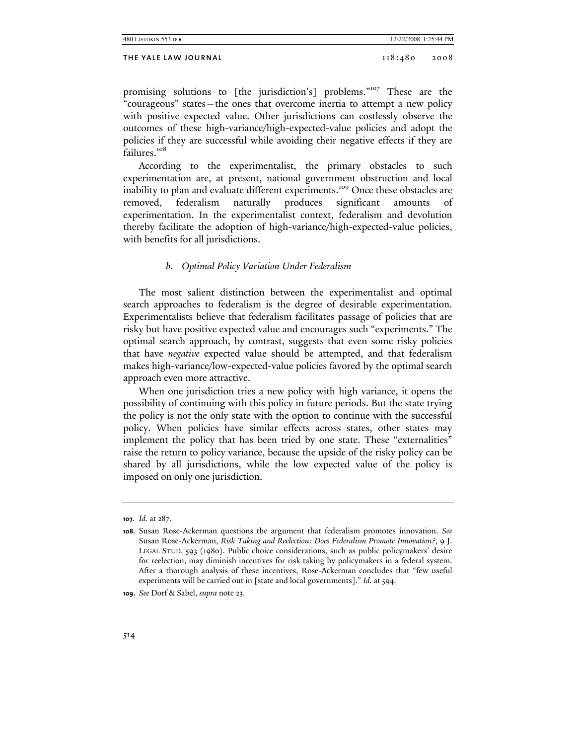## THE YALE LAW JOURNAL 2008 2008

promising solutions to [the jurisdiction's] problems."<sup>107</sup> These are the "courageous" states—the ones that overcome inertia to attempt a new policy with positive expected value. Other jurisdictions can costlessly observe the outcomes of these high-variance/high-expected-value policies and adopt the policies if they are successful while avoiding their negative effects if they are failures.<sup>108</sup>

According to the experimentalist, the primary obstacles to such experimentation are, at present, national government obstruction and local inability to plan and evaluate different experiments.<sup>109</sup> Once these obstacles are removed, federalism naturally produces significant amounts of experimentation. In the experimentalist context, federalism and devolution thereby facilitate the adoption of high-variance/high-expected-value policies, with benefits for all jurisdictions.

## *b. Optimal Policy Variation Under Federalism*

The most salient distinction between the experimentalist and optimal search approaches to federalism is the degree of desirable experimentation. Experimentalists believe that federalism facilitates passage of policies that are risky but have positive expected value and encourages such "experiments." The optimal search approach, by contrast, suggests that even some risky policies that have *negative* expected value should be attempted, and that federalism makes high-variance/low-expected-value policies favored by the optimal search approach even more attractive.

When one jurisdiction tries a new policy with high variance, it opens the possibility of continuing with this policy in future periods. But the state trying the policy is not the only state with the option to continue with the successful policy. When policies have similar effects across states, other states may implement the policy that has been tried by one state. These "externalities" raise the return to policy variance, because the upside of the risky policy can be shared by all jurisdictions, while the low expected value of the policy is imposed on only one jurisdiction.

**<sup>107.</sup>** *Id.* at 287.

**<sup>108.</sup>** Susan Rose-Ackerman questions the argument that federalism promotes innovation. *See* Susan Rose-Ackerman, *Risk Taking and Reelection: Does Federalism Promote Innovation?*, 9 J. LEGAL STUD. 593 (1980). Public choice considerations, such as public policymakers' desire for reelection, may diminish incentives for risk taking by policymakers in a federal system. After a thorough analysis of these incentives, Rose-Ackerman concludes that "few useful experiments will be carried out in [state and local governments]." *Id.* at 594.

**<sup>109.</sup>** *See* Dorf & Sabel, *supra* note 23.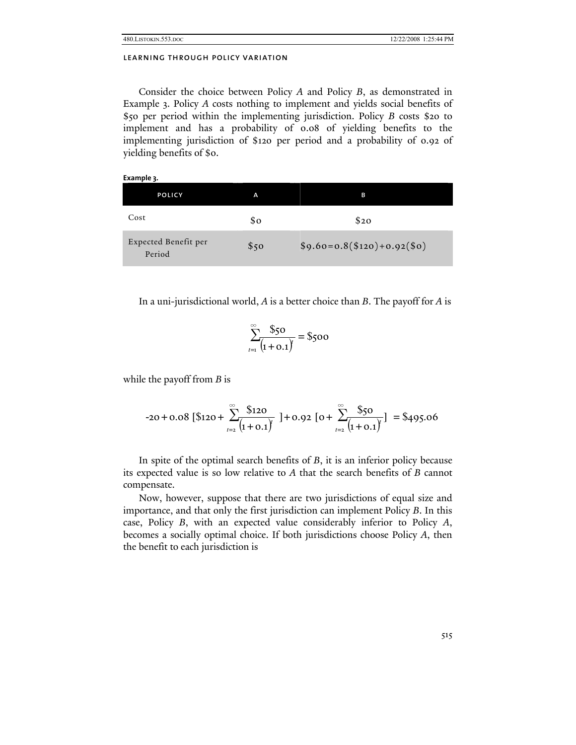Consider the choice between Policy *A* and Policy *B*, as demonstrated in Example 3. Policy *A* costs nothing to implement and yields social benefits of \$50 per period within the implementing jurisdiction. Policy *B* costs \$20 to implement and has a probability of 0.08 of yielding benefits to the implementing jurisdiction of \$120 per period and a probability of 0.92 of yielding benefits of \$0.

| Example 3.                     |      |                              |
|--------------------------------|------|------------------------------|
| <b>POLICY</b>                  | A    | в                            |
| Cost                           | \$0  | \$20                         |
| Expected Benefit per<br>Period | \$50 | $$9.60=0.8 ($120)+0.92 ($0)$ |

In a uni-jurisdictional world, *A* is a better choice than *B*. The payoff for *A* is

$$
\sum_{t=1}^{\infty} \frac{\$50}{(1+\mathrm{0.1})} = \$500
$$

while the payoff from *B* is

$$
-20 + 0.08 \left[ \text{\$120} + \sum_{t=2}^{\infty} \frac{\text{\$120}}{\left(1 + 0.1\right)} \right] + 0.92 \left[ 0 + \sum_{t=2}^{\infty} \frac{\text{\$50}}{\left(1 + 0.1\right)} \right] = \$495.06
$$

In spite of the optimal search benefits of *B*, it is an inferior policy because its expected value is so low relative to *A* that the search benefits of *B* cannot compensate.

Now, however, suppose that there are two jurisdictions of equal size and importance, and that only the first jurisdiction can implement Policy *B*. In this case, Policy *B*, with an expected value considerably inferior to Policy *A*, becomes a socially optimal choice. If both jurisdictions choose Policy *A*, then the benefit to each jurisdiction is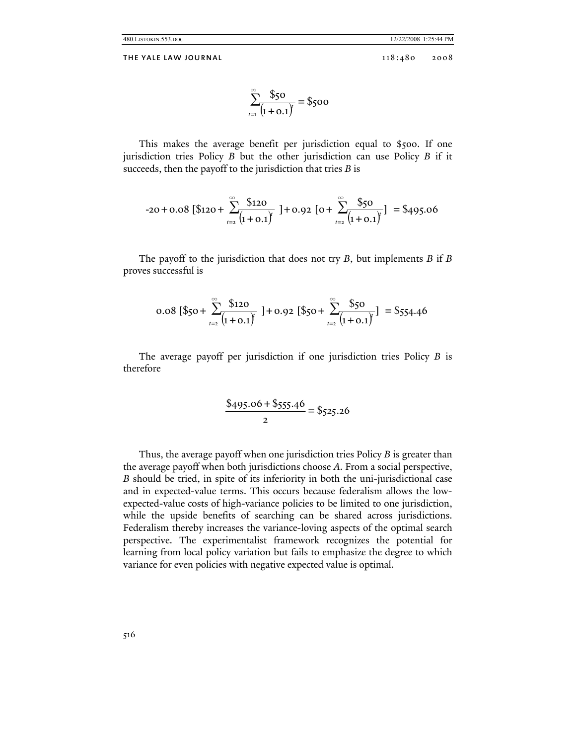480.LISTOKIN.553.DOC 12/22/2008 1:25:44 PM

THE YALE LAW JOURNAL 118:480 2008

$$
\sum_{t=1}^{\infty} \frac{\$50}{(1+\mathrm{0.1})} = \$500
$$

This makes the average benefit per jurisdiction equal to \$500. If one jurisdiction tries Policy *B* but the other jurisdiction can use Policy *B* if it succeeds, then the payoff to the jurisdiction that tries *B* is

$$
-20 + 0.08 [\$120 + \sum_{t=2}^{\infty} \frac{\$120}{(1 + 0.1)}] + 0.92 [0 + \sum_{t=2}^{\infty} \frac{\$50}{(1 + 0.1)}] = \$495.06
$$

The payoff to the jurisdiction that does not try *B*, but implements *B* if *B* proves successful is

$$
0.08 [\$50 + \sum_{t=2}^{\infty} \frac{$120}{(1+0.1)^t}] + 0.92 [\$50 + \sum_{t=2}^{\infty} \frac{$50}{(1+0.1)^t}] = $554.46
$$

The average payoff per jurisdiction if one jurisdiction tries Policy *B* is therefore

$$
\frac{\$495.06 + \$555.46}{2} = \$525.26
$$

Thus, the average payoff when one jurisdiction tries Policy *B* is greater than the average payoff when both jurisdictions choose *A*. From a social perspective, *B* should be tried, in spite of its inferiority in both the uni-jurisdictional case and in expected-value terms. This occurs because federalism allows the lowexpected-value costs of high-variance policies to be limited to one jurisdiction, while the upside benefits of searching can be shared across jurisdictions. Federalism thereby increases the variance-loving aspects of the optimal search perspective. The experimentalist framework recognizes the potential for learning from local policy variation but fails to emphasize the degree to which variance for even policies with negative expected value is optimal.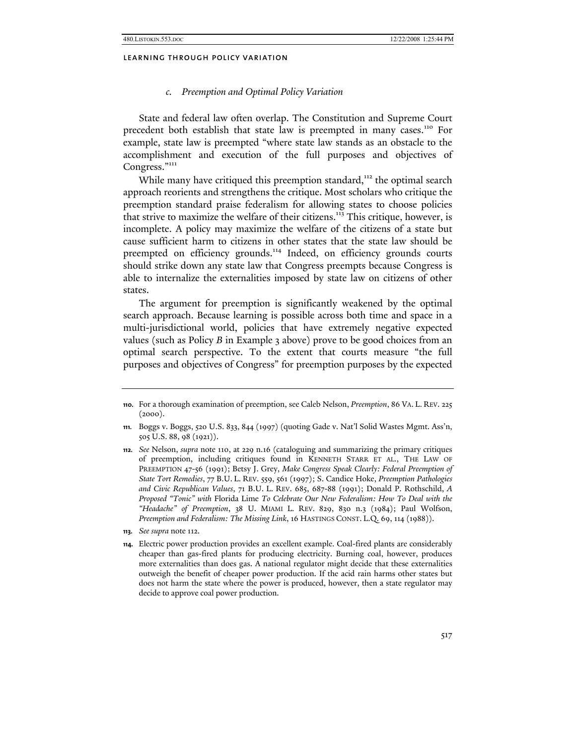### *c. Preemption and Optimal Policy Variation*

State and federal law often overlap. The Constitution and Supreme Court precedent both establish that state law is preempted in many cases.110 For example, state law is preempted "where state law stands as an obstacle to the accomplishment and execution of the full purposes and objectives of Congress."<sup>111</sup>

While many have critiqued this preemption standard,<sup>112</sup> the optimal search approach reorients and strengthens the critique. Most scholars who critique the preemption standard praise federalism for allowing states to choose policies that strive to maximize the welfare of their citizens.<sup>113</sup> This critique, however, is incomplete. A policy may maximize the welfare of the citizens of a state but cause sufficient harm to citizens in other states that the state law should be preempted on efficiency grounds.<sup>114</sup> Indeed, on efficiency grounds courts should strike down any state law that Congress preempts because Congress is able to internalize the externalities imposed by state law on citizens of other states.

The argument for preemption is significantly weakened by the optimal search approach. Because learning is possible across both time and space in a multi-jurisdictional world, policies that have extremely negative expected values (such as Policy *B* in Example 3 above) prove to be good choices from an optimal search perspective. To the extent that courts measure "the full purposes and objectives of Congress" for preemption purposes by the expected

**<sup>110.</sup>** For a thorough examination of preemption, see Caleb Nelson, *Preemption*, 86 VA. L. REV. 225  $(2000).$ 

**<sup>111.</sup>** Boggs v. Boggs, 520 U.S. 833, 844 (1997) (quoting Gade v. Nat'l Solid Wastes Mgmt. Ass'n, 505 U.S. 88, 98 (1921)).

**<sup>112.</sup>** *See* Nelson, *supra* note 110, at 229 n.16 (cataloguing and summarizing the primary critiques of preemption, including critiques found in KENNETH STARR ET AL., THE LAW OF PREEMPTION 47-56 (1991); Betsy J. Grey, *Make Congress Speak Clearly: Federal Preemption of State Tort Remedies*, 77 B.U. L. REV. 559, 561 (1997); S. Candice Hoke, *Preemption Pathologies and Civic Republican Values*, 71 B.U. L. REV. 685, 687-88 (1991); Donald P. Rothschild, *A Proposed "Tonic" with* Florida Lime *To Celebrate Our New Federalism: How To Deal with the "Headache" of Preemption*, 38 U. MIAMI L. REV. 829, 830 n.3 (1984); Paul Wolfson, *Preemption and Federalism: The Missing Link*, 16 HASTINGS CONST. L.Q. 69, 114 (1988)).

**<sup>113.</sup>** *See supra* note 112.

**<sup>114.</sup>** Electric power production provides an excellent example. Coal-fired plants are considerably cheaper than gas-fired plants for producing electricity. Burning coal, however, produces more externalities than does gas. A national regulator might decide that these externalities outweigh the benefit of cheaper power production. If the acid rain harms other states but does not harm the state where the power is produced, however, then a state regulator may decide to approve coal power production.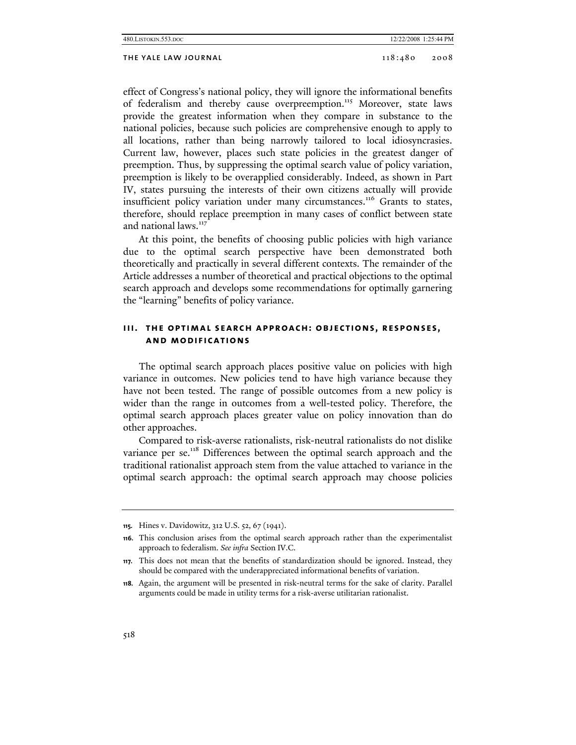effect of Congress's national policy, they will ignore the informational benefits of federalism and thereby cause overpreemption.<sup>115</sup> Moreover, state laws provide the greatest information when they compare in substance to the national policies, because such policies are comprehensive enough to apply to all locations, rather than being narrowly tailored to local idiosyncrasies. Current law, however, places such state policies in the greatest danger of preemption. Thus, by suppressing the optimal search value of policy variation, preemption is likely to be overapplied considerably. Indeed, as shown in Part IV, states pursuing the interests of their own citizens actually will provide insufficient policy variation under many circumstances.<sup>116</sup> Grants to states, therefore, should replace preemption in many cases of conflict between state and national laws.<sup>117</sup>

At this point, the benefits of choosing public policies with high variance due to the optimal search perspective have been demonstrated both theoretically and practically in several different contexts. The remainder of the Article addresses a number of theoretical and practical objections to the optimal search approach and develops some recommendations for optimally garnering the "learning" benefits of policy variance.

# **iii. the optimal search approach: objections, responses, and modifications**

The optimal search approach places positive value on policies with high variance in outcomes. New policies tend to have high variance because they have not been tested. The range of possible outcomes from a new policy is wider than the range in outcomes from a well-tested policy. Therefore, the optimal search approach places greater value on policy innovation than do other approaches.

Compared to risk-averse rationalists, risk-neutral rationalists do not dislike variance per se.<sup>118</sup> Differences between the optimal search approach and the traditional rationalist approach stem from the value attached to variance in the optimal search approach: the optimal search approach may choose policies

**<sup>115.</sup>** Hines v. Davidowitz, 312 U.S. 52, 67 (1941).

**<sup>116.</sup>** This conclusion arises from the optimal search approach rather than the experimentalist approach to federalism. *See infra* Section IV.C.

**<sup>117.</sup>** This does not mean that the benefits of standardization should be ignored. Instead, they should be compared with the underappreciated informational benefits of variation.

**<sup>118.</sup>** Again, the argument will be presented in risk-neutral terms for the sake of clarity. Parallel arguments could be made in utility terms for a risk-averse utilitarian rationalist.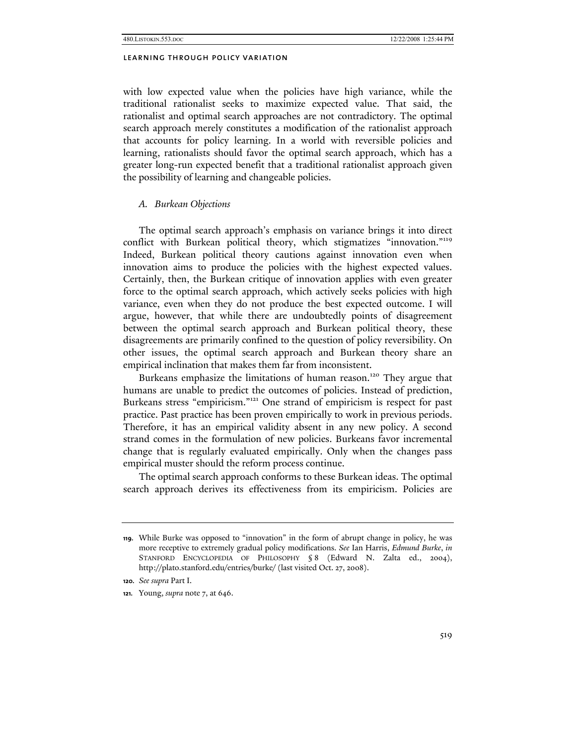with low expected value when the policies have high variance, while the traditional rationalist seeks to maximize expected value. That said, the rationalist and optimal search approaches are not contradictory. The optimal search approach merely constitutes a modification of the rationalist approach that accounts for policy learning. In a world with reversible policies and learning, rationalists should favor the optimal search approach, which has a greater long-run expected benefit that a traditional rationalist approach given the possibility of learning and changeable policies.

#### *A. Burkean Objections*

The optimal search approach's emphasis on variance brings it into direct conflict with Burkean political theory, which stigmatizes "innovation."<sup>119</sup> Indeed, Burkean political theory cautions against innovation even when innovation aims to produce the policies with the highest expected values. Certainly, then, the Burkean critique of innovation applies with even greater force to the optimal search approach, which actively seeks policies with high variance, even when they do not produce the best expected outcome. I will argue, however, that while there are undoubtedly points of disagreement between the optimal search approach and Burkean political theory, these disagreements are primarily confined to the question of policy reversibility. On other issues, the optimal search approach and Burkean theory share an empirical inclination that makes them far from inconsistent.

Burkeans emphasize the limitations of human reason.<sup>120</sup> They argue that humans are unable to predict the outcomes of policies. Instead of prediction, Burkeans stress "empiricism."121 One strand of empiricism is respect for past practice. Past practice has been proven empirically to work in previous periods. Therefore, it has an empirical validity absent in any new policy. A second strand comes in the formulation of new policies. Burkeans favor incremental change that is regularly evaluated empirically. Only when the changes pass empirical muster should the reform process continue.

The optimal search approach conforms to these Burkean ideas. The optimal search approach derives its effectiveness from its empiricism. Policies are

**<sup>119.</sup>** While Burke was opposed to "innovation" in the form of abrupt change in policy, he was more receptive to extremely gradual policy modifications. *See* Ian Harris, *Edmund Burke*, *in* STANFORD ENCYCLOPEDIA OF PHILOSOPHY § 8 (Edward N. Zalta ed., 2004), http://plato.stanford.edu/entries/burke/ (last visited Oct. 27, 2008).

**<sup>120.</sup>** *See supra* Part I.

**<sup>121.</sup>** Young, *supra* note 7, at 646.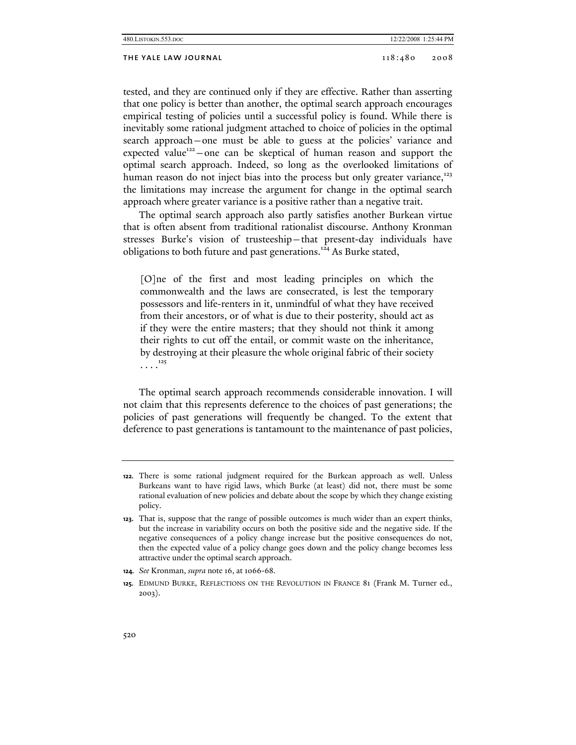| 480.LISTOKIN.553.DOC |  |
|----------------------|--|
|----------------------|--|

12/22/2008 1:25:44 PM

tested, and they are continued only if they are effective. Rather than asserting that one policy is better than another, the optimal search approach encourages empirical testing of policies until a successful policy is found. While there is inevitably some rational judgment attached to choice of policies in the optimal search approach—one must be able to guess at the policies' variance and expected value<sup>122</sup> —one can be skeptical of human reason and support the optimal search approach. Indeed, so long as the overlooked limitations of human reason do not inject bias into the process but only greater variance,<sup>123</sup> the limitations may increase the argument for change in the optimal search approach where greater variance is a positive rather than a negative trait.

The optimal search approach also partly satisfies another Burkean virtue that is often absent from traditional rationalist discourse. Anthony Kronman stresses Burke's vision of trusteeship—that present-day individuals have obligations to both future and past generations.<sup>124</sup> As Burke stated,

[O]ne of the first and most leading principles on which the commonwealth and the laws are consecrated, is lest the temporary possessors and life-renters in it, unmindful of what they have received from their ancestors, or of what is due to their posterity, should act as if they were the entire masters; that they should not think it among their rights to cut off the entail, or commit waste on the inheritance, by destroying at their pleasure the whole original fabric of their society  $\cdots$ <sup>125</sup>

The optimal search approach recommends considerable innovation. I will not claim that this represents deference to the choices of past generations; the policies of past generations will frequently be changed. To the extent that deference to past generations is tantamount to the maintenance of past policies,

**<sup>122.</sup>** There is some rational judgment required for the Burkean approach as well. Unless Burkeans want to have rigid laws, which Burke (at least) did not, there must be some rational evaluation of new policies and debate about the scope by which they change existing policy.

**<sup>123.</sup>** That is, suppose that the range of possible outcomes is much wider than an expert thinks, but the increase in variability occurs on both the positive side and the negative side. If the negative consequences of a policy change increase but the positive consequences do not, then the expected value of a policy change goes down and the policy change becomes less attractive under the optimal search approach.

**<sup>124.</sup>** *See* Kronman, *supra* note 16, at 1066-68.

**<sup>125.</sup>** EDMUND BURKE, REFLECTIONS ON THE REVOLUTION IN FRANCE 81 (Frank M. Turner ed., 2003).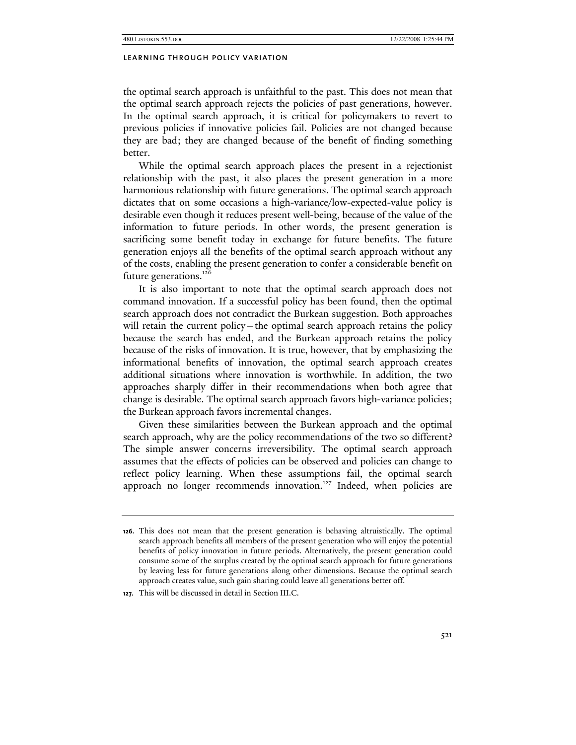the optimal search approach is unfaithful to the past. This does not mean that the optimal search approach rejects the policies of past generations, however. In the optimal search approach, it is critical for policymakers to revert to previous policies if innovative policies fail. Policies are not changed because they are bad; they are changed because of the benefit of finding something better.

While the optimal search approach places the present in a rejectionist relationship with the past, it also places the present generation in a more harmonious relationship with future generations. The optimal search approach dictates that on some occasions a high-variance/low-expected-value policy is desirable even though it reduces present well-being, because of the value of the information to future periods. In other words, the present generation is sacrificing some benefit today in exchange for future benefits. The future generation enjoys all the benefits of the optimal search approach without any of the costs, enabling the present generation to confer a considerable benefit on future generations.<sup>126</sup>

It is also important to note that the optimal search approach does not command innovation. If a successful policy has been found, then the optimal search approach does not contradict the Burkean suggestion. Both approaches will retain the current policy—the optimal search approach retains the policy because the search has ended, and the Burkean approach retains the policy because of the risks of innovation. It is true, however, that by emphasizing the informational benefits of innovation, the optimal search approach creates additional situations where innovation is worthwhile. In addition, the two approaches sharply differ in their recommendations when both agree that change is desirable. The optimal search approach favors high-variance policies; the Burkean approach favors incremental changes.

Given these similarities between the Burkean approach and the optimal search approach, why are the policy recommendations of the two so different? The simple answer concerns irreversibility. The optimal search approach assumes that the effects of policies can be observed and policies can change to reflect policy learning. When these assumptions fail, the optimal search approach no longer recommends innovation.<sup>127</sup> Indeed, when policies are

**<sup>126.</sup>** This does not mean that the present generation is behaving altruistically. The optimal search approach benefits all members of the present generation who will enjoy the potential benefits of policy innovation in future periods. Alternatively, the present generation could consume some of the surplus created by the optimal search approach for future generations by leaving less for future generations along other dimensions. Because the optimal search approach creates value, such gain sharing could leave all generations better off.

**<sup>127.</sup>** This will be discussed in detail in Section III.C.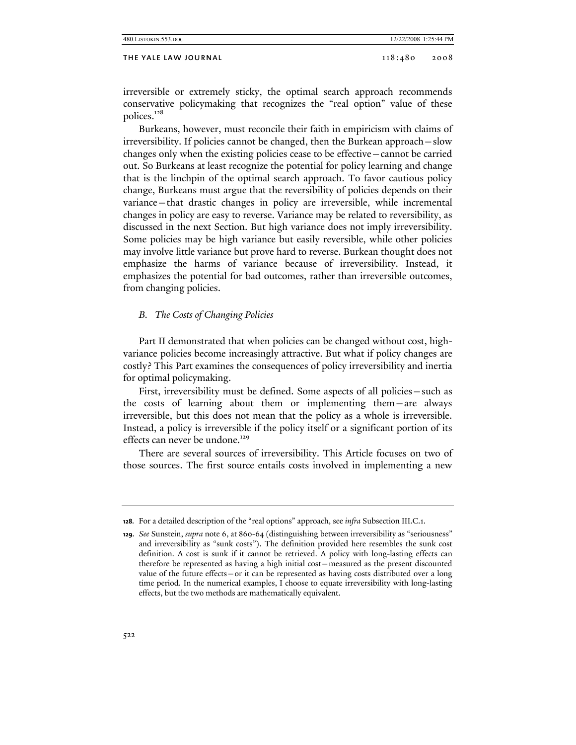| 480.LISTOKIN.553.DOC | 12/22/2008 1:25:44 PM |      |
|----------------------|-----------------------|------|
| THE YALE LAW JOURNAL | 118:480               | 2008 |

irreversible or extremely sticky, the optimal search approach recommends conservative policymaking that recognizes the "real option" value of these polices.<sup>128</sup>

Burkeans, however, must reconcile their faith in empiricism with claims of irreversibility. If policies cannot be changed, then the Burkean approach—slow changes only when the existing policies cease to be effective—cannot be carried out. So Burkeans at least recognize the potential for policy learning and change that is the linchpin of the optimal search approach. To favor cautious policy change, Burkeans must argue that the reversibility of policies depends on their variance—that drastic changes in policy are irreversible, while incremental changes in policy are easy to reverse. Variance may be related to reversibility, as discussed in the next Section. But high variance does not imply irreversibility. Some policies may be high variance but easily reversible, while other policies may involve little variance but prove hard to reverse. Burkean thought does not emphasize the harms of variance because of irreversibility. Instead, it emphasizes the potential for bad outcomes, rather than irreversible outcomes, from changing policies.

# *B. The Costs of Changing Policies*

Part II demonstrated that when policies can be changed without cost, highvariance policies become increasingly attractive. But what if policy changes are costly? This Part examines the consequences of policy irreversibility and inertia for optimal policymaking.

First, irreversibility must be defined. Some aspects of all policies—such as the costs of learning about them or implementing them—are always irreversible, but this does not mean that the policy as a whole is irreversible. Instead, a policy is irreversible if the policy itself or a significant portion of its effects can never be undone.<sup>129</sup>

There are several sources of irreversibility. This Article focuses on two of those sources. The first source entails costs involved in implementing a new

**<sup>128.</sup>** For a detailed description of the "real options" approach, see *infra* Subsection III.C.1.

**<sup>129.</sup>** *See* Sunstein, *supra* note 6, at 860-64 (distinguishing between irreversibility as "seriousness" and irreversibility as "sunk costs"). The definition provided here resembles the sunk cost definition. A cost is sunk if it cannot be retrieved. A policy with long-lasting effects can therefore be represented as having a high initial cost—measured as the present discounted value of the future effects—or it can be represented as having costs distributed over a long time period. In the numerical examples, I choose to equate irreversibility with long-lasting effects, but the two methods are mathematically equivalent.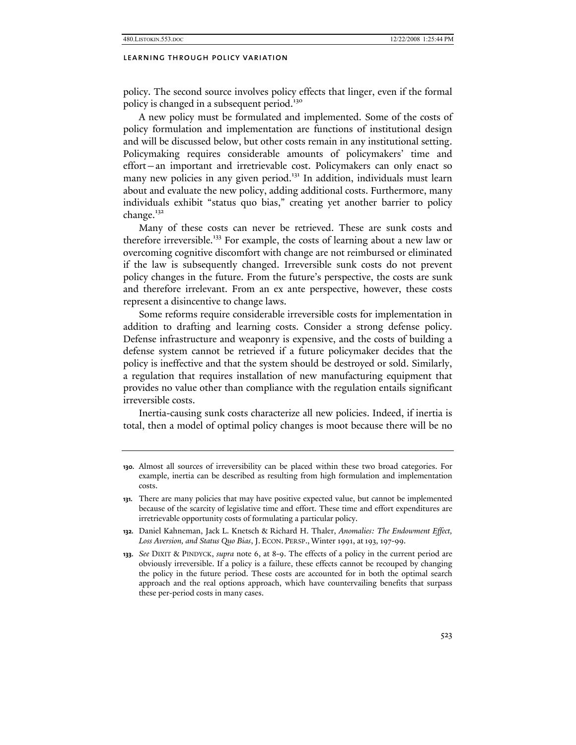policy. The second source involves policy effects that linger, even if the formal policy is changed in a subsequent period.<sup>130</sup>

A new policy must be formulated and implemented. Some of the costs of policy formulation and implementation are functions of institutional design and will be discussed below, but other costs remain in any institutional setting. Policymaking requires considerable amounts of policymakers' time and effort—an important and irretrievable cost. Policymakers can only enact so many new policies in any given period.<sup>131</sup> In addition, individuals must learn about and evaluate the new policy, adding additional costs. Furthermore, many individuals exhibit "status quo bias," creating yet another barrier to policy change. $132$ 

Many of these costs can never be retrieved. These are sunk costs and therefore irreversible.<sup>133</sup> For example, the costs of learning about a new law or overcoming cognitive discomfort with change are not reimbursed or eliminated if the law is subsequently changed. Irreversible sunk costs do not prevent policy changes in the future. From the future's perspective, the costs are sunk and therefore irrelevant. From an ex ante perspective, however, these costs represent a disincentive to change laws.

Some reforms require considerable irreversible costs for implementation in addition to drafting and learning costs. Consider a strong defense policy. Defense infrastructure and weaponry is expensive, and the costs of building a defense system cannot be retrieved if a future policymaker decides that the policy is ineffective and that the system should be destroyed or sold. Similarly, a regulation that requires installation of new manufacturing equipment that provides no value other than compliance with the regulation entails significant irreversible costs.

Inertia-causing sunk costs characterize all new policies. Indeed, if inertia is total, then a model of optimal policy changes is moot because there will be no

**<sup>130.</sup>** Almost all sources of irreversibility can be placed within these two broad categories. For example, inertia can be described as resulting from high formulation and implementation costs.

**<sup>131.</sup>** There are many policies that may have positive expected value, but cannot be implemented because of the scarcity of legislative time and effort. These time and effort expenditures are irretrievable opportunity costs of formulating a particular policy.

**<sup>132.</sup>** Daniel Kahneman, Jack L. Knetsch & Richard H. Thaler, *Anomalies: The Endowment Effect,*  Loss Aversion, and Status Quo Bias, J. ECON. PERSP., Winter 1991, at 193, 197-99.

**<sup>133.</sup>** *See* DIXIT & PINDYCK, *supra* note 6, at 8-9. The effects of a policy in the current period are obviously irreversible. If a policy is a failure, these effects cannot be recouped by changing the policy in the future period. These costs are accounted for in both the optimal search approach and the real options approach, which have countervailing benefits that surpass these per-period costs in many cases.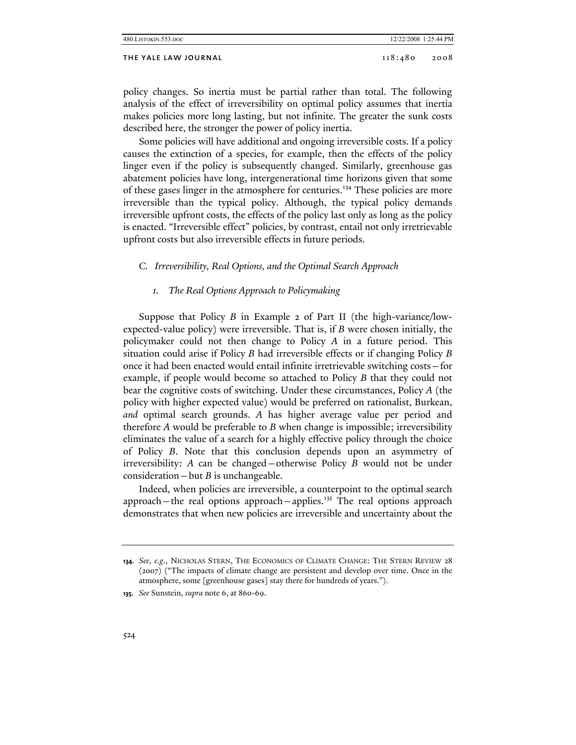policy changes. So inertia must be partial rather than total. The following analysis of the effect of irreversibility on optimal policy assumes that inertia makes policies more long lasting, but not infinite. The greater the sunk costs described here, the stronger the power of policy inertia.

Some policies will have additional and ongoing irreversible costs. If a policy causes the extinction of a species, for example, then the effects of the policy linger even if the policy is subsequently changed. Similarly, greenhouse gas abatement policies have long, intergenerational time horizons given that some of these gases linger in the atmosphere for centuries.<sup>134</sup> These policies are more irreversible than the typical policy. Although, the typical policy demands irreversible upfront costs, the effects of the policy last only as long as the policy is enacted. "Irreversible effect" policies, by contrast, entail not only irretrievable upfront costs but also irreversible effects in future periods.

# *C. Irreversibility, Real Options, and the Optimal Search Approach*

## *1. The Real Options Approach to Policymaking*

Suppose that Policy *B* in Example 2 of Part II (the high-variance/lowexpected-value policy) were irreversible. That is, if *B* were chosen initially, the policymaker could not then change to Policy *A* in a future period. This situation could arise if Policy *B* had irreversible effects or if changing Policy *B* once it had been enacted would entail infinite irretrievable switching costs—for example, if people would become so attached to Policy *B* that they could not bear the cognitive costs of switching. Under these circumstances, Policy *A* (the policy with higher expected value) would be preferred on rationalist, Burkean, *and* optimal search grounds. *A* has higher average value per period and therefore *A* would be preferable to *B* when change is impossible; irreversibility eliminates the value of a search for a highly effective policy through the choice of Policy *B*. Note that this conclusion depends upon an asymmetry of irreversibility: *A* can be changed—otherwise Policy *B* would not be under consideration—but *B* is unchangeable.

Indeed, when policies are irreversible, a counterpoint to the optimal search approach—the real options approach—applies.135 The real options approach demonstrates that when new policies are irreversible and uncertainty about the

**<sup>134.</sup>** *See, e.g.*, NICHOLAS STERN, THE ECONOMICS OF CLIMATE CHANGE: THE STERN REVIEW 28 (2007) ("The impacts of climate change are persistent and develop over time. Once in the atmosphere, some [greenhouse gases] stay there for hundreds of years.").

**<sup>135.</sup>** *See* Sunstein, *supra* note 6, at 860-69.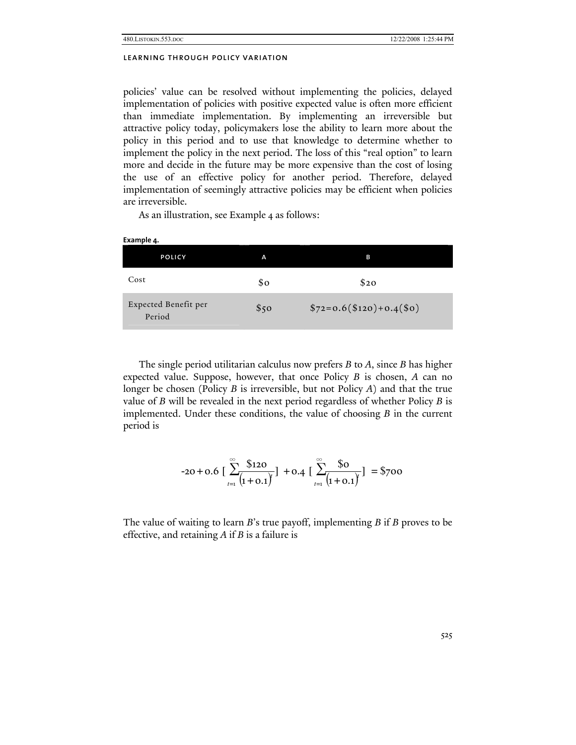**Example 4.** 

## learning through policy variation

policies' value can be resolved without implementing the policies, delayed implementation of policies with positive expected value is often more efficient than immediate implementation. By implementing an irreversible but attractive policy today, policymakers lose the ability to learn more about the policy in this period and to use that knowledge to determine whether to implement the policy in the next period. The loss of this "real option" to learn more and decide in the future may be more expensive than the cost of losing the use of an effective policy for another period. Therefore, delayed implementation of seemingly attractive policies may be efficient when policies are irreversible.

As an illustration, see Example 4 as follows:

| - ~ ~ · · · · · · · · · ·      |                |                           |
|--------------------------------|----------------|---------------------------|
| <b>POLICY</b>                  | A              | в                         |
| Cost                           | $\mathbf{S}$ o | \$20                      |
| Expected Benefit per<br>Period | \$50           | $$72=0.6 ($120)+0.4 ($0)$ |

The single period utilitarian calculus now prefers *B* to *A*, since *B* has higher expected value. Suppose, however, that once Policy *B* is chosen, *A* can no longer be chosen (Policy *B* is irreversible, but not Policy *A*) and that the true value of *B* will be revealed in the next period regardless of whether Policy *B* is implemented. Under these conditions, the value of choosing *B* in the current period is

$$
-20 + 0.6 \left[ \sum_{t=1}^{\infty} \frac{\$120}{(1+0.1)^t} \right] + 0.4 \left[ \sum_{t=1}^{\infty} \frac{\$0}{(1+0.1)^t} \right] = \$700
$$

The value of waiting to learn *B*'s true payoff, implementing *B* if *B* proves to be effective, and retaining *A* if *B* is a failure is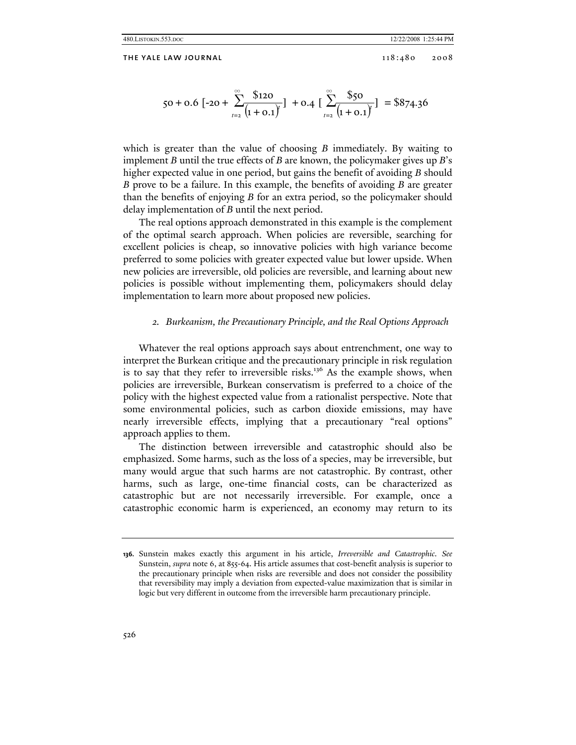$$
50 + 0.6 \left[ -20 + \sum_{t=2}^{\infty} \frac{$120}{(1+0.1)^t} \right] + 0.4 \left[ \sum_{t=2}^{\infty} \frac{$50}{(1+0.1)^t} \right] = $874.36
$$

which is greater than the value of choosing *B* immediately. By waiting to implement *B* until the true effects of *B* are known, the policymaker gives up *B*'s higher expected value in one period, but gains the benefit of avoiding *B* should *B* prove to be a failure. In this example, the benefits of avoiding *B* are greater than the benefits of enjoying *B* for an extra period, so the policymaker should delay implementation of *B* until the next period.

The real options approach demonstrated in this example is the complement of the optimal search approach. When policies are reversible, searching for excellent policies is cheap, so innovative policies with high variance become preferred to some policies with greater expected value but lower upside. When new policies are irreversible, old policies are reversible, and learning about new policies is possible without implementing them, policymakers should delay implementation to learn more about proposed new policies.

#### *2. Burkeanism, the Precautionary Principle, and the Real Options Approach*

Whatever the real options approach says about entrenchment, one way to interpret the Burkean critique and the precautionary principle in risk regulation is to say that they refer to irreversible risks.<sup>136</sup> As the example shows, when policies are irreversible, Burkean conservatism is preferred to a choice of the policy with the highest expected value from a rationalist perspective. Note that some environmental policies, such as carbon dioxide emissions, may have nearly irreversible effects, implying that a precautionary "real options" approach applies to them.

The distinction between irreversible and catastrophic should also be emphasized. Some harms, such as the loss of a species, may be irreversible, but many would argue that such harms are not catastrophic. By contrast, other harms, such as large, one-time financial costs, can be characterized as catastrophic but are not necessarily irreversible. For example, once a catastrophic economic harm is experienced, an economy may return to its

**<sup>136.</sup>** Sunstein makes exactly this argument in his article, *Irreversible and Catastrophic*. *See* Sunstein, *supra* note 6, at 855-64. His article assumes that cost-benefit analysis is superior to the precautionary principle when risks are reversible and does not consider the possibility that reversibility may imply a deviation from expected-value maximization that is similar in logic but very different in outcome from the irreversible harm precautionary principle.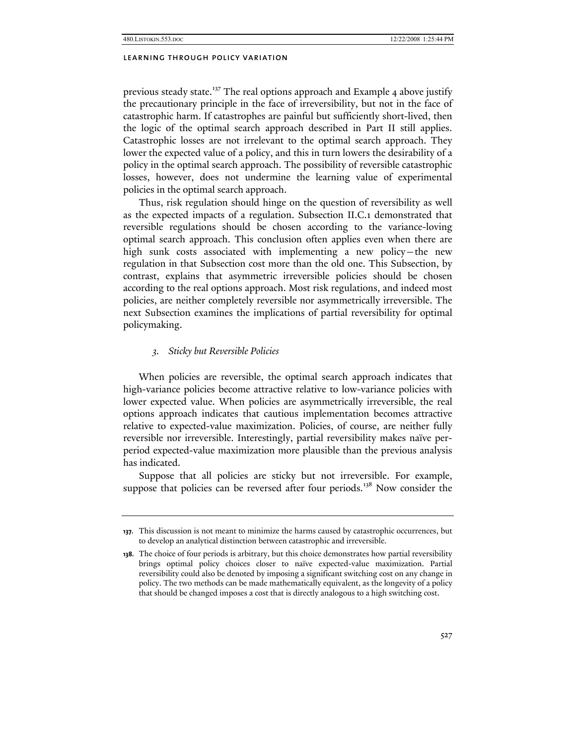previous steady state.<sup>137</sup> The real options approach and Example 4 above justify the precautionary principle in the face of irreversibility, but not in the face of catastrophic harm. If catastrophes are painful but sufficiently short-lived, then the logic of the optimal search approach described in Part II still applies. Catastrophic losses are not irrelevant to the optimal search approach. They lower the expected value of a policy, and this in turn lowers the desirability of a policy in the optimal search approach. The possibility of reversible catastrophic losses, however, does not undermine the learning value of experimental policies in the optimal search approach.

Thus, risk regulation should hinge on the question of reversibility as well as the expected impacts of a regulation. Subsection II.C.1 demonstrated that reversible regulations should be chosen according to the variance-loving optimal search approach. This conclusion often applies even when there are high sunk costs associated with implementing a new policy—the new regulation in that Subsection cost more than the old one. This Subsection, by contrast, explains that asymmetric irreversible policies should be chosen according to the real options approach. Most risk regulations, and indeed most policies, are neither completely reversible nor asymmetrically irreversible. The next Subsection examines the implications of partial reversibility for optimal policymaking.

# *3. Sticky but Reversible Policies*

When policies are reversible, the optimal search approach indicates that high-variance policies become attractive relative to low-variance policies with lower expected value. When policies are asymmetrically irreversible, the real options approach indicates that cautious implementation becomes attractive relative to expected-value maximization. Policies, of course, are neither fully reversible nor irreversible. Interestingly, partial reversibility makes naïve perperiod expected-value maximization more plausible than the previous analysis has indicated.

Suppose that all policies are sticky but not irreversible. For example, suppose that policies can be reversed after four periods.<sup>138</sup> Now consider the

**<sup>137.</sup>** This discussion is not meant to minimize the harms caused by catastrophic occurrences, but to develop an analytical distinction between catastrophic and irreversible.

**<sup>138.</sup>** The choice of four periods is arbitrary, but this choice demonstrates how partial reversibility brings optimal policy choices closer to naïve expected-value maximization. Partial reversibility could also be denoted by imposing a significant switching cost on any change in policy. The two methods can be made mathematically equivalent, as the longevity of a policy that should be changed imposes a cost that is directly analogous to a high switching cost.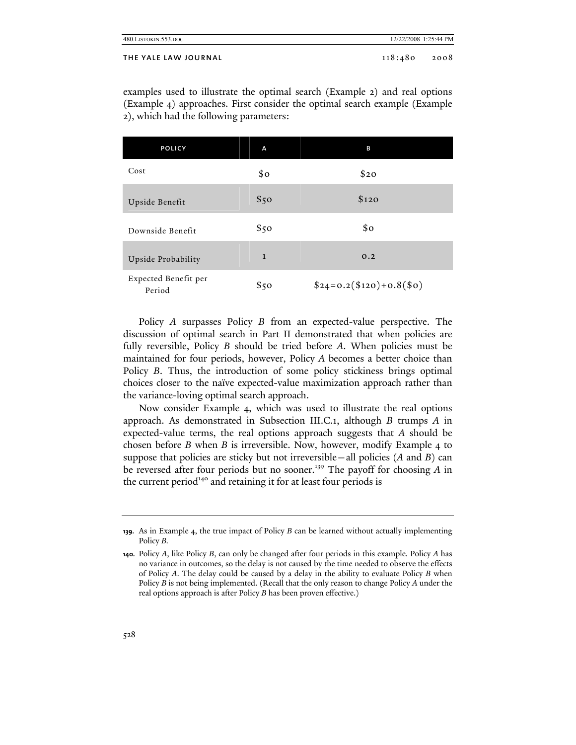| 480.LISTOKIN.553.DOC | 12/22/2008 1:25:44 PM |      |
|----------------------|-----------------------|------|
| THE YALE LAW JOURNAL | 118:480               | 2008 |

examples used to illustrate the optimal search (Example 2) and real options (Example 4) approaches. First consider the optimal search example (Example 2), which had the following parameters:

| POLICY                         | A            | в                         |
|--------------------------------|--------------|---------------------------|
| Cost                           | \$0          | \$20                      |
| Upside Benefit                 | \$50         | \$120                     |
| Downside Benefit               | \$50         | \$o                       |
| Upside Probability             | $\mathbf{1}$ | 0.2                       |
| Expected Benefit per<br>Period | \$50         | $$24=0.2 ($120)+0.8 ($0)$ |

Policy *A* surpasses Policy *B* from an expected-value perspective. The discussion of optimal search in Part II demonstrated that when policies are fully reversible, Policy *B* should be tried before *A*. When policies must be maintained for four periods, however, Policy *A* becomes a better choice than Policy *B*. Thus, the introduction of some policy stickiness brings optimal choices closer to the naïve expected-value maximization approach rather than the variance-loving optimal search approach.

Now consider Example 4, which was used to illustrate the real options approach. As demonstrated in Subsection III.C.1, although *B* trumps *A* in expected-value terms, the real options approach suggests that *A* should be chosen before *B* when *B* is irreversible. Now, however, modify Example 4 to suppose that policies are sticky but not irreversible—all policies (*A* and *B*) can be reversed after four periods but no sooner.<sup>139</sup> The payoff for choosing A in the current period<sup>140</sup> and retaining it for at least four periods is

**<sup>139.</sup>** As in Example 4, the true impact of Policy *B* can be learned without actually implementing Policy *B.*

**<sup>140.</sup>** Policy *A*, like Policy *B*, can only be changed after four periods in this example. Policy *A* has no variance in outcomes, so the delay is not caused by the time needed to observe the effects of Policy *A*. The delay could be caused by a delay in the ability to evaluate Policy *B* when Policy *B* is not being implemented. (Recall that the only reason to change Policy *A* under the real options approach is after Policy *B* has been proven effective.)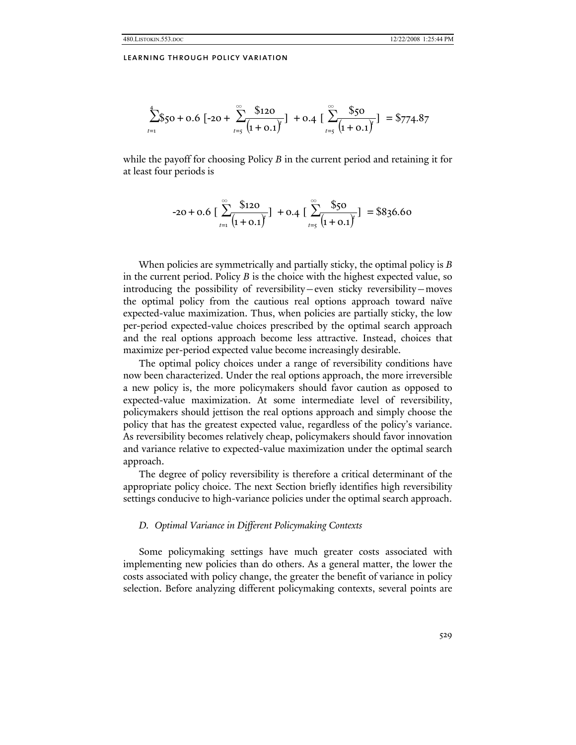$$
\sum_{t=1}^{4} \S_{50} + 0.6 \left[ -20 + \sum_{t=5}^{\infty} \frac{\$120}{(1 + 0.1)^{t}} \right] + 0.4 \left[ \sum_{t=5}^{\infty} \frac{\$50}{(1 + 0.1)^{t}} \right] = \$774.87
$$

while the payoff for choosing Policy *B* in the current period and retaining it for at least four periods is

$$
-20 + 0.6 \left[ \sum_{t=1}^{\infty} \frac{$120}{(1 + 0.1)^t} \right] + 0.4 \left[ \sum_{t=5}^{\infty} \frac{$50}{(1 + 0.1)^t} \right] = $836.60
$$

When policies are symmetrically and partially sticky, the optimal policy is *B* in the current period. Policy *B* is the choice with the highest expected value, so introducing the possibility of reversibility—even sticky reversibility—moves the optimal policy from the cautious real options approach toward naïve expected-value maximization. Thus, when policies are partially sticky, the low per-period expected-value choices prescribed by the optimal search approach and the real options approach become less attractive. Instead, choices that maximize per-period expected value become increasingly desirable.

The optimal policy choices under a range of reversibility conditions have now been characterized. Under the real options approach, the more irreversible a new policy is, the more policymakers should favor caution as opposed to expected-value maximization. At some intermediate level of reversibility, policymakers should jettison the real options approach and simply choose the policy that has the greatest expected value, regardless of the policy's variance. As reversibility becomes relatively cheap, policymakers should favor innovation and variance relative to expected-value maximization under the optimal search approach.

The degree of policy reversibility is therefore a critical determinant of the appropriate policy choice. The next Section briefly identifies high reversibility settings conducive to high-variance policies under the optimal search approach.

### *D. Optimal Variance in Different Policymaking Contexts*

Some policymaking settings have much greater costs associated with implementing new policies than do others. As a general matter, the lower the costs associated with policy change, the greater the benefit of variance in policy selection. Before analyzing different policymaking contexts, several points are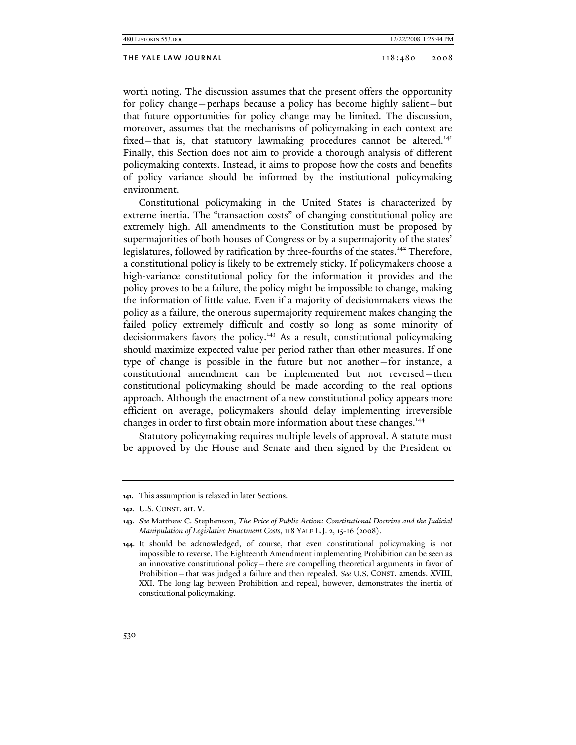## THE YALE LAW JOURNAL 2008 2008

worth noting. The discussion assumes that the present offers the opportunity for policy change—perhaps because a policy has become highly salient—but that future opportunities for policy change may be limited. The discussion, moreover, assumes that the mechanisms of policymaking in each context are fixed—that is, that statutory lawmaking procedures cannot be altered.<sup>141</sup> Finally, this Section does not aim to provide a thorough analysis of different policymaking contexts. Instead, it aims to propose how the costs and benefits of policy variance should be informed by the institutional policymaking environment.

Constitutional policymaking in the United States is characterized by extreme inertia. The "transaction costs" of changing constitutional policy are extremely high. All amendments to the Constitution must be proposed by supermajorities of both houses of Congress or by a supermajority of the states' legislatures, followed by ratification by three-fourths of the states.<sup>142</sup> Therefore, a constitutional policy is likely to be extremely sticky. If policymakers choose a high-variance constitutional policy for the information it provides and the policy proves to be a failure, the policy might be impossible to change, making the information of little value. Even if a majority of decisionmakers views the policy as a failure, the onerous supermajority requirement makes changing the failed policy extremely difficult and costly so long as some minority of decisionmakers favors the policy.<sup>143</sup> As a result, constitutional policymaking should maximize expected value per period rather than other measures. If one type of change is possible in the future but not another—for instance, a constitutional amendment can be implemented but not reversed—then constitutional policymaking should be made according to the real options approach. Although the enactment of a new constitutional policy appears more efficient on average, policymakers should delay implementing irreversible changes in order to first obtain more information about these changes.<sup>144</sup>

Statutory policymaking requires multiple levels of approval. A statute must be approved by the House and Senate and then signed by the President or

**<sup>141.</sup>** This assumption is relaxed in later Sections.

**<sup>142.</sup>** U.S. CONST. art. V.

**<sup>143.</sup>** *See* Matthew C. Stephenson, *The Price of Public Action: Constitutional Doctrine and the Judicial Manipulation of Legislative Enactment Costs*, 118 YALE L.J. 2, 15-16 (2008).

**<sup>144.</sup>** It should be acknowledged, of course, that even constitutional policymaking is not impossible to reverse. The Eighteenth Amendment implementing Prohibition can be seen as an innovative constitutional policy—there are compelling theoretical arguments in favor of Prohibition—that was judged a failure and then repealed. *See* U.S. CONST. amends. XVIII, XXI. The long lag between Prohibition and repeal, however, demonstrates the inertia of constitutional policymaking.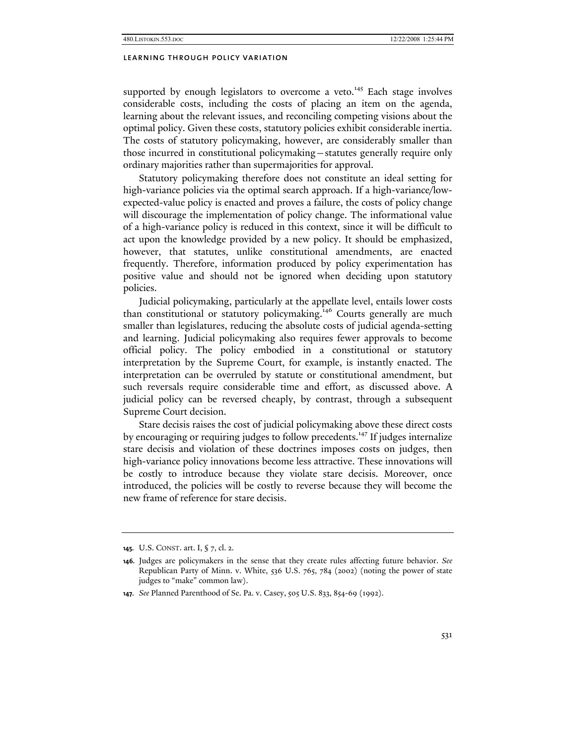supported by enough legislators to overcome a veto.<sup>145</sup> Each stage involves considerable costs, including the costs of placing an item on the agenda, learning about the relevant issues, and reconciling competing visions about the optimal policy. Given these costs, statutory policies exhibit considerable inertia. The costs of statutory policymaking, however, are considerably smaller than those incurred in constitutional policymaking—statutes generally require only ordinary majorities rather than supermajorities for approval.

Statutory policymaking therefore does not constitute an ideal setting for high-variance policies via the optimal search approach. If a high-variance/lowexpected-value policy is enacted and proves a failure, the costs of policy change will discourage the implementation of policy change. The informational value of a high-variance policy is reduced in this context, since it will be difficult to act upon the knowledge provided by a new policy. It should be emphasized, however, that statutes, unlike constitutional amendments, are enacted frequently. Therefore, information produced by policy experimentation has positive value and should not be ignored when deciding upon statutory policies.

Judicial policymaking, particularly at the appellate level, entails lower costs than constitutional or statutory policymaking.<sup>146</sup> Courts generally are much smaller than legislatures, reducing the absolute costs of judicial agenda-setting and learning. Judicial policymaking also requires fewer approvals to become official policy. The policy embodied in a constitutional or statutory interpretation by the Supreme Court, for example, is instantly enacted. The interpretation can be overruled by statute or constitutional amendment, but such reversals require considerable time and effort, as discussed above. A judicial policy can be reversed cheaply, by contrast, through a subsequent Supreme Court decision.

Stare decisis raises the cost of judicial policymaking above these direct costs by encouraging or requiring judges to follow precedents.<sup>147</sup> If judges internalize stare decisis and violation of these doctrines imposes costs on judges, then high-variance policy innovations become less attractive. These innovations will be costly to introduce because they violate stare decisis. Moreover, once introduced, the policies will be costly to reverse because they will become the new frame of reference for stare decisis.

**<sup>145.</sup>** U.S. CONST. art. I, § 7, cl. 2.

**<sup>146.</sup>** Judges are policymakers in the sense that they create rules affecting future behavior. *See* Republican Party of Minn. v. White, 536 U.S. 765, 784 (2002) (noting the power of state judges to "make" common law).

**<sup>147.</sup>** *See* Planned Parenthood of Se. Pa. v. Casey, 505 U.S. 833, 854-69 (1992).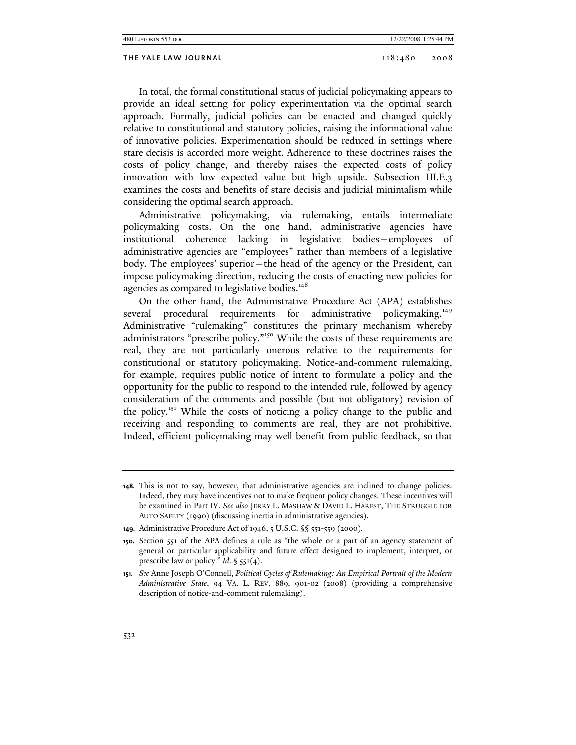In total, the formal constitutional status of judicial policymaking appears to provide an ideal setting for policy experimentation via the optimal search approach. Formally, judicial policies can be enacted and changed quickly relative to constitutional and statutory policies, raising the informational value of innovative policies. Experimentation should be reduced in settings where stare decisis is accorded more weight. Adherence to these doctrines raises the costs of policy change, and thereby raises the expected costs of policy innovation with low expected value but high upside. Subsection III.E.3 examines the costs and benefits of stare decisis and judicial minimalism while considering the optimal search approach.

Administrative policymaking, via rulemaking, entails intermediate policymaking costs. On the one hand, administrative agencies have institutional coherence lacking in legislative bodies—employees of administrative agencies are "employees" rather than members of a legislative body. The employees' superior—the head of the agency or the President, can impose policymaking direction, reducing the costs of enacting new policies for agencies as compared to legislative bodies.<sup>148</sup>

On the other hand, the Administrative Procedure Act (APA) establishes several procedural requirements for administrative policymaking.<sup>149</sup> Administrative "rulemaking" constitutes the primary mechanism whereby administrators "prescribe policy."<sup>150</sup> While the costs of these requirements are real, they are not particularly onerous relative to the requirements for constitutional or statutory policymaking. Notice-and-comment rulemaking, for example, requires public notice of intent to formulate a policy and the opportunity for the public to respond to the intended rule, followed by agency consideration of the comments and possible (but not obligatory) revision of the policy.<sup>151</sup> While the costs of noticing a policy change to the public and receiving and responding to comments are real, they are not prohibitive. Indeed, efficient policymaking may well benefit from public feedback, so that

**<sup>148.</sup>** This is not to say, however, that administrative agencies are inclined to change policies. Indeed, they may have incentives not to make frequent policy changes. These incentives will be examined in Part IV. *See also* JERRY L. MASHAW & DAVID L. HARFST, THE STRUGGLE FOR AUTO SAFETY (1990) (discussing inertia in administrative agencies).

**<sup>149.</sup>** Administrative Procedure Act of 1946, 5 U.S.C. §§ 551-559 (2000).

**<sup>150.</sup>** Section 551 of the APA defines a rule as "the whole or a part of an agency statement of general or particular applicability and future effect designed to implement, interpret, or prescribe law or policy." *Id.* § 551(4).

**<sup>151.</sup>** *See* Anne Joseph O'Connell, *Political Cycles of Rulemaking: An Empirical Portrait of the Modern Administrative State*, 94 VA. L. REV. 889, 901-02 (2008) (providing a comprehensive description of notice-and-comment rulemaking).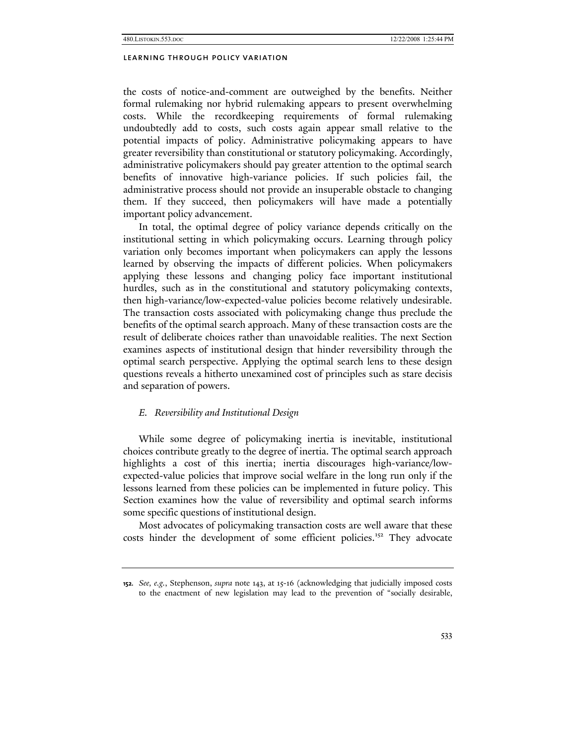the costs of notice-and-comment are outweighed by the benefits. Neither formal rulemaking nor hybrid rulemaking appears to present overwhelming costs. While the recordkeeping requirements of formal rulemaking undoubtedly add to costs, such costs again appear small relative to the potential impacts of policy. Administrative policymaking appears to have greater reversibility than constitutional or statutory policymaking. Accordingly, administrative policymakers should pay greater attention to the optimal search benefits of innovative high-variance policies. If such policies fail, the administrative process should not provide an insuperable obstacle to changing them. If they succeed, then policymakers will have made a potentially important policy advancement.

In total, the optimal degree of policy variance depends critically on the institutional setting in which policymaking occurs. Learning through policy variation only becomes important when policymakers can apply the lessons learned by observing the impacts of different policies. When policymakers applying these lessons and changing policy face important institutional hurdles, such as in the constitutional and statutory policymaking contexts, then high-variance/low-expected-value policies become relatively undesirable. The transaction costs associated with policymaking change thus preclude the benefits of the optimal search approach. Many of these transaction costs are the result of deliberate choices rather than unavoidable realities. The next Section examines aspects of institutional design that hinder reversibility through the optimal search perspective. Applying the optimal search lens to these design questions reveals a hitherto unexamined cost of principles such as stare decisis and separation of powers.

## *E. Reversibility and Institutional Design*

While some degree of policymaking inertia is inevitable, institutional choices contribute greatly to the degree of inertia. The optimal search approach highlights a cost of this inertia; inertia discourages high-variance/lowexpected-value policies that improve social welfare in the long run only if the lessons learned from these policies can be implemented in future policy. This Section examines how the value of reversibility and optimal search informs some specific questions of institutional design.

Most advocates of policymaking transaction costs are well aware that these costs hinder the development of some efficient policies.<sup>152</sup> They advocate

**<sup>152.</sup>** *See, e.g.*, Stephenson, *supra* note 143, at 15-16 (acknowledging that judicially imposed costs to the enactment of new legislation may lead to the prevention of "socially desirable,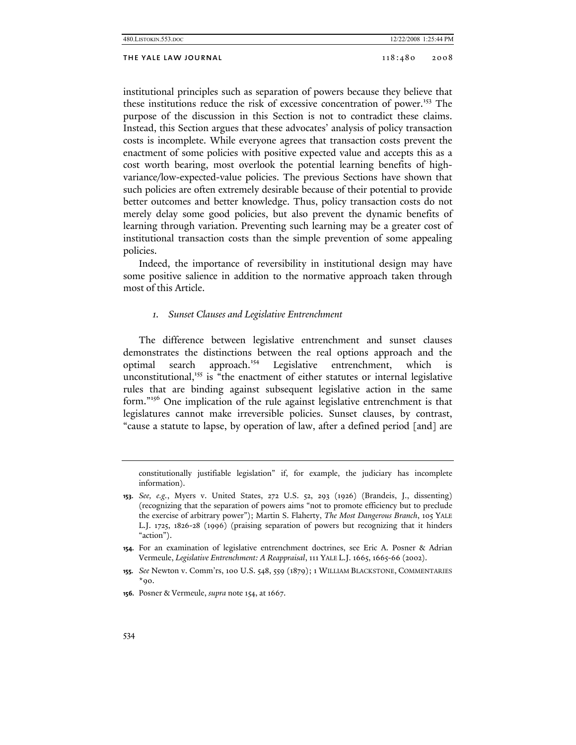institutional principles such as separation of powers because they believe that these institutions reduce the risk of excessive concentration of power.153 The purpose of the discussion in this Section is not to contradict these claims. Instead, this Section argues that these advocates' analysis of policy transaction costs is incomplete. While everyone agrees that transaction costs prevent the enactment of some policies with positive expected value and accepts this as a cost worth bearing, most overlook the potential learning benefits of highvariance/low-expected-value policies. The previous Sections have shown that such policies are often extremely desirable because of their potential to provide better outcomes and better knowledge. Thus, policy transaction costs do not merely delay some good policies, but also prevent the dynamic benefits of learning through variation. Preventing such learning may be a greater cost of institutional transaction costs than the simple prevention of some appealing policies.

Indeed, the importance of reversibility in institutional design may have some positive salience in addition to the normative approach taken through most of this Article.

## *1. Sunset Clauses and Legislative Entrenchment*

The difference between legislative entrenchment and sunset clauses demonstrates the distinctions between the real options approach and the optimal search approach.<sup>154</sup> Legislative entrenchment, which is unconstitutional,<sup>155</sup> is "the enactment of either statutes or internal legislative rules that are binding against subsequent legislative action in the same form."156 One implication of the rule against legislative entrenchment is that legislatures cannot make irreversible policies. Sunset clauses, by contrast, "cause a statute to lapse, by operation of law, after a defined period [and] are

constitutionally justifiable legislation" if, for example, the judiciary has incomplete information).

**153.** *See, e.g.*, Myers v. United States, 272 U.S. 52, 293 (1926) (Brandeis, J., dissenting) (recognizing that the separation of powers aims "not to promote efficiency but to preclude the exercise of arbitrary power"); Martin S. Flaherty, *The Most Dangerous Branch*, 105 YALE L.J. 1725, 1826-28 (1996) (praising separation of powers but recognizing that it hinders "action").

**154.** For an examination of legislative entrenchment doctrines, see Eric A. Posner & Adrian Vermeule, *Legislative Entrenchment: A Reappraisal*, 111 YALE L.J. 1665, 1665-66 (2002).

**155.** *See* Newton v. Comm'rs, 100 U.S. 548, 559 (1879); 1 WILLIAM BLACKSTONE, COMMENTARIES  $*_{90}$ .

**156.** Posner & Vermeule, *supra* note 154, at 1667.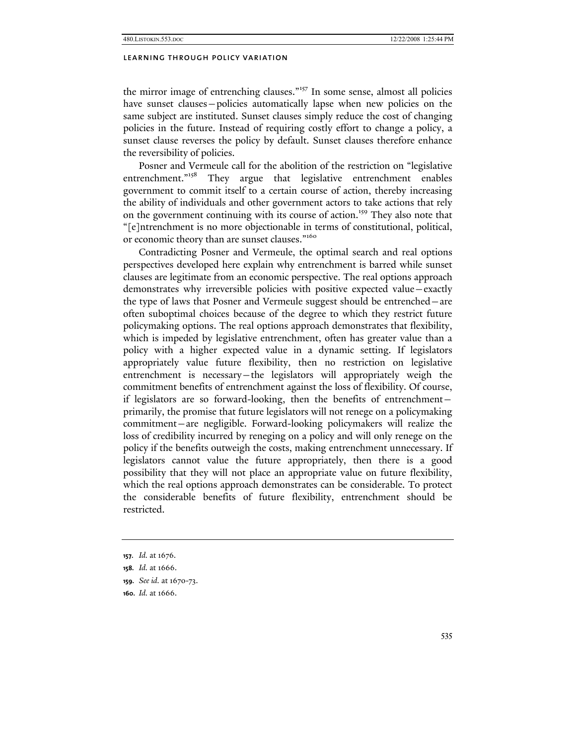the mirror image of entrenching clauses."157 In some sense, almost all policies have sunset clauses—policies automatically lapse when new policies on the same subject are instituted. Sunset clauses simply reduce the cost of changing policies in the future. Instead of requiring costly effort to change a policy, a sunset clause reverses the policy by default. Sunset clauses therefore enhance the reversibility of policies.

Posner and Vermeule call for the abolition of the restriction on "legislative entrenchment."<sup>158</sup> They argue that legislative entrenchment enables government to commit itself to a certain course of action, thereby increasing the ability of individuals and other government actors to take actions that rely on the government continuing with its course of action.<sup>159</sup> They also note that "[e]ntrenchment is no more objectionable in terms of constitutional, political, or economic theory than are sunset clauses."<sup>160</sup>

Contradicting Posner and Vermeule, the optimal search and real options perspectives developed here explain why entrenchment is barred while sunset clauses are legitimate from an economic perspective. The real options approach demonstrates why irreversible policies with positive expected value—exactly the type of laws that Posner and Vermeule suggest should be entrenched—are often suboptimal choices because of the degree to which they restrict future policymaking options. The real options approach demonstrates that flexibility, which is impeded by legislative entrenchment, often has greater value than a policy with a higher expected value in a dynamic setting. If legislators appropriately value future flexibility, then no restriction on legislative entrenchment is necessary—the legislators will appropriately weigh the commitment benefits of entrenchment against the loss of flexibility. Of course, if legislators are so forward-looking, then the benefits of entrenchment primarily, the promise that future legislators will not renege on a policymaking commitment—are negligible. Forward-looking policymakers will realize the loss of credibility incurred by reneging on a policy and will only renege on the policy if the benefits outweigh the costs, making entrenchment unnecessary. If legislators cannot value the future appropriately, then there is a good possibility that they will not place an appropriate value on future flexibility, which the real options approach demonstrates can be considerable. To protect the considerable benefits of future flexibility, entrenchment should be restricted.

**<sup>157.</sup>** *Id.* at 1676.

**<sup>158.</sup>** *Id.* at 1666.

**<sup>159.</sup>** *See id.* at 1670-73.

**<sup>160.</sup>** *Id.* at 1666.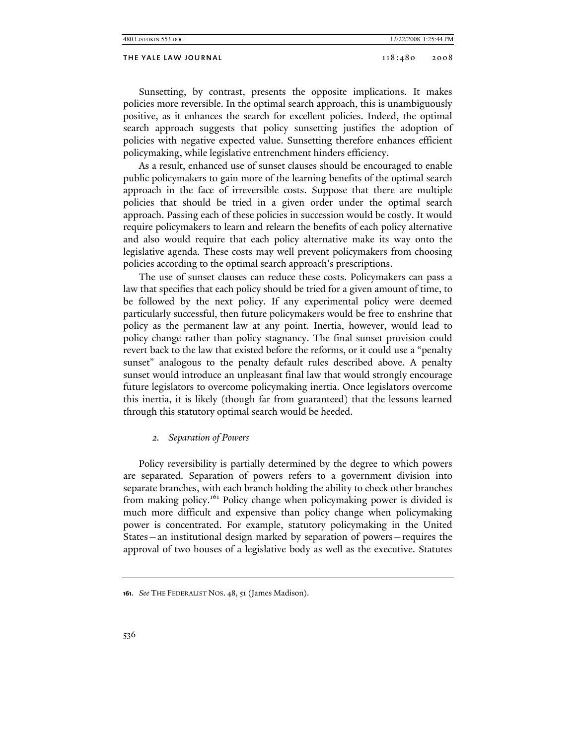#### THE YALE LAW JOURNAL 2008 2008 2008

Sunsetting, by contrast, presents the opposite implications. It makes policies more reversible. In the optimal search approach, this is unambiguously positive, as it enhances the search for excellent policies. Indeed, the optimal search approach suggests that policy sunsetting justifies the adoption of policies with negative expected value. Sunsetting therefore enhances efficient policymaking, while legislative entrenchment hinders efficiency.

As a result, enhanced use of sunset clauses should be encouraged to enable public policymakers to gain more of the learning benefits of the optimal search approach in the face of irreversible costs. Suppose that there are multiple policies that should be tried in a given order under the optimal search approach. Passing each of these policies in succession would be costly. It would require policymakers to learn and relearn the benefits of each policy alternative and also would require that each policy alternative make its way onto the legislative agenda. These costs may well prevent policymakers from choosing policies according to the optimal search approach's prescriptions.

The use of sunset clauses can reduce these costs. Policymakers can pass a law that specifies that each policy should be tried for a given amount of time, to be followed by the next policy. If any experimental policy were deemed particularly successful, then future policymakers would be free to enshrine that policy as the permanent law at any point. Inertia, however, would lead to policy change rather than policy stagnancy. The final sunset provision could revert back to the law that existed before the reforms, or it could use a "penalty sunset" analogous to the penalty default rules described above. A penalty sunset would introduce an unpleasant final law that would strongly encourage future legislators to overcome policymaking inertia. Once legislators overcome this inertia, it is likely (though far from guaranteed) that the lessons learned through this statutory optimal search would be heeded.

#### *2. Separation of Powers*

Policy reversibility is partially determined by the degree to which powers are separated. Separation of powers refers to a government division into separate branches, with each branch holding the ability to check other branches from making policy.161 Policy change when policymaking power is divided is much more difficult and expensive than policy change when policymaking power is concentrated. For example, statutory policymaking in the United States—an institutional design marked by separation of powers—requires the approval of two houses of a legislative body as well as the executive. Statutes

**<sup>161.</sup>** *See* THE FEDERALIST NOS. 48, 51 (James Madison).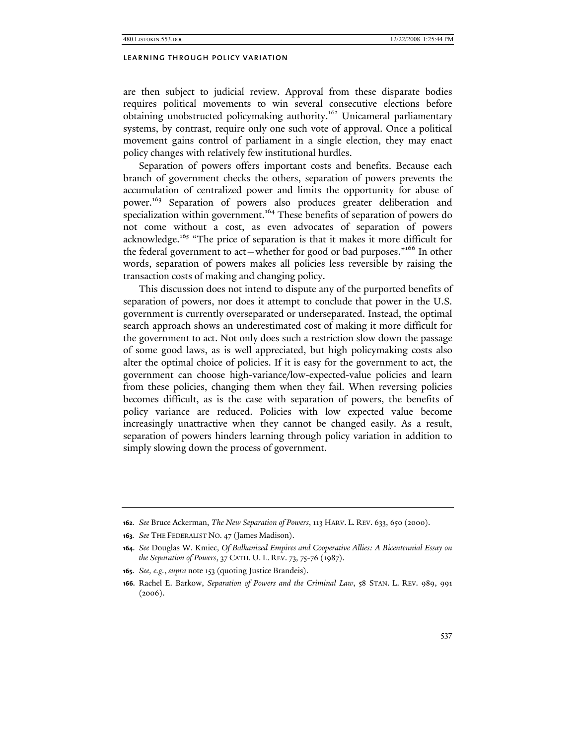are then subject to judicial review. Approval from these disparate bodies requires political movements to win several consecutive elections before obtaining unobstructed policymaking authority.<sup>162</sup> Unicameral parliamentary systems, by contrast, require only one such vote of approval. Once a political movement gains control of parliament in a single election, they may enact policy changes with relatively few institutional hurdles.

Separation of powers offers important costs and benefits. Because each branch of government checks the others, separation of powers prevents the accumulation of centralized power and limits the opportunity for abuse of power.163 Separation of powers also produces greater deliberation and specialization within government.<sup>164</sup> These benefits of separation of powers do not come without a cost, as even advocates of separation of powers acknowledge.<sup>165</sup> "The price of separation is that it makes it more difficult for the federal government to act—whether for good or bad purposes."166 In other words, separation of powers makes all policies less reversible by raising the transaction costs of making and changing policy.

This discussion does not intend to dispute any of the purported benefits of separation of powers, nor does it attempt to conclude that power in the U.S. government is currently overseparated or underseparated. Instead, the optimal search approach shows an underestimated cost of making it more difficult for the government to act. Not only does such a restriction slow down the passage of some good laws, as is well appreciated, but high policymaking costs also alter the optimal choice of policies. If it is easy for the government to act, the government can choose high-variance/low-expected-value policies and learn from these policies, changing them when they fail. When reversing policies becomes difficult, as is the case with separation of powers, the benefits of policy variance are reduced. Policies with low expected value become increasingly unattractive when they cannot be changed easily. As a result, separation of powers hinders learning through policy variation in addition to simply slowing down the process of government.

**<sup>162.</sup>** *See* Bruce Ackerman, *The New Separation of Powers*, 113 HARV. L. REV. 633, 650 (2000).

**<sup>163.</sup>** *See* THE FEDERALIST NO. 47 (James Madison).

**<sup>164.</sup>** *See* Douglas W. Kmiec, *Of Balkanized Empires and Cooperative Allies: A Bicentennial Essay on the Separation of Powers*, 37 CATH. U. L. REV. 73, 75-76 (1987).

**<sup>165.</sup>** *See, e.g.*, *supra* note 153 (quoting Justice Brandeis).

**<sup>166.</sup>** Rachel E. Barkow, *Separation of Powers and the Criminal Law*, 58 STAN. L. REV. 989, 991  $(2006).$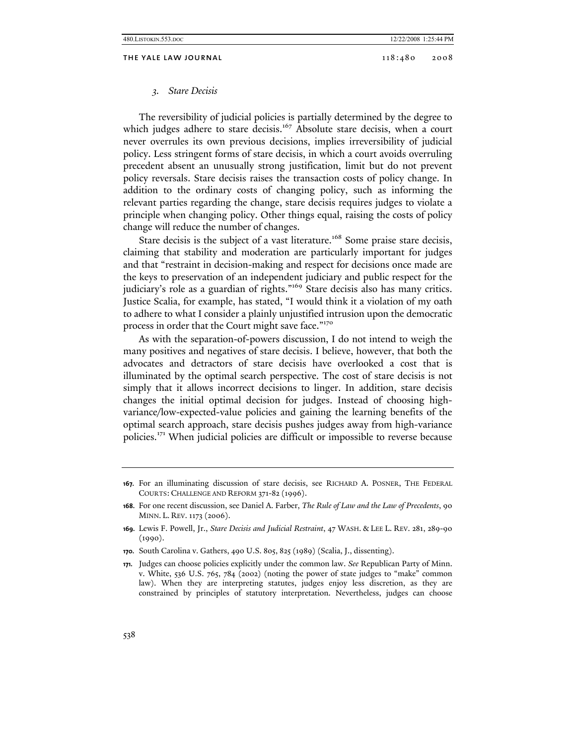THE YALE LAW JOURNAL 2008 2008 2008

#### *3. Stare Decisis*

The reversibility of judicial policies is partially determined by the degree to which judges adhere to stare decisis.<sup>167</sup> Absolute stare decisis, when a court never overrules its own previous decisions, implies irreversibility of judicial policy. Less stringent forms of stare decisis, in which a court avoids overruling precedent absent an unusually strong justification, limit but do not prevent policy reversals. Stare decisis raises the transaction costs of policy change. In addition to the ordinary costs of changing policy, such as informing the relevant parties regarding the change, stare decisis requires judges to violate a principle when changing policy. Other things equal, raising the costs of policy change will reduce the number of changes.

Stare decisis is the subject of a vast literature.<sup>168</sup> Some praise stare decisis, claiming that stability and moderation are particularly important for judges and that "restraint in decision-making and respect for decisions once made are the keys to preservation of an independent judiciary and public respect for the judiciary's role as a guardian of rights."<sup>169</sup> Stare decisis also has many critics. Justice Scalia, for example, has stated, "I would think it a violation of my oath to adhere to what I consider a plainly unjustified intrusion upon the democratic process in order that the Court might save face."<sup>170</sup>

As with the separation-of-powers discussion, I do not intend to weigh the many positives and negatives of stare decisis. I believe, however, that both the advocates and detractors of stare decisis have overlooked a cost that is illuminated by the optimal search perspective. The cost of stare decisis is not simply that it allows incorrect decisions to linger. In addition, stare decisis changes the initial optimal decision for judges. Instead of choosing highvariance/low-expected-value policies and gaining the learning benefits of the optimal search approach, stare decisis pushes judges away from high-variance policies.171 When judicial policies are difficult or impossible to reverse because

**<sup>167.</sup>** For an illuminating discussion of stare decisis, see RICHARD A. POSNER, THE FEDERAL COURTS: CHALLENGE AND REFORM 371-82 (1996).

**<sup>168.</sup>** For one recent discussion, see Daniel A. Farber, *The Rule of Law and the Law of Precedents*, 90 MINN. L. REV. 1173 (2006).

**<sup>169.</sup>** Lewis F. Powell, Jr., *Stare Decisis and Judicial Restraint*, 47 WASH. & LEE L. REV. 281, 289-90 (1990).

**<sup>170.</sup>** South Carolina v. Gathers, 490 U.S. 805, 825 (1989) (Scalia, J., dissenting).

**<sup>171.</sup>** Judges can choose policies explicitly under the common law. *See* Republican Party of Minn. v. White, 536 U.S. 765, 784 (2002) (noting the power of state judges to "make" common law). When they are interpreting statutes, judges enjoy less discretion, as they are constrained by principles of statutory interpretation. Nevertheless, judges can choose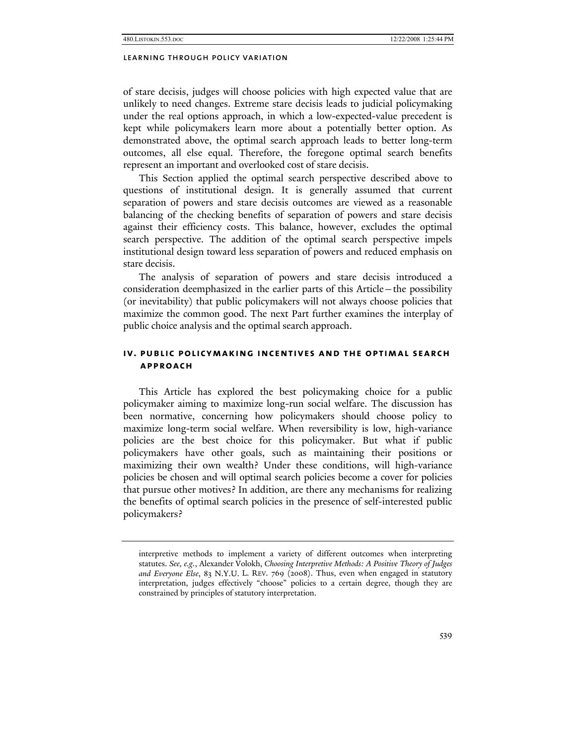of stare decisis, judges will choose policies with high expected value that are unlikely to need changes. Extreme stare decisis leads to judicial policymaking under the real options approach, in which a low-expected-value precedent is kept while policymakers learn more about a potentially better option. As demonstrated above, the optimal search approach leads to better long-term outcomes, all else equal. Therefore, the foregone optimal search benefits represent an important and overlooked cost of stare decisis.

This Section applied the optimal search perspective described above to questions of institutional design. It is generally assumed that current separation of powers and stare decisis outcomes are viewed as a reasonable balancing of the checking benefits of separation of powers and stare decisis against their efficiency costs. This balance, however, excludes the optimal search perspective. The addition of the optimal search perspective impels institutional design toward less separation of powers and reduced emphasis on stare decisis.

The analysis of separation of powers and stare decisis introduced a consideration deemphasized in the earlier parts of this Article—the possibility (or inevitability) that public policymakers will not always choose policies that maximize the common good. The next Part further examines the interplay of public choice analysis and the optimal search approach.

# **iv. public policymaking incentives and the optimal search approach**

This Article has explored the best policymaking choice for a public policymaker aiming to maximize long-run social welfare. The discussion has been normative, concerning how policymakers should choose policy to maximize long-term social welfare. When reversibility is low, high-variance policies are the best choice for this policymaker. But what if public policymakers have other goals, such as maintaining their positions or maximizing their own wealth? Under these conditions, will high-variance policies be chosen and will optimal search policies become a cover for policies that pursue other motives? In addition, are there any mechanisms for realizing the benefits of optimal search policies in the presence of self-interested public policymakers?

interpretive methods to implement a variety of different outcomes when interpreting statutes. *See, e.g.*, Alexander Volokh, *Choosing Interpretive Methods: A Positive Theory of Judges and Everyone Else*, 83 N.Y.U. L. REV. 769 (2008). Thus, even when engaged in statutory interpretation, judges effectively "choose" policies to a certain degree, though they are constrained by principles of statutory interpretation.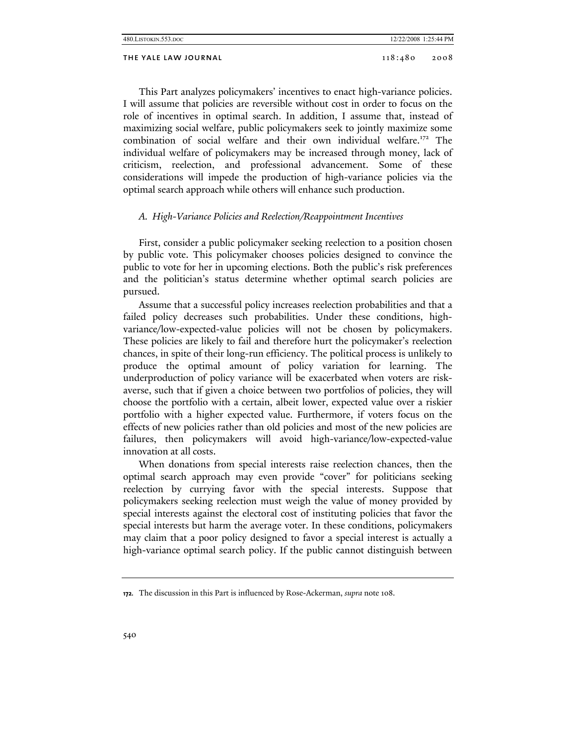| 480. LISTOKIN. 553. DOC |         | 12/22/2008 1:25:44 PM |
|-------------------------|---------|-----------------------|
| THE YALE LAW JOURNAL    | 118:480 | 2008                  |

This Part analyzes policymakers' incentives to enact high-variance policies. I will assume that policies are reversible without cost in order to focus on the role of incentives in optimal search. In addition, I assume that, instead of maximizing social welfare, public policymakers seek to jointly maximize some combination of social welfare and their own individual welfare.<sup>172</sup> The individual welfare of policymakers may be increased through money, lack of criticism, reelection, and professional advancement. Some of these considerations will impede the production of high-variance policies via the optimal search approach while others will enhance such production.

# *A. High-Variance Policies and Reelection/Reappointment Incentives*

First, consider a public policymaker seeking reelection to a position chosen by public vote. This policymaker chooses policies designed to convince the public to vote for her in upcoming elections. Both the public's risk preferences and the politician's status determine whether optimal search policies are pursued.

Assume that a successful policy increases reelection probabilities and that a failed policy decreases such probabilities. Under these conditions, highvariance/low-expected-value policies will not be chosen by policymakers. These policies are likely to fail and therefore hurt the policymaker's reelection chances, in spite of their long-run efficiency. The political process is unlikely to produce the optimal amount of policy variation for learning. The underproduction of policy variance will be exacerbated when voters are riskaverse, such that if given a choice between two portfolios of policies, they will choose the portfolio with a certain, albeit lower, expected value over a riskier portfolio with a higher expected value. Furthermore, if voters focus on the effects of new policies rather than old policies and most of the new policies are failures, then policymakers will avoid high-variance/low-expected-value innovation at all costs.

When donations from special interests raise reelection chances, then the optimal search approach may even provide "cover" for politicians seeking reelection by currying favor with the special interests. Suppose that policymakers seeking reelection must weigh the value of money provided by special interests against the electoral cost of instituting policies that favor the special interests but harm the average voter. In these conditions, policymakers may claim that a poor policy designed to favor a special interest is actually a high-variance optimal search policy. If the public cannot distinguish between

**<sup>172.</sup>** The discussion in this Part is influenced by Rose-Ackerman, *supra* note 108.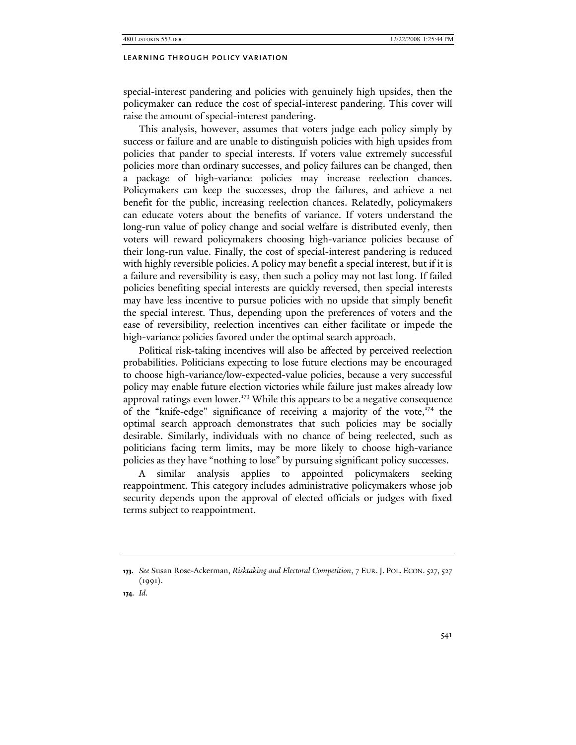special-interest pandering and policies with genuinely high upsides, then the policymaker can reduce the cost of special-interest pandering. This cover will raise the amount of special-interest pandering.

This analysis, however, assumes that voters judge each policy simply by success or failure and are unable to distinguish policies with high upsides from policies that pander to special interests. If voters value extremely successful policies more than ordinary successes, and policy failures can be changed, then a package of high-variance policies may increase reelection chances. Policymakers can keep the successes, drop the failures, and achieve a net benefit for the public, increasing reelection chances. Relatedly, policymakers can educate voters about the benefits of variance. If voters understand the long-run value of policy change and social welfare is distributed evenly, then voters will reward policymakers choosing high-variance policies because of their long-run value. Finally, the cost of special-interest pandering is reduced with highly reversible policies. A policy may benefit a special interest, but if it is a failure and reversibility is easy, then such a policy may not last long. If failed policies benefiting special interests are quickly reversed, then special interests may have less incentive to pursue policies with no upside that simply benefit the special interest. Thus, depending upon the preferences of voters and the ease of reversibility, reelection incentives can either facilitate or impede the high-variance policies favored under the optimal search approach.

Political risk-taking incentives will also be affected by perceived reelection probabilities. Politicians expecting to lose future elections may be encouraged to choose high-variance/low-expected-value policies, because a very successful policy may enable future election victories while failure just makes already low approval ratings even lower.<sup>173</sup> While this appears to be a negative consequence of the "knife-edge" significance of receiving a majority of the vote, $174$  the optimal search approach demonstrates that such policies may be socially desirable. Similarly, individuals with no chance of being reelected, such as politicians facing term limits, may be more likely to choose high-variance policies as they have "nothing to lose" by pursuing significant policy successes.

A similar analysis applies to appointed policymakers seeking reappointment. This category includes administrative policymakers whose job security depends upon the approval of elected officials or judges with fixed terms subject to reappointment.

**<sup>173.</sup>** *See* Susan Rose-Ackerman, *Risktaking and Electoral Competition*, 7 EUR. J. POL. ECON. 527, 527 (1991).

**<sup>174.</sup>** *Id.*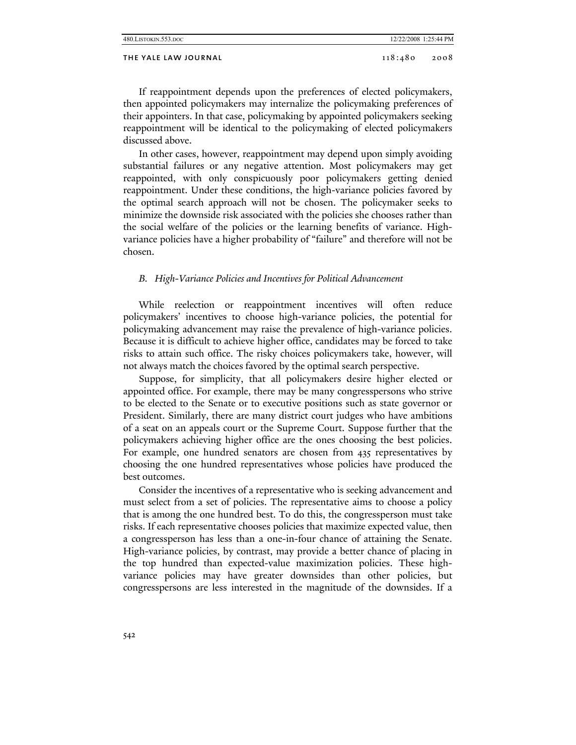# THE YALE LAW JOURNAL 2008 2008

If reappointment depends upon the preferences of elected policymakers, then appointed policymakers may internalize the policymaking preferences of their appointers. In that case, policymaking by appointed policymakers seeking reappointment will be identical to the policymaking of elected policymakers discussed above.

In other cases, however, reappointment may depend upon simply avoiding substantial failures or any negative attention. Most policymakers may get reappointed, with only conspicuously poor policymakers getting denied reappointment. Under these conditions, the high-variance policies favored by the optimal search approach will not be chosen. The policymaker seeks to minimize the downside risk associated with the policies she chooses rather than the social welfare of the policies or the learning benefits of variance. Highvariance policies have a higher probability of "failure" and therefore will not be chosen.

## *B. High-Variance Policies and Incentives for Political Advancement*

While reelection or reappointment incentives will often reduce policymakers' incentives to choose high-variance policies, the potential for policymaking advancement may raise the prevalence of high-variance policies. Because it is difficult to achieve higher office, candidates may be forced to take risks to attain such office. The risky choices policymakers take, however, will not always match the choices favored by the optimal search perspective.

Suppose, for simplicity, that all policymakers desire higher elected or appointed office. For example, there may be many congresspersons who strive to be elected to the Senate or to executive positions such as state governor or President. Similarly, there are many district court judges who have ambitions of a seat on an appeals court or the Supreme Court. Suppose further that the policymakers achieving higher office are the ones choosing the best policies. For example, one hundred senators are chosen from 435 representatives by choosing the one hundred representatives whose policies have produced the best outcomes.

Consider the incentives of a representative who is seeking advancement and must select from a set of policies. The representative aims to choose a policy that is among the one hundred best. To do this, the congressperson must take risks. If each representative chooses policies that maximize expected value, then a congressperson has less than a one-in-four chance of attaining the Senate. High-variance policies, by contrast, may provide a better chance of placing in the top hundred than expected-value maximization policies. These highvariance policies may have greater downsides than other policies, but congresspersons are less interested in the magnitude of the downsides. If a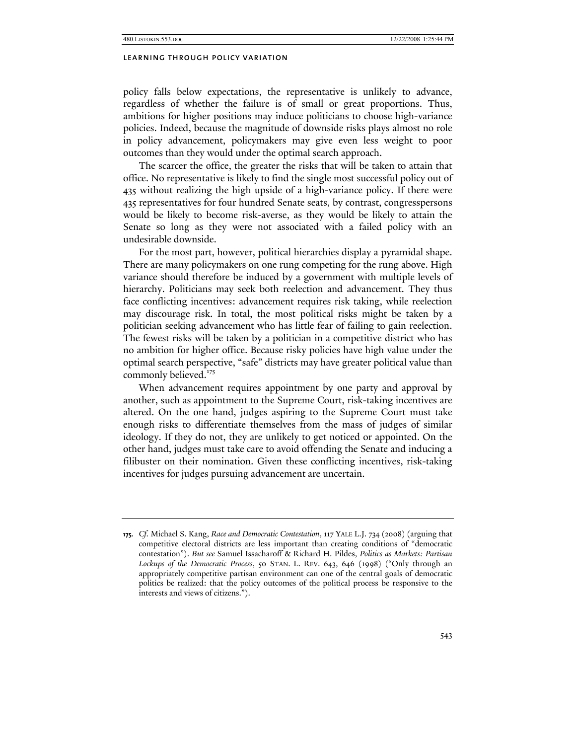policy falls below expectations, the representative is unlikely to advance, regardless of whether the failure is of small or great proportions. Thus, ambitions for higher positions may induce politicians to choose high-variance policies. Indeed, because the magnitude of downside risks plays almost no role in policy advancement, policymakers may give even less weight to poor outcomes than they would under the optimal search approach.

The scarcer the office, the greater the risks that will be taken to attain that office. No representative is likely to find the single most successful policy out of 435 without realizing the high upside of a high-variance policy. If there were 435 representatives for four hundred Senate seats, by contrast, congresspersons would be likely to become risk-averse, as they would be likely to attain the Senate so long as they were not associated with a failed policy with an undesirable downside.

For the most part, however, political hierarchies display a pyramidal shape. There are many policymakers on one rung competing for the rung above. High variance should therefore be induced by a government with multiple levels of hierarchy. Politicians may seek both reelection and advancement. They thus face conflicting incentives: advancement requires risk taking, while reelection may discourage risk. In total, the most political risks might be taken by a politician seeking advancement who has little fear of failing to gain reelection. The fewest risks will be taken by a politician in a competitive district who has no ambition for higher office. Because risky policies have high value under the optimal search perspective, "safe" districts may have greater political value than commonly believed.<sup>175</sup>

When advancement requires appointment by one party and approval by another, such as appointment to the Supreme Court, risk-taking incentives are altered. On the one hand, judges aspiring to the Supreme Court must take enough risks to differentiate themselves from the mass of judges of similar ideology. If they do not, they are unlikely to get noticed or appointed. On the other hand, judges must take care to avoid offending the Senate and inducing a filibuster on their nomination. Given these conflicting incentives, risk-taking incentives for judges pursuing advancement are uncertain.

**<sup>175.</sup>** *Cf.* Michael S. Kang, *Race and Democratic Contestation*, 117 YALE L.J. 734 (2008) (arguing that competitive electoral districts are less important than creating conditions of "democratic contestation"). *But see* Samuel Issacharoff & Richard H. Pildes, *Politics as Markets: Partisan Lockups of the Democratic Process*, 50 STAN. L. REV. 643, 646 (1998) ("Only through an appropriately competitive partisan environment can one of the central goals of democratic politics be realized: that the policy outcomes of the political process be responsive to the interests and views of citizens.").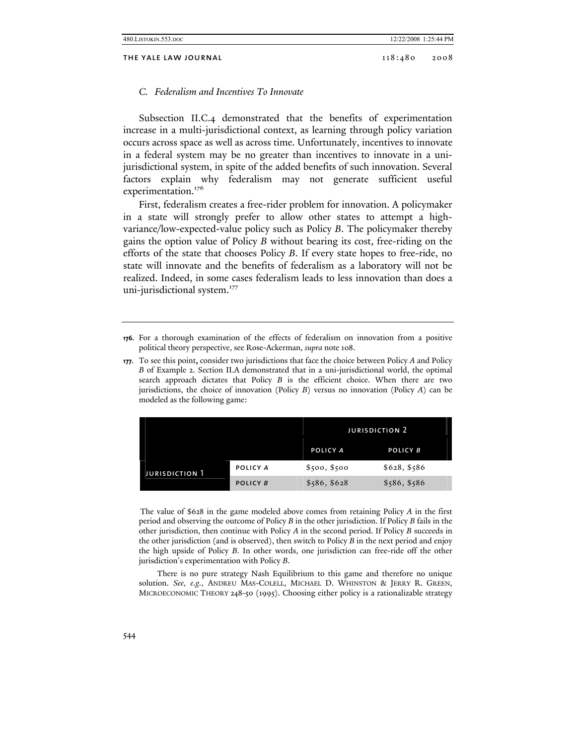## *C. Federalism and Incentives To Innovate*

Subsection II.C.4 demonstrated that the benefits of experimentation increase in a multi-jurisdictional context, as learning through policy variation occurs across space as well as across time. Unfortunately, incentives to innovate in a federal system may be no greater than incentives to innovate in a unijurisdictional system, in spite of the added benefits of such innovation. Several factors explain why federalism may not generate sufficient useful experimentation.<sup>176</sup>

First, federalism creates a free-rider problem for innovation. A policymaker in a state will strongly prefer to allow other states to attempt a highvariance/low-expected-value policy such as Policy *B*. The policymaker thereby gains the option value of Policy *B* without bearing its cost, free-riding on the efforts of the state that chooses Policy *B*. If every state hopes to free-ride, no state will innovate and the benefits of federalism as a laboratory will not be realized. Indeed, in some cases federalism leads to less innovation than does a uni-jurisdictional system.<sup>177</sup>

**177.** To see this point, consider two jurisdictions that face the choice between Policy *A* and Policy *B* of Example 2. Section II.A demonstrated that in a uni-jurisdictional world, the optimal search approach dictates that Policy *B* is the efficient choice. When there are two jurisdictions, the choice of innovation (Policy *B*) versus no innovation (Policy *A*) can be modeled as the following game:

|                       |          | <b>JURISDICTION 2</b> |              |
|-----------------------|----------|-----------------------|--------------|
|                       |          | POLICY A              | POLICY B     |
| <b>JURISDICTION 1</b> | POLICY A | \$500, \$500          | \$628, \$586 |
|                       | POLICY B | \$586, \$628          | \$586, \$586 |

The value of \$628 in the game modeled above comes from retaining Policy *A* in the first period and observing the outcome of Policy *B* in the other jurisdiction. If Policy *B* fails in the other jurisdiction, then continue with Policy *A* in the second period. If Policy *B* succeeds in the other jurisdiction (and is observed), then switch to Policy *B* in the next period and enjoy the high upside of Policy *B*. In other words, one jurisdiction can free-ride off the other jurisdiction's experimentation with Policy *B*.

 There is no pure strategy Nash Equilibrium to this game and therefore no unique solution. *See, e.g.*, ANDREU MAS-COLELL, MICHAEL D. WHINSTON & JERRY R. GREEN, MICROECONOMIC THEORY 248-50 (1995). Choosing either policy is a rationalizable strategy

**<sup>176.</sup>** For a thorough examination of the effects of federalism on innovation from a positive political theory perspective, see Rose-Ackerman, *supra* note 108.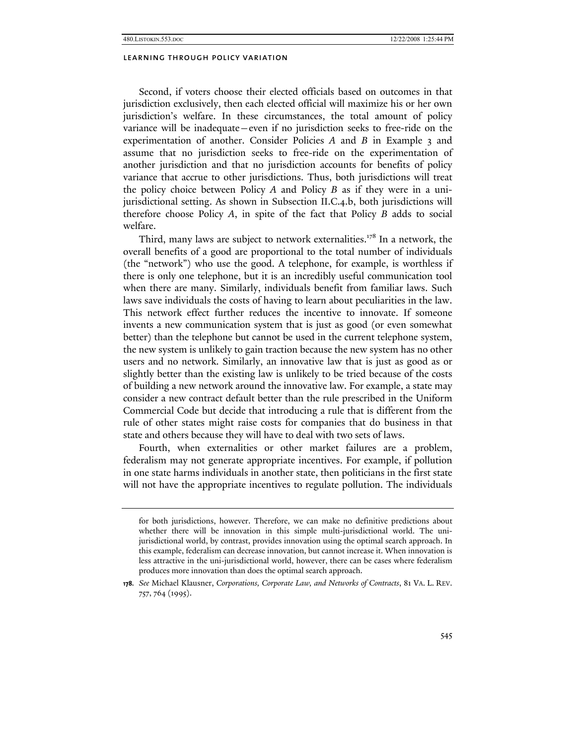Second, if voters choose their elected officials based on outcomes in that jurisdiction exclusively, then each elected official will maximize his or her own jurisdiction's welfare. In these circumstances, the total amount of policy variance will be inadequate—even if no jurisdiction seeks to free-ride on the experimentation of another. Consider Policies *A* and *B* in Example 3 and assume that no jurisdiction seeks to free-ride on the experimentation of another jurisdiction and that no jurisdiction accounts for benefits of policy variance that accrue to other jurisdictions. Thus, both jurisdictions will treat the policy choice between Policy *A* and Policy *B* as if they were in a unijurisdictional setting. As shown in Subsection II.C.4.b, both jurisdictions will therefore choose Policy *A*, in spite of the fact that Policy *B* adds to social welfare.

Third, many laws are subject to network externalities.<sup>178</sup> In a network, the overall benefits of a good are proportional to the total number of individuals (the "network") who use the good. A telephone, for example, is worthless if there is only one telephone, but it is an incredibly useful communication tool when there are many. Similarly, individuals benefit from familiar laws. Such laws save individuals the costs of having to learn about peculiarities in the law. This network effect further reduces the incentive to innovate. If someone invents a new communication system that is just as good (or even somewhat better) than the telephone but cannot be used in the current telephone system, the new system is unlikely to gain traction because the new system has no other users and no network. Similarly, an innovative law that is just as good as or slightly better than the existing law is unlikely to be tried because of the costs of building a new network around the innovative law. For example, a state may consider a new contract default better than the rule prescribed in the Uniform Commercial Code but decide that introducing a rule that is different from the rule of other states might raise costs for companies that do business in that state and others because they will have to deal with two sets of laws.

Fourth, when externalities or other market failures are a problem, federalism may not generate appropriate incentives. For example, if pollution in one state harms individuals in another state, then politicians in the first state will not have the appropriate incentives to regulate pollution. The individuals

for both jurisdictions, however. Therefore, we can make no definitive predictions about whether there will be innovation in this simple multi-jurisdictional world. The unijurisdictional world, by contrast, provides innovation using the optimal search approach. In this example, federalism can decrease innovation, but cannot increase it. When innovation is less attractive in the uni-jurisdictional world, however, there can be cases where federalism produces more innovation than does the optimal search approach.

**<sup>178.</sup>** *See* Michael Klausner, *Corporations, Corporate Law, and Networks of Contracts*, 81 VA. L. REV. 757, 764 (1995).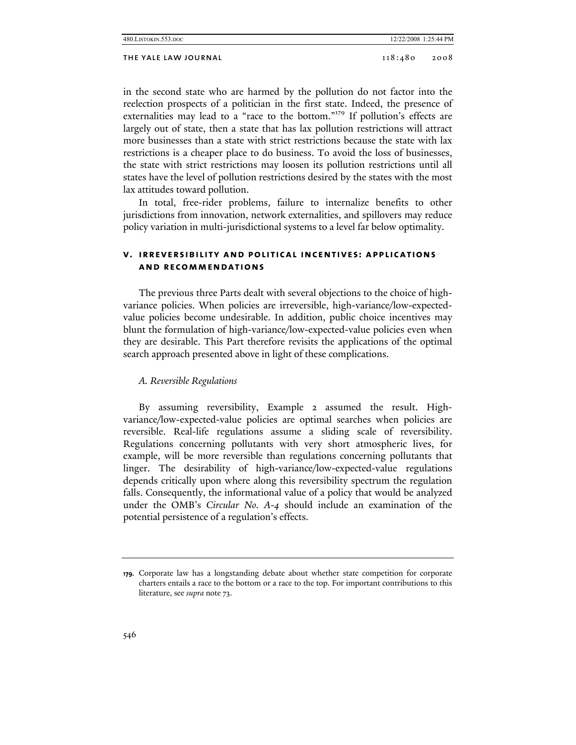in the second state who are harmed by the pollution do not factor into the reelection prospects of a politician in the first state. Indeed, the presence of externalities may lead to a "race to the bottom."179 If pollution's effects are largely out of state, then a state that has lax pollution restrictions will attract more businesses than a state with strict restrictions because the state with lax restrictions is a cheaper place to do business. To avoid the loss of businesses, the state with strict restrictions may loosen its pollution restrictions until all states have the level of pollution restrictions desired by the states with the most lax attitudes toward pollution.

In total, free-rider problems, failure to internalize benefits to other jurisdictions from innovation, network externalities, and spillovers may reduce policy variation in multi-jurisdictional systems to a level far below optimality.

# **v. irreversibility and political incentives: applications and recommendations**

The previous three Parts dealt with several objections to the choice of highvariance policies. When policies are irreversible, high-variance/low-expectedvalue policies become undesirable. In addition, public choice incentives may blunt the formulation of high-variance/low-expected-value policies even when they are desirable. This Part therefore revisits the applications of the optimal search approach presented above in light of these complications.

# *A. Reversible Regulations*

By assuming reversibility, Example 2 assumed the result. Highvariance/low-expected-value policies are optimal searches when policies are reversible. Real-life regulations assume a sliding scale of reversibility. Regulations concerning pollutants with very short atmospheric lives, for example, will be more reversible than regulations concerning pollutants that linger. The desirability of high-variance/low-expected-value regulations depends critically upon where along this reversibility spectrum the regulation falls. Consequently, the informational value of a policy that would be analyzed under the OMB's *Circular No. A-4* should include an examination of the potential persistence of a regulation's effects.

**<sup>179.</sup>** Corporate law has a longstanding debate about whether state competition for corporate charters entails a race to the bottom or a race to the top. For important contributions to this literature, see *supra* note 73.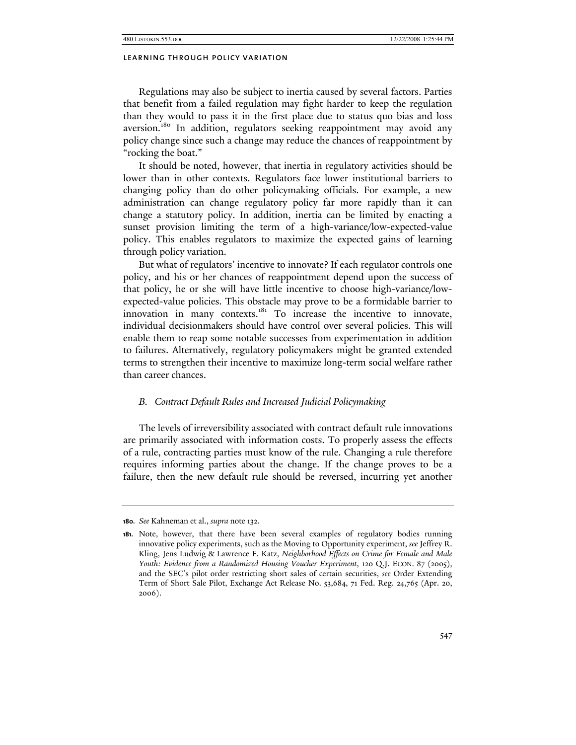Regulations may also be subject to inertia caused by several factors. Parties that benefit from a failed regulation may fight harder to keep the regulation than they would to pass it in the first place due to status quo bias and loss aversion.<sup>180</sup> In addition, regulators seeking reappointment may avoid any policy change since such a change may reduce the chances of reappointment by "rocking the boat."

It should be noted, however, that inertia in regulatory activities should be lower than in other contexts. Regulators face lower institutional barriers to changing policy than do other policymaking officials. For example, a new administration can change regulatory policy far more rapidly than it can change a statutory policy. In addition, inertia can be limited by enacting a sunset provision limiting the term of a high-variance/low-expected-value policy. This enables regulators to maximize the expected gains of learning through policy variation.

But what of regulators' incentive to innovate? If each regulator controls one policy, and his or her chances of reappointment depend upon the success of that policy, he or she will have little incentive to choose high-variance/lowexpected-value policies. This obstacle may prove to be a formidable barrier to innovation in many contexts.<sup>181</sup> To increase the incentive to innovate, individual decisionmakers should have control over several policies. This will enable them to reap some notable successes from experimentation in addition to failures. Alternatively, regulatory policymakers might be granted extended terms to strengthen their incentive to maximize long-term social welfare rather than career chances.

# *B. Contract Default Rules and Increased Judicial Policymaking*

The levels of irreversibility associated with contract default rule innovations are primarily associated with information costs. To properly assess the effects of a rule, contracting parties must know of the rule. Changing a rule therefore requires informing parties about the change. If the change proves to be a failure, then the new default rule should be reversed, incurring yet another

**<sup>180.</sup>** *See* Kahneman et al., *supra* note 132.

**<sup>181.</sup>** Note, however, that there have been several examples of regulatory bodies running innovative policy experiments, such as the Moving to Opportunity experiment, *see* Jeffrey R. Kling, Jens Ludwig & Lawrence F. Katz, *Neighborhood Effects on Crime for Female and Male Youth: Evidence from a Randomized Housing Voucher Experiment*, 120 Q.J. ECON. 87 (2005), and the SEC's pilot order restricting short sales of certain securities, *see* Order Extending Term of Short Sale Pilot, Exchange Act Release No. 53,684, 71 Fed. Reg. 24,765 (Apr. 20, 2006).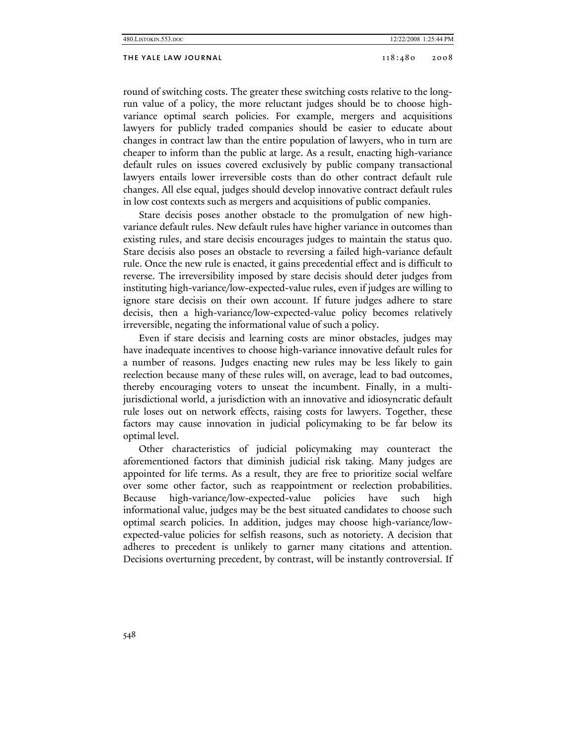round of switching costs. The greater these switching costs relative to the longrun value of a policy, the more reluctant judges should be to choose highvariance optimal search policies. For example, mergers and acquisitions lawyers for publicly traded companies should be easier to educate about changes in contract law than the entire population of lawyers, who in turn are cheaper to inform than the public at large. As a result, enacting high-variance default rules on issues covered exclusively by public company transactional lawyers entails lower irreversible costs than do other contract default rule changes. All else equal, judges should develop innovative contract default rules in low cost contexts such as mergers and acquisitions of public companies.

Stare decisis poses another obstacle to the promulgation of new highvariance default rules. New default rules have higher variance in outcomes than existing rules, and stare decisis encourages judges to maintain the status quo. Stare decisis also poses an obstacle to reversing a failed high-variance default rule. Once the new rule is enacted, it gains precedential effect and is difficult to reverse. The irreversibility imposed by stare decisis should deter judges from instituting high-variance/low-expected-value rules, even if judges are willing to ignore stare decisis on their own account. If future judges adhere to stare decisis, then a high-variance/low-expected-value policy becomes relatively irreversible, negating the informational value of such a policy.

Even if stare decisis and learning costs are minor obstacles, judges may have inadequate incentives to choose high-variance innovative default rules for a number of reasons. Judges enacting new rules may be less likely to gain reelection because many of these rules will, on average, lead to bad outcomes, thereby encouraging voters to unseat the incumbent. Finally, in a multijurisdictional world, a jurisdiction with an innovative and idiosyncratic default rule loses out on network effects, raising costs for lawyers. Together, these factors may cause innovation in judicial policymaking to be far below its optimal level.

Other characteristics of judicial policymaking may counteract the aforementioned factors that diminish judicial risk taking. Many judges are appointed for life terms. As a result, they are free to prioritize social welfare over some other factor, such as reappointment or reelection probabilities. Because high-variance/low-expected-value policies have such high informational value, judges may be the best situated candidates to choose such optimal search policies. In addition, judges may choose high-variance/lowexpected-value policies for selfish reasons, such as notoriety. A decision that adheres to precedent is unlikely to garner many citations and attention. Decisions overturning precedent, by contrast, will be instantly controversial. If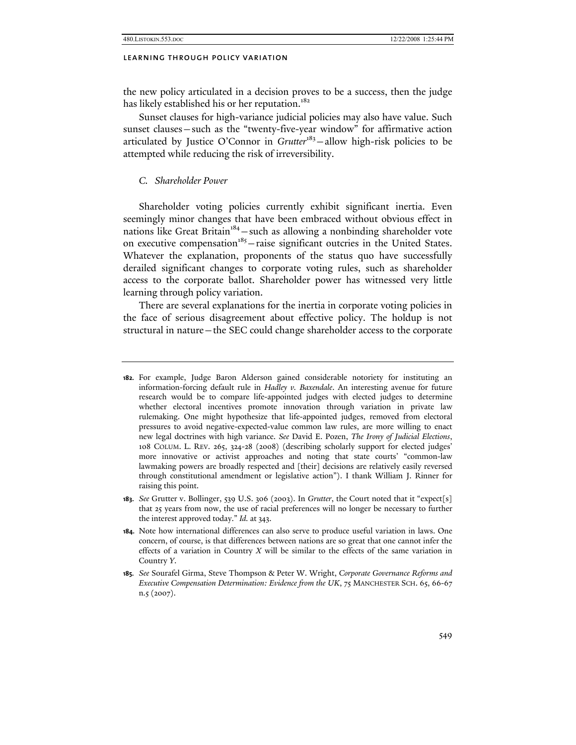the new policy articulated in a decision proves to be a success, then the judge has likely established his or her reputation.<sup>182</sup>

Sunset clauses for high-variance judicial policies may also have value. Such sunset clauses—such as the "twenty-five-year window" for affirmative action articulated by Justice O'Connor in *Grutter*<sup>183</sup>-allow high-risk policies to be attempted while reducing the risk of irreversibility.

# *C. Shareholder Power*

Shareholder voting policies currently exhibit significant inertia. Even seemingly minor changes that have been embraced without obvious effect in nations like Great Britain<sup>184</sup> – such as allowing a nonbinding shareholder vote on executive compensation $185$  – raise significant outcries in the United States. Whatever the explanation, proponents of the status quo have successfully derailed significant changes to corporate voting rules, such as shareholder access to the corporate ballot. Shareholder power has witnessed very little learning through policy variation.

There are several explanations for the inertia in corporate voting policies in the face of serious disagreement about effective policy. The holdup is not structural in nature—the SEC could change shareholder access to the corporate

- **183.** *See* Grutter v. Bollinger, 539 U.S. 306 (2003). In *Grutter*, the Court noted that it "expect[s] that 25 years from now, the use of racial preferences will no longer be necessary to further the interest approved today." *Id.* at 343.
- **184.** Note how international differences can also serve to produce useful variation in laws. One concern, of course, is that differences between nations are so great that one cannot infer the effects of a variation in Country *X* will be similar to the effects of the same variation in Country *Y*.
- **185.** *See* Sourafel Girma, Steve Thompson & Peter W. Wright, *Corporate Governance Reforms and Executive Compensation Determination: Evidence from the UK*, 75 MANCHESTER SCH. 65, 66-67 n.5 (2007).

**<sup>182.</sup>** For example, Judge Baron Alderson gained considerable notoriety for instituting an information-forcing default rule in *Hadley v. Baxendale*. An interesting avenue for future research would be to compare life-appointed judges with elected judges to determine whether electoral incentives promote innovation through variation in private law rulemaking. One might hypothesize that life-appointed judges, removed from electoral pressures to avoid negative-expected-value common law rules, are more willing to enact new legal doctrines with high variance. *See* David E. Pozen, *The Irony of Judicial Elections*, 108 COLUM. L. REV. 265, 324-28 (2008) (describing scholarly support for elected judges' more innovative or activist approaches and noting that state courts' "common-law lawmaking powers are broadly respected and [their] decisions are relatively easily reversed through constitutional amendment or legislative action"). I thank William J. Rinner for raising this point.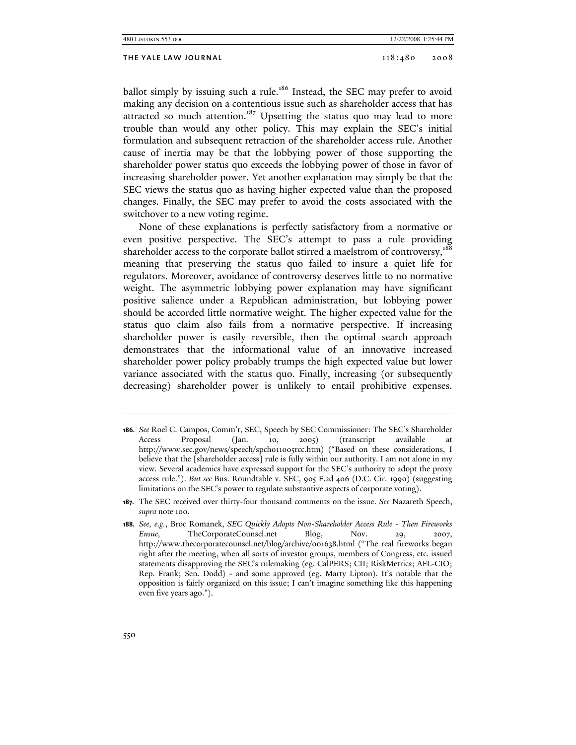## THE YALE LAW JOURNAL 2008 2008

ballot simply by issuing such a rule.<sup>186</sup> Instead, the SEC may prefer to avoid making any decision on a contentious issue such as shareholder access that has attracted so much attention.<sup>187</sup> Upsetting the status quo may lead to more trouble than would any other policy. This may explain the SEC's initial formulation and subsequent retraction of the shareholder access rule. Another cause of inertia may be that the lobbying power of those supporting the shareholder power status quo exceeds the lobbying power of those in favor of increasing shareholder power. Yet another explanation may simply be that the SEC views the status quo as having higher expected value than the proposed changes. Finally, the SEC may prefer to avoid the costs associated with the switchover to a new voting regime.

None of these explanations is perfectly satisfactory from a normative or even positive perspective. The SEC's attempt to pass a rule providing shareholder access to the corporate ballot stirred a maelstrom of controversy,<sup>188</sup> meaning that preserving the status quo failed to insure a quiet life for regulators. Moreover, avoidance of controversy deserves little to no normative weight. The asymmetric lobbying power explanation may have significant positive salience under a Republican administration, but lobbying power should be accorded little normative weight. The higher expected value for the status quo claim also fails from a normative perspective. If increasing shareholder power is easily reversible, then the optimal search approach demonstrates that the informational value of an innovative increased shareholder power policy probably trumps the high expected value but lower variance associated with the status quo. Finally, increasing (or subsequently decreasing) shareholder power is unlikely to entail prohibitive expenses.

**<sup>186.</sup>** *See* Roel C. Campos, Comm'r, SEC, Speech by SEC Commissioner: The SEC's Shareholder Access Proposal (Jan. 10, 2005) (transcript available at http://www.sec.gov/news/speech/spch011005rcc.htm) ("Based on these considerations, I believe that the [shareholder access] rule is fully within our authority. I am not alone in my view. Several academics have expressed support for the SEC's authority to adopt the proxy access rule."). *But see* Bus. Roundtable v. SEC, 905 F.2d 406 (D.C. Cir. 1990) (suggesting limitations on the SEC's power to regulate substantive aspects of corporate voting).

**<sup>187.</sup>** The SEC received over thirty-four thousand comments on the issue. *See* Nazareth Speech, *supra* note 100.

**<sup>188.</sup>** *See, e.g.*, Broc Romanek, *SEC Quickly Adopts Non-Shareholder Access Rule - Then Fireworks Ensue*, TheCorporateCounsel.net Blog, Nov. 29, 2007, http://www.thecorporatecounsel.net/blog/archive/001638.html ("The real fireworks began right after the meeting, when all sorts of investor groups, members of Congress, etc. issued statements disapproving the SEC's rulemaking (eg. CalPERS; CII; RiskMetrics; AFL-CIO; Rep. Frank; Sen. Dodd) - and some approved (eg. Marty Lipton). It's notable that the opposition is fairly organized on this issue; I can't imagine something like this happening even five years ago.").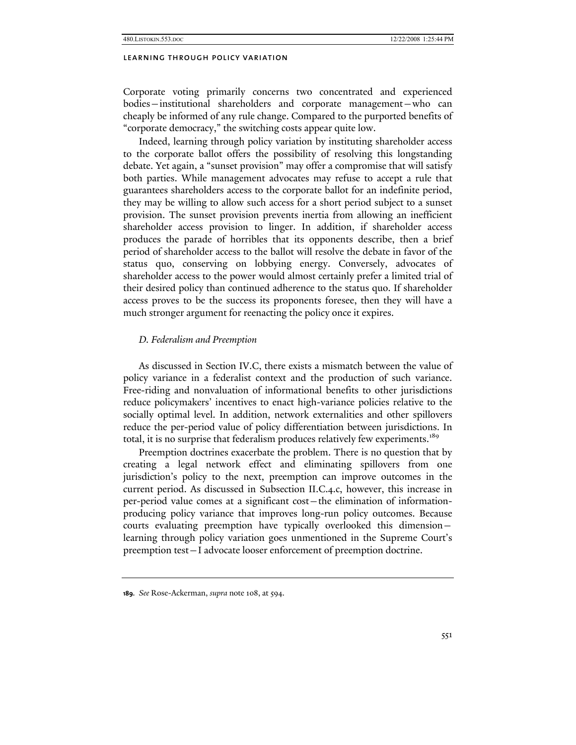Corporate voting primarily concerns two concentrated and experienced bodies—institutional shareholders and corporate management—who can cheaply be informed of any rule change. Compared to the purported benefits of "corporate democracy," the switching costs appear quite low.

Indeed, learning through policy variation by instituting shareholder access to the corporate ballot offers the possibility of resolving this longstanding debate. Yet again, a "sunset provision" may offer a compromise that will satisfy both parties. While management advocates may refuse to accept a rule that guarantees shareholders access to the corporate ballot for an indefinite period, they may be willing to allow such access for a short period subject to a sunset provision. The sunset provision prevents inertia from allowing an inefficient shareholder access provision to linger. In addition, if shareholder access produces the parade of horribles that its opponents describe, then a brief period of shareholder access to the ballot will resolve the debate in favor of the status quo, conserving on lobbying energy. Conversely, advocates of shareholder access to the power would almost certainly prefer a limited trial of their desired policy than continued adherence to the status quo. If shareholder access proves to be the success its proponents foresee, then they will have a much stronger argument for reenacting the policy once it expires.

## *D. Federalism and Preemption*

As discussed in Section IV.C, there exists a mismatch between the value of policy variance in a federalist context and the production of such variance. Free-riding and nonvaluation of informational benefits to other jurisdictions reduce policymakers' incentives to enact high-variance policies relative to the socially optimal level. In addition, network externalities and other spillovers reduce the per-period value of policy differentiation between jurisdictions. In total, it is no surprise that federalism produces relatively few experiments.<sup>189</sup>

Preemption doctrines exacerbate the problem. There is no question that by creating a legal network effect and eliminating spillovers from one jurisdiction's policy to the next, preemption can improve outcomes in the current period. As discussed in Subsection II.C.4.c, however, this increase in per-period value comes at a significant cost—the elimination of informationproducing policy variance that improves long-run policy outcomes. Because courts evaluating preemption have typically overlooked this dimension learning through policy variation goes unmentioned in the Supreme Court's preemption test—I advocate looser enforcement of preemption doctrine.

**<sup>189.</sup>** *See* Rose-Ackerman, *supra* note 108, at 594.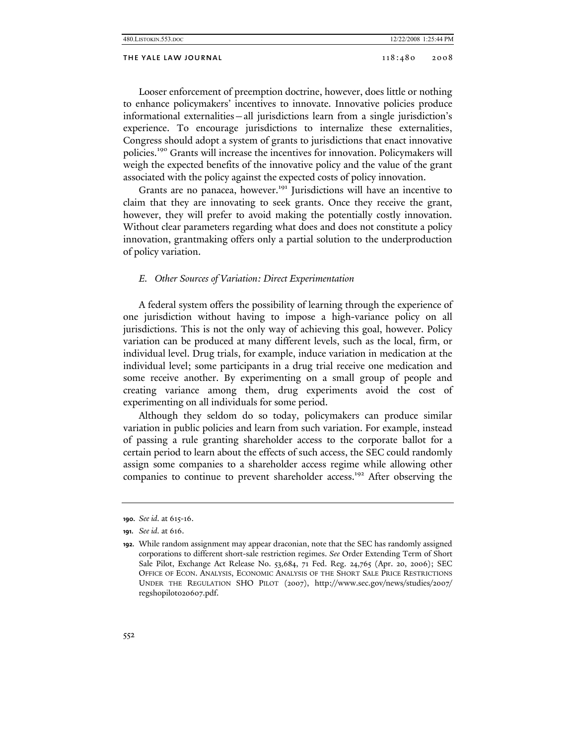| 480. LISTOKIN. 553. DOC |         | 12/22/2008 1:25:44 PM |
|-------------------------|---------|-----------------------|
| THE YALE LAW JOURNAL    | 118:480 | 2008                  |

Looser enforcement of preemption doctrine, however, does little or nothing to enhance policymakers' incentives to innovate. Innovative policies produce informational externalities—all jurisdictions learn from a single jurisdiction's experience. To encourage jurisdictions to internalize these externalities, Congress should adopt a system of grants to jurisdictions that enact innovative policies.190 Grants will increase the incentives for innovation. Policymakers will weigh the expected benefits of the innovative policy and the value of the grant associated with the policy against the expected costs of policy innovation.

Grants are no panacea, however.<sup>191</sup> Jurisdictions will have an incentive to claim that they are innovating to seek grants. Once they receive the grant, however, they will prefer to avoid making the potentially costly innovation. Without clear parameters regarding what does and does not constitute a policy innovation, grantmaking offers only a partial solution to the underproduction of policy variation.

## *E. Other Sources of Variation: Direct Experimentation*

A federal system offers the possibility of learning through the experience of one jurisdiction without having to impose a high-variance policy on all jurisdictions. This is not the only way of achieving this goal, however. Policy variation can be produced at many different levels, such as the local, firm, or individual level. Drug trials, for example, induce variation in medication at the individual level; some participants in a drug trial receive one medication and some receive another. By experimenting on a small group of people and creating variance among them, drug experiments avoid the cost of experimenting on all individuals for some period.

Although they seldom do so today, policymakers can produce similar variation in public policies and learn from such variation. For example, instead of passing a rule granting shareholder access to the corporate ballot for a certain period to learn about the effects of such access, the SEC could randomly assign some companies to a shareholder access regime while allowing other companies to continue to prevent shareholder access.<sup>192</sup> After observing the

**<sup>190.</sup>** *See id.* at 615-16.

**<sup>191.</sup>** *See id.* at 616.

**<sup>192.</sup>** While random assignment may appear draconian, note that the SEC has randomly assigned corporations to different short-sale restriction regimes. *See* Order Extending Term of Short Sale Pilot, Exchange Act Release No. 53,684, 71 Fed. Reg. 24,765 (Apr. 20, 2006); SEC OFFICE OF ECON. ANALYSIS, ECONOMIC ANALYSIS OF THE SHORT SALE PRICE RESTRICTIONS UNDER THE REGULATION SHO PILOT (2007), http://www.sec.gov/news/studies/2007/ regshopilot020607.pdf.